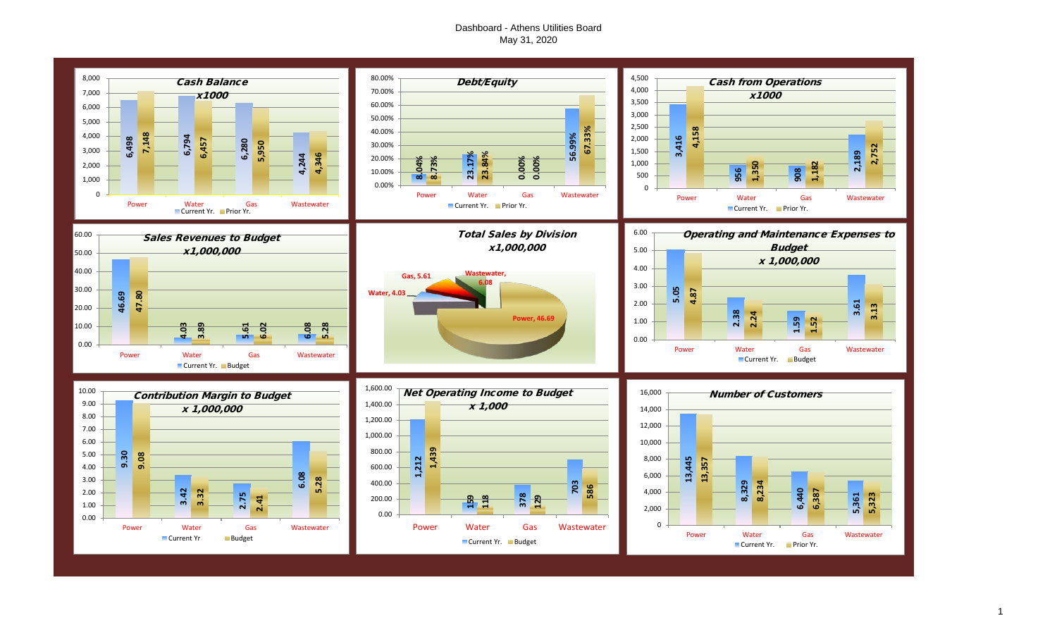# Dashboard - Athens Utilities Board May 31, 2020

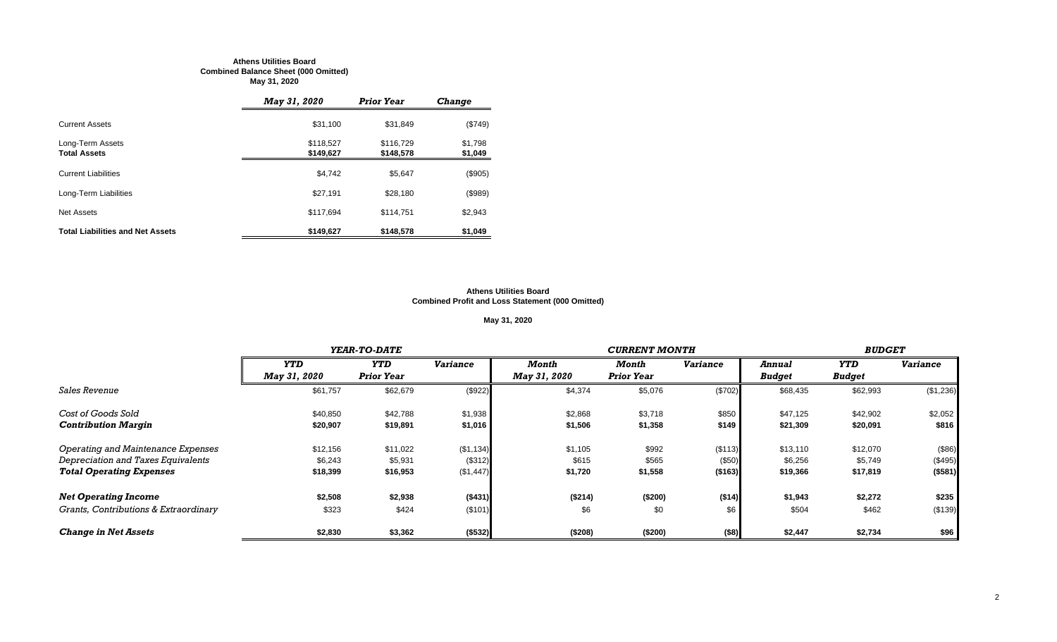#### **Athens Utilities Board Combined Balance Sheet (000 Omitted) May 31, 2020**

|                                         | <b>May 31, 2020</b>    | <b>Prior Year</b>      | <b>Change</b>      |
|-----------------------------------------|------------------------|------------------------|--------------------|
| <b>Current Assets</b>                   | \$31,100               | \$31,849               | (\$749)            |
| Long-Term Assets<br><b>Total Assets</b> | \$118,527<br>\$149,627 | \$116.729<br>\$148,578 | \$1,798<br>\$1,049 |
| <b>Current Liabilities</b>              | \$4,742                | \$5,647                | (\$905)            |
| Long-Term Liabilities                   | \$27,191               | \$28,180               | (\$989)            |
| Net Assets                              | \$117.694              | \$114.751              | \$2,943            |
| <b>Total Liabilities and Net Assets</b> | \$149,627              | \$148,578              | \$1,049            |

#### **Athens Utilities Board Combined Profit and Loss Statement (000 Omitted)**

# **May 31, 2020**

|                                       |                     | YEAR-TO-DATE      |                 |                     | <b>CURRENT MONTH</b> |                 |               |               |                 |  |
|---------------------------------------|---------------------|-------------------|-----------------|---------------------|----------------------|-----------------|---------------|---------------|-----------------|--|
|                                       | <b>YTD</b>          | <b>YTD</b>        | <b>Variance</b> | Month               | Month                | <b>Variance</b> | Annual        | YTD           | <b>Variance</b> |  |
|                                       | <b>May 31, 2020</b> | <b>Prior Year</b> |                 | <b>May 31, 2020</b> | <b>Prior Year</b>    |                 | <b>Budget</b> | <b>Budget</b> |                 |  |
| <i><b>Sales Revenue</b></i>           | \$61,757            | \$62,679          | (\$922)         | \$4,374             | \$5,076              | (\$702)         | \$68,435      | \$62,993      | (\$1,236)       |  |
| Cost of Goods Sold                    | \$40,850            | \$42,788          | \$1,938         | \$2,868             | \$3,718              | \$850           | \$47,125      | \$42,902      | \$2,052         |  |
| <b>Contribution Margin</b>            | \$20,907            | \$19,891          | \$1,016         | \$1,506             | \$1,358              | \$149           | \$21,309      | \$20,091      | \$816           |  |
| Operating and Maintenance Expenses    | \$12,156            | \$11,022          | (\$1,134)       | \$1,105             | \$992                | (\$113)         | \$13,110      | \$12,070      | (\$86)          |  |
| Depreciation and Taxes Equivalents    | \$6,243             | \$5,931           | (\$312)         | \$615               | \$565                | (\$50)          | \$6,256       | \$5,749       | (\$495)         |  |
| <b>Total Operating Expenses</b>       | \$18,399            | \$16,953          | (\$1,447)       | \$1,720             | \$1,558              | ( \$163)        | \$19,366      | \$17,819      | ( \$581)        |  |
| <b>Net Operating Income</b>           | \$2,508             | \$2,938           | (\$431)         | (\$214)             | (\$200)              | ( \$14)         | \$1,943       | \$2,272       | \$235           |  |
| Grants, Contributions & Extraordinary | \$323               | \$424             | (\$101)         | \$6                 | \$0                  | \$6             | \$504         | \$462         | (\$139)         |  |
| <b>Change in Net Assets</b>           | \$2,830             | \$3,362           | (\$532)         | (\$208)             | (\$200)              | $($ \$8)        | \$2,447       | \$2,734       | \$96            |  |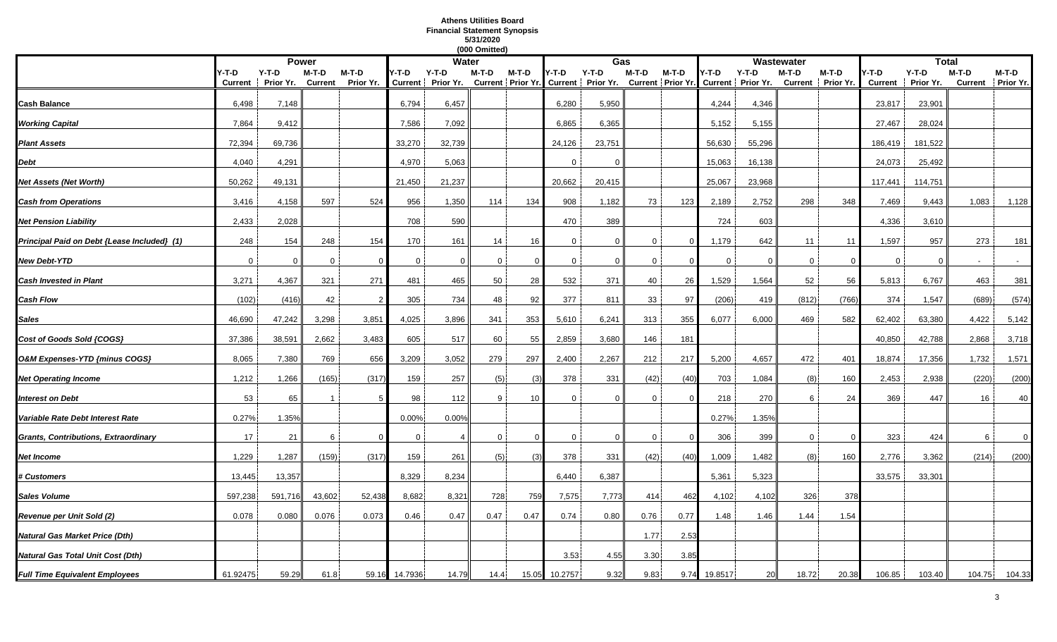# **Athens Utilities Board Financial Statement Synopsis 5/31/2020**

|                                             | (000 Omitted)           |                      |                  |                      |         |                            |                |          |                |                                                |              |          |             |                                                |             |                            |                        |                      |         |                              |
|---------------------------------------------|-------------------------|----------------------|------------------|----------------------|---------|----------------------------|----------------|----------|----------------|------------------------------------------------|--------------|----------|-------------|------------------------------------------------|-------------|----------------------------|------------------------|----------------------|---------|------------------------------|
|                                             |                         |                      | <b>Power</b>     |                      |         | <b>Water</b>               |                |          |                | Gas                                            |              |          |             |                                                | Wastewater  |                            |                        | <b>Total</b>         |         |                              |
|                                             | Y-T-D<br><b>Current</b> | $Y-T-D$<br>Prior Yr. | M-T-D<br>Current | $M-T-D$<br>Prior Yr. | Y-T-D   | Y-T-D<br>Current Prior Yr. | M-T-D          | M-T-D    | Y-T-D          | $Y-T-D$<br>Current Prior Yr. Current Prior Yr. | M-T-D        | M-T-D    | Y-T-D       | $Y-T-D$<br>Current Prior Yr. Current Prior Yr. | M-T-D       | M-T-D<br>Current Prior Yr. | -T-D<br><b>Current</b> | $Y-T-D$<br>Prior Yr. | $M-T-D$ | $M-T-D$<br>Current Prior Yr. |
| Cash Balance                                | 6,498                   | 7,148                |                  |                      | 6,794   | 6,457                      |                |          | 6,280          | 5,950                                          |              |          | 4,244       | 4,346                                          |             |                            | 23,817                 | 23,901               |         |                              |
| <b>Working Capital</b>                      | 7,864                   | 9,412                |                  |                      | 7,586   | 7,092                      |                |          | 6,865          | 6,365                                          |              |          | 5,152       | 5,155                                          |             |                            | 27,467                 | 28,024               |         |                              |
| <b>Plant Assets</b>                         | 72,394                  | 69,736               |                  |                      | 33,270  | 32,739                     |                |          | 24,126         | 23,751                                         |              |          | 56,630      | 55,296                                         |             |                            | 186,419                | 181,522              |         |                              |
| Debt                                        | 4,040                   | 4,291                |                  |                      | 4,970   | 5,063                      |                |          | $\Omega$       | $\Omega$                                       |              |          | 15,063      | 16,138                                         |             |                            | 24,073                 | 25,492               |         |                              |
| Net Assets (Net Worth)                      | 50,262                  | 49,131               |                  |                      | 21,450  | 21,237                     |                |          | 20,662         | 20,415                                         |              |          | 25,067      | 23,968                                         |             |                            | 117,441                | 114,751              |         |                              |
| <b>Cash from Operations</b>                 | 3,416                   | 4,158                | 597              | 524                  | 956     | 1,350                      | 114            | 134      | 908            | 1,182                                          | 73           | 123      | 2,189       | 2,752                                          | 298         | 348                        | 7,469                  | 9,443                | 1,083   | 1,128                        |
| <b>Net Pension Liability</b>                | 2,433                   | 2,028                |                  |                      | 708     | 590                        |                |          | 470            | 389                                            |              |          | 724         | 603                                            |             |                            | 4,336                  | 3,610                |         |                              |
| Principal Paid on Debt {Lease Included} (1) | 248                     | 154                  | 248              | 154                  | 170     | 161                        | 14             | 16       | $\overline{0}$ | $\mathbf 0$                                    | $\Omega$     | $\Omega$ | 1,179       | 642                                            | 11          | 11                         | 1,597                  | 957                  | 273     | 181                          |
| <b>New Debt-YTD</b>                         | $\overline{0}$          | $\Omega$             | 0                | $\Omega$             | 0       | $\Omega$                   | 0              |          | $\mathbf 0$    | $\mathbf 0$                                    | $\mathbf{0}$ | -0       | $\mathbf 0$ | $\mathbf 0$                                    | $\mathbf 0$ | - 0                        | $\mathbf 0$            | $\Omega$             |         |                              |
| <b>Cash Invested in Plant</b>               | 3,271                   | 4,367                | 321              | 271                  | 481     | 465                        | 50             | 28       | 532            | 371                                            | 40           | 26       | 1,529       | 1,564                                          | 52          | 56                         | 5,813                  | 6,767                | 463     | 381                          |
| <b>Cash Flow</b>                            | (102)                   | (416)                | 42               |                      | 305     | 734                        | 48             | 92       | 377            | 811                                            | 33           | 97       | (206)       | 419                                            | (812)       | (766)                      | 374                    | 1,547                | (689)   | (574)                        |
| Sales                                       | 46,690                  | 47,242               | 3,298            | 3,851                | 4,025   | 3,896                      | 341            | 353      | 5,610          | 6,241                                          | 313          | 355      | 6,077       | 6,000                                          | 469         | 582                        | 62,402                 | 63,380               | 4,422   | 5,142                        |
| Cost of Goods Sold {COGS}                   | 37,386                  | 38,591               | 2,662            | 3,483                | 605     | 517                        | 60             | 55       | 2,859          | 3,680                                          | 146          | 181      |             |                                                |             |                            | 40,850                 | 42,788               | 2,868   | 3,718                        |
| O&M Expenses-YTD {minus COGS}               | 8,065                   | 7,380                | 769              | 656                  | 3,209   | 3,052                      | 279            | 297      | 2,400          | 2,267                                          | 212          | 217      | 5,200       | 4,657                                          | 472         | 401                        | 18,874                 | 17,356               | 1,732   | 1,571                        |
| <b>Net Operating Income</b>                 | 1,212                   | 1,266                | (165)            | (317)                | 159     | 257                        | (5)            | (3)      | 378            | 331                                            | (42)         | (40)     | 703         | 1,084                                          | (8)         | 160                        | 2,453                  | 2,938                | (220)   | (200)                        |
| Interest on Debt                            | 53                      | 65                   |                  |                      | 98      | 112                        | 9              | 10       | $\Omega$       | $\Omega$                                       | 0            |          | 218         | 270                                            | 6           | 24                         | 369                    | 447                  | 16      | 40                           |
| Variable Rate Debt Interest Rate            | 0.27%                   | 1.35%                |                  |                      | 0.00%   | 0.00%                      |                |          |                |                                                |              |          | 0.27%       | 1.35%                                          |             |                            |                        |                      |         |                              |
| <b>Grants, Contributions, Extraordinary</b> | 17                      | 21                   | 6                | $\Omega$             | 0       |                            | $\overline{0}$ | $\Omega$ | 0              | $\mathbf 0$                                    | $\Omega$     | $\Omega$ | 306         | 399                                            | $\mathbf 0$ | $\Omega$                   | 323                    | 424                  | 6       | $\mathbf 0$                  |
| Net Income                                  | 1,229                   | 1,287                | (159)            | (317)                | 159     | 261                        | (5)            | (3)      | 378            | 331                                            | (42)         | (40)     | 1,009       | 1,482                                          | (8)         | 160                        | 2,776                  | 3,362                | (214)   | (200)                        |
| <b># Customers</b>                          | 13,445                  | 13,357               |                  |                      | 8,329   | 8,234                      |                |          | 6,440          | 6,387                                          |              |          | 5,361       | 5,323                                          |             |                            | 33,575                 | 33,301               |         |                              |
| <b>Sales Volume</b>                         | 597,238                 | 591,716              | 43,602           | 52,438               | 8,682   | 8,321                      | 728            | 759      | 7,575          | 7,773                                          | 414          | 462      | 4,102       | 4,102                                          | 326         | 378                        |                        |                      |         |                              |
| Revenue per Unit Sold (2)                   | 0.078                   | 0.080                | 0.076            | 0.073                | 0.46    | 0.47                       | 0.47           | 0.47     | 0.74           | 0.80                                           | 0.76         | 0.77     | 1.48        | 1.46                                           | 1.44        | 1.54                       |                        |                      |         |                              |
| Natural Gas Market Price (Dth)              |                         |                      |                  |                      |         |                            |                |          |                |                                                | 1.77         | 2.53     |             |                                                |             |                            |                        |                      |         |                              |
| Natural Gas Total Unit Cost (Dth)           |                         |                      |                  |                      |         |                            |                |          | 3.53           | 4.55                                           | 3.30         | 3.85     |             |                                                |             |                            |                        |                      |         |                              |
| <b>Full Time Equivalent Employees</b>       | 61.92475                | 59.29                | 61.8             | 59.16                | 14.7936 | 14.79                      | 14.4           | 15.05    | 10.2757        | 9.32                                           | 9.83         | 9.74     | 19.8517     | 20                                             | 18.72       | 20.38                      | 106.85                 | 103.40               | 104.75  | 104.33                       |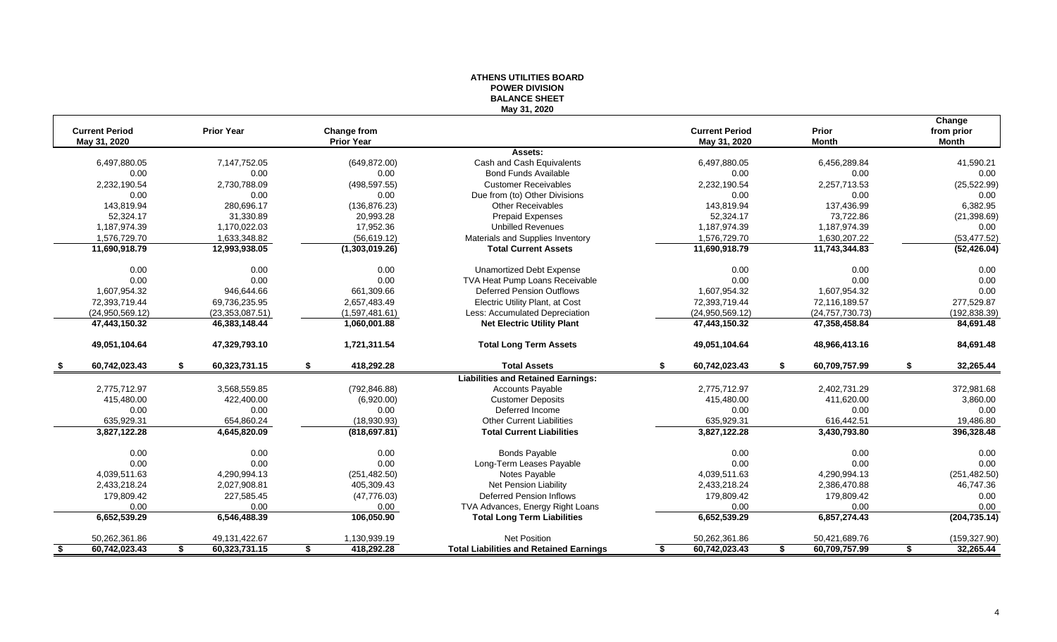|                                       |                     |                                         | <b>BALANCE SHEET</b>                           |                                       |                       |                                      |
|---------------------------------------|---------------------|-----------------------------------------|------------------------------------------------|---------------------------------------|-----------------------|--------------------------------------|
| <b>Current Period</b><br>May 31, 2020 | <b>Prior Year</b>   | <b>Change from</b><br><b>Prior Year</b> | May 31, 2020                                   | <b>Current Period</b><br>May 31, 2020 | Prior<br><b>Month</b> | Change<br>from prior<br><b>Month</b> |
|                                       |                     |                                         | Assets:                                        |                                       |                       |                                      |
| 6,497,880.05                          | 7,147,752.05        | (649, 872.00)                           | Cash and Cash Equivalents                      | 6,497,880.05                          | 6,456,289.84          | 41,590.21                            |
| 0.00                                  | 0.00                | 0.00                                    | <b>Bond Funds Available</b>                    | 0.00                                  | 0.00                  | 0.00                                 |
| 2,232,190.54                          | 2,730,788.09        | (498, 597.55)                           | <b>Customer Receivables</b>                    | 2,232,190.54                          | 2,257,713.53          | (25, 522.99)                         |
| 0.00                                  | 0.00                | 0.00                                    | Due from (to) Other Divisions                  | 0.00                                  | 0.00                  | 0.00                                 |
| 143,819.94                            | 280,696.17          | (136, 876.23)                           | <b>Other Receivables</b>                       | 143,819.94                            | 137,436.99            | 6,382.95                             |
| 52,324.17                             | 31,330.89           | 20,993.28                               | Prepaid Expenses                               | 52,324.17                             | 73,722.86             | (21, 398.69)                         |
| 1,187,974.39                          | 1,170,022.03        | 17,952.36                               | <b>Unbilled Revenues</b>                       | 1,187,974.39                          | 1,187,974.39          | 0.00                                 |
| 1,576,729.70                          | 1,633,348.82        | (56, 619.12)                            | Materials and Supplies Inventory               | 1,576,729.70                          | 1,630,207.22          | (53, 477.52)                         |
| 11,690,918.79                         | 12,993,938.05       | (1,303,019.26)                          | <b>Total Current Assets</b>                    | 11,690,918.79                         | 11,743,344.83         | (52, 426.04)                         |
| 0.00                                  | 0.00                | 0.00                                    | <b>Unamortized Debt Expense</b>                | 0.00                                  | 0.00                  | 0.00                                 |
| 0.00                                  | 0.00                | 0.00                                    | TVA Heat Pump Loans Receivable                 | 0.00                                  | 0.00                  | 0.00                                 |
| 1,607,954.32                          | 946,644.66          | 661,309.66                              | <b>Deferred Pension Outflows</b>               | 1,607,954.32                          | 1,607,954.32          | 0.00                                 |
| 72,393,719.44                         | 69,736,235.95       | 2,657,483.49                            | Electric Utility Plant, at Cost                | 72,393,719.44                         | 72,116,189.57         | 277,529.87                           |
| (24,950,569.12)                       | (23, 353, 087.51)   | (1,597,481.61)                          | Less: Accumulated Depreciation                 | (24,950,569.12)                       | (24, 757, 730.73)     | (192, 838.39)                        |
| 47,443,150.32                         | 46,383,148.44       | 1,060,001.88                            | <b>Net Electric Utility Plant</b>              | 47,443,150.32                         | 47,358,458.84         | 84,691.48                            |
| 49,051,104.64                         | 47,329,793.10       | 1,721,311.54                            | <b>Total Long Term Assets</b>                  | 49,051,104.64                         | 48,966,413.16         | 84,691.48                            |
| 60,742,023.43                         | 60,323,731.15       | 418,292.28                              | <b>Total Assets</b>                            | 60,742,023.43                         | 60,709,757.99         | 32,265.44<br>S                       |
|                                       |                     |                                         | <b>Liabilities and Retained Earnings:</b>      |                                       |                       |                                      |
| 2,775,712.97                          | 3,568,559.85        | (792, 846.88)                           | <b>Accounts Payable</b>                        | 2,775,712.97                          | 2,402,731.29          | 372,981.68                           |
| 415,480.00                            | 422,400.00          | (6,920.00)                              | <b>Customer Deposits</b>                       | 415,480.00                            | 411,620.00            | 3,860.00                             |
| 0.00                                  | 0.00                | 0.00                                    | Deferred Income                                | 0.00                                  | 0.00                  | 0.00                                 |
| 635,929.31                            | 654,860.24          | (18,930.93)                             | <b>Other Current Liabilities</b>               | 635,929.31                            | 616,442.51            | 19,486.80                            |
| 3,827,122.28                          | 4,645,820.09        | (818, 697.81)                           | <b>Total Current Liabilities</b>               | 3,827,122.28                          | 3,430,793.80          | 396,328.48                           |
| 0.00                                  | 0.00                | 0.00                                    | <b>Bonds Payable</b>                           | 0.00                                  | 0.00                  | 0.00                                 |
| 0.00                                  | 0.00                | 0.00                                    | Long-Term Leases Payable                       | 0.00                                  | 0.00                  | 0.00                                 |
| 4,039,511.63                          | 4,290,994.13        | (251, 482.50)                           | Notes Payable                                  | 4,039,511.63                          | 4,290,994.13          | (251, 482.50)                        |
| 2,433,218.24                          | 2,027,908.81        | 405,309.43                              | Net Pension Liability                          | 2,433,218.24                          | 2,386,470.88          | 46,747.36                            |
| 179,809.42                            | 227,585.45          | (47, 776.03)                            | <b>Deferred Pension Inflows</b>                | 179,809.42                            | 179,809.42            | 0.00                                 |
| 0.00                                  | 0.00                | 0.00                                    | TVA Advances, Energy Right Loans               | 0.00                                  | 0.00                  | 0.00                                 |
| 6,652,539.29                          | 6,546,488.39        | 106,050.90                              | <b>Total Long Term Liabilities</b>             | 6,652,539.29                          | 6,857,274.43          | (204, 735.14)                        |
| 50,262,361.86                         | 49, 131, 422. 67    | 1,130,939.19                            | <b>Net Position</b>                            | 50,262,361.86                         | 50,421,689.76         | (159, 327.90)                        |
| 60,742,023.43<br>\$                   | 60,323,731.15<br>\$ | 418,292.28<br>\$                        | <b>Total Liabilities and Retained Earnings</b> | 60,742,023.43<br>\$                   | 60,709,757.99<br>\$   | 32,265.44<br>\$                      |

# **ATHENS UTILITIES BOARD POWER DIVISION**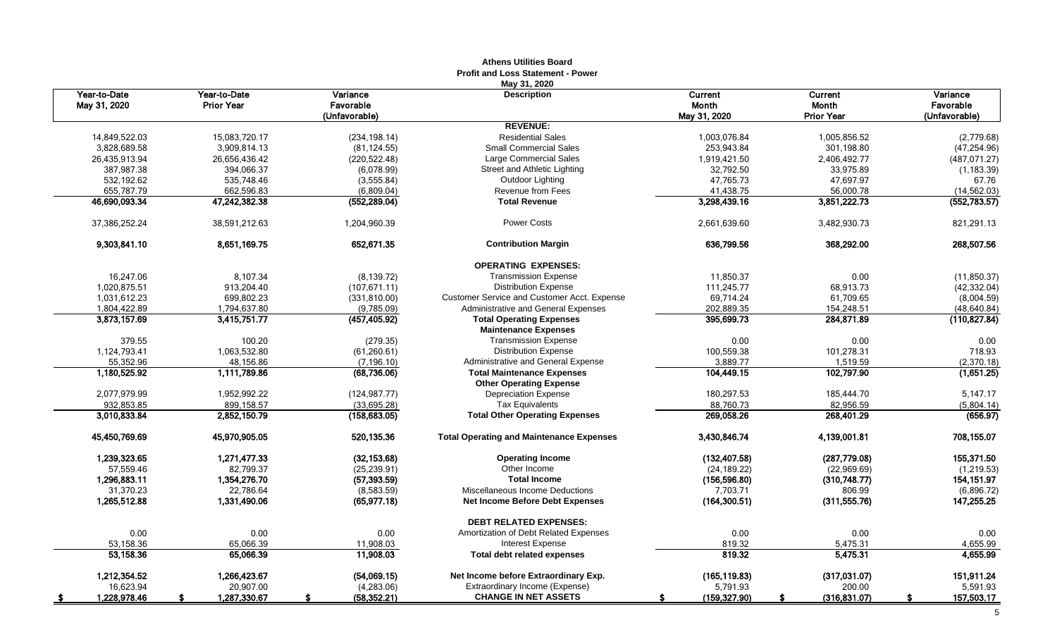|                              |                                   |                                        | <b>Profit and Loss Statement - Power</b><br>May 31, 2020 |                                         |                                              |                                        |
|------------------------------|-----------------------------------|----------------------------------------|----------------------------------------------------------|-----------------------------------------|----------------------------------------------|----------------------------------------|
| Year-to-Date<br>May 31, 2020 | Year-to-Date<br><b>Prior Year</b> | Variance<br>Favorable<br>(Unfavorable) | <b>Description</b>                                       | Current<br><b>Month</b><br>May 31, 2020 | Current<br><b>Month</b><br><b>Prior Year</b> | Variance<br>Favorable<br>(Unfavorable) |
|                              |                                   |                                        | <b>REVENUE:</b>                                          |                                         |                                              |                                        |
| 14.849.522.03                | 15.083.720.17                     | (234, 198.14)                          | <b>Residential Sales</b>                                 | 1.003.076.84                            | 1.005.856.52                                 | (2,779.68)                             |
| 3,828,689.58                 | 3,909,814.13                      | (81, 124.55)                           | <b>Small Commercial Sales</b>                            | 253,943.84                              | 301,198.80                                   | (47, 254.96)                           |
| 26,435,913.94                | 26,656,436.42                     | (220, 522.48)                          | Large Commercial Sales                                   | 1,919,421.50                            | 2,406,492.77                                 | (487, 071.27)                          |
| 387,987.38                   | 394,066.37                        | (6,078.99)                             | Street and Athletic Lighting                             | 32,792.50                               | 33,975.89                                    | (1, 183.39)                            |
| 532,192.62                   | 535,748.46                        | (3,555.84)                             | Outdoor Lighting                                         | 47,765.73                               | 47,697.97                                    | 67.76                                  |
| 655,787.79                   | 662,596.83                        | (6,809.04)                             | Revenue from Fees                                        | 41,438.75                               | 56,000.78                                    | (14, 562.03)                           |
| 46,690,093.34                | 47,242,382.38                     | (552, 289.04)                          | <b>Total Revenue</b>                                     | 3,298,439.16                            | 3,851,222.73                                 | (552, 783.57)                          |
| 37,386,252.24                | 38,591,212.63                     | 1,204,960.39                           | <b>Power Costs</b>                                       | 2,661,639.60                            | 3,482,930.73                                 | 821,291.13                             |
| 9,303,841.10                 | 8,651,169.75                      | 652,671.35                             | <b>Contribution Margin</b>                               | 636,799.56                              | 368,292.00                                   | 268,507.56                             |
|                              |                                   |                                        | <b>OPERATING EXPENSES:</b>                               |                                         |                                              |                                        |
| 16,247.06                    | 8,107.34                          | (8, 139.72)                            | <b>Transmission Expense</b>                              | 11,850.37                               | 0.00                                         | (11, 850.37)                           |
| 1,020,875.51                 | 913,204.40                        | (107, 671.11)                          | <b>Distribution Expense</b>                              | 111,245.77                              | 68,913.73                                    | (42, 332.04)                           |
| 1,031,612.23                 | 699.802.23                        | (331, 810.00)                          | <b>Customer Service and Customer Acct. Expense</b>       | 69.714.24                               | 61,709.65                                    | (8,004.59)                             |
| 1,804,422.89                 | 1,794,637.80                      | (9,785.09)                             | Administrative and General Expenses                      | 202,889.35                              | 154,248.51                                   | (48, 640.84)                           |
| 3,873,157.69                 | 3,415,751.77                      | (457,405.92)                           | <b>Total Operating Expenses</b>                          | 395,699.73                              | 284,871.89                                   | (110, 827.84)                          |
|                              |                                   |                                        | <b>Maintenance Expenses</b>                              |                                         |                                              |                                        |
| 379.55                       | 100.20                            | (279.35)                               | <b>Transmission Expense</b>                              | 0.00                                    | 0.00                                         | 0.00                                   |
| 1,124,793.41                 | 1,063,532.80                      | (61, 260.61)                           | <b>Distribution Expense</b>                              | 100,559.38                              | 101,278.31                                   | 718.93                                 |
| 55,352.96                    | 48,156.86                         | (7, 196.10)                            | Administrative and General Expense                       | 3.889.77                                | 1,519.59                                     | (2,370.18)                             |
| 1,180,525.92                 | 1,111,789.86                      | (68, 736.06)                           | <b>Total Maintenance Expenses</b>                        | 104,449.15                              | 102,797.90                                   | (1,651.25)                             |
|                              |                                   |                                        | <b>Other Operating Expense</b>                           |                                         |                                              |                                        |
| 2,077,979.99                 | 1.952.992.22                      | (124.987.77)                           | <b>Depreciation Expense</b>                              | 180,297.53                              | 185,444.70                                   | 5,147.17                               |
| 932,853.85                   | 899,158.57                        | (33,695.28)                            | <b>Tax Equivalents</b>                                   | 88,760.73                               | 82,956.59                                    | (5,804.14)                             |
| 3,010,833.84                 | 2,852,150.79                      | (158, 683.05)                          | <b>Total Other Operating Expenses</b>                    | 269,058.26                              | 268,401.29                                   | (656.97)                               |
| 45,450,769.69                | 45,970,905.05                     | 520,135.36                             | <b>Total Operating and Maintenance Expenses</b>          | 3,430,846.74                            | 4,139,001.81                                 | 708,155.07                             |
| 1,239,323.65                 | 1.271.477.33                      | (32, 153.68)                           | <b>Operating Income</b>                                  | (132, 407.58)                           | (287,779.08)                                 | 155,371.50                             |
| 57,559.46                    | 82,799.37                         | (25, 239.91)                           | Other Income                                             | (24, 189.22)                            | (22,969.69)                                  | (1, 219.53)                            |
| 1,296,883.11                 | 1,354,276.70                      | (57, 393.59)                           | <b>Total Income</b>                                      | (156, 596.80)                           | (310,748.77)                                 | 154, 151.97                            |
| 31,370.23                    | 22,786.64                         | (8,583.59)                             | Miscellaneous Income Deductions                          | 7.703.71                                | 806.99                                       | (6,896.72)                             |
| 1,265,512.88                 | 1,331,490.06                      | (65, 977.18)                           | Net Income Before Debt Expenses                          | (164, 300.51)                           | (311, 555.76)                                | 147,255.25                             |
|                              |                                   |                                        | <b>DEBT RELATED EXPENSES:</b>                            |                                         |                                              |                                        |
| 0.00                         | 0.00                              | 0.00                                   | Amortization of Debt Related Expenses                    | 0.00                                    | 0.00                                         | 0.00                                   |
| 53,158.36                    | 65,066.39                         | 11,908.03                              | Interest Expense                                         | 819.32                                  | 5,475.31                                     | 4,655.99                               |
| 53,158.36                    | 65,066.39                         | 11,908.03                              | <b>Total debt related expenses</b>                       | 819.32                                  | 5,475.31                                     | 4,655.99                               |
| 1,212,354.52                 | 1,266,423.67                      | (54,069.15)                            | Net Income before Extraordinary Exp.                     | (165, 119.83)                           | (317,031.07)                                 | 151,911.24                             |
| 16,623.94                    | 20,907.00                         | (4, 283.06)                            | Extraordinary Income (Expense)                           | 5,791.93                                | 200.00                                       | 5,591.93                               |
| 1,228,978.46                 | 1,287,330.67<br>- \$              | (58, 352.21)<br>S.                     | <b>CHANGE IN NET ASSETS</b>                              | (159, 327.90)                           | (316, 831.07)<br>s                           | 157,503.17<br>s.                       |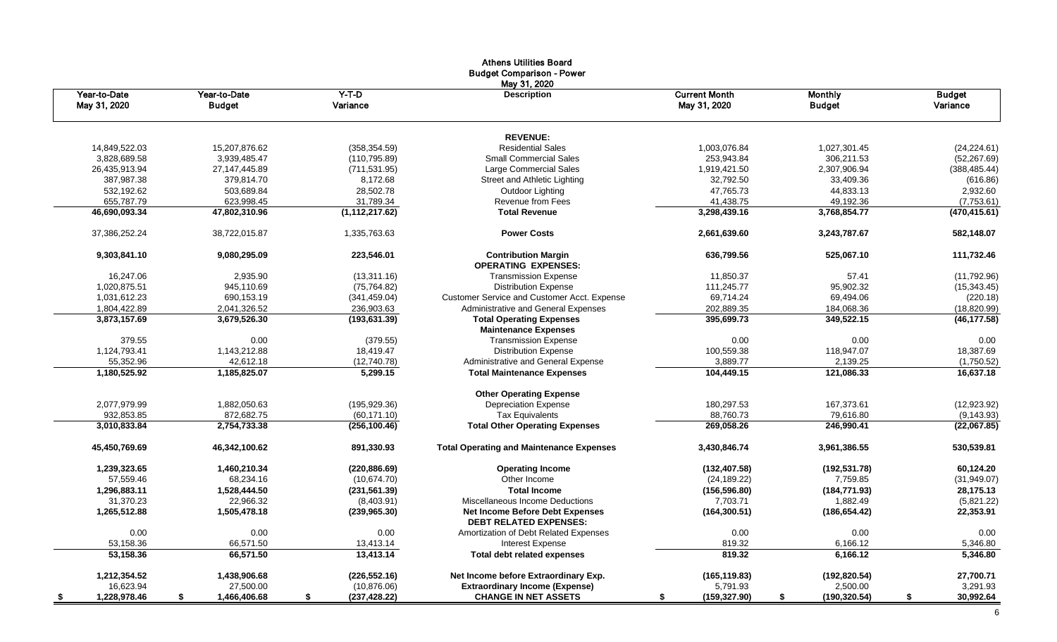|                              |                               |                       | <b>Athens Utilities Board</b><br><b>Budget Comparison - Power</b><br>May 31, 2020 |                                      |                                 |                           |
|------------------------------|-------------------------------|-----------------------|-----------------------------------------------------------------------------------|--------------------------------------|---------------------------------|---------------------------|
| Year-to-Date<br>May 31, 2020 | Year-to-Date<br><b>Budget</b> | $Y-T-D$<br>Variance   | <b>Description</b>                                                                | <b>Current Month</b><br>May 31, 2020 | <b>Monthly</b><br><b>Budget</b> | <b>Budget</b><br>Variance |
|                              |                               |                       | <b>REVENUE:</b>                                                                   |                                      |                                 |                           |
| 14,849,522.03                | 15,207,876.62                 | (358, 354.59)         | <b>Residential Sales</b>                                                          | 1,003,076.84                         | 1,027,301.45                    | (24, 224.61)              |
| 3,828,689.58                 | 3,939,485.47                  | (110, 795.89)         | <b>Small Commercial Sales</b>                                                     | 253,943.84                           | 306,211.53                      | (52, 267.69)              |
| 26,435,913.94                | 27, 147, 445.89               | (711, 531.95)         | Large Commercial Sales                                                            | 1,919,421.50                         | 2,307,906.94                    | (388, 485.44)             |
| 387.987.38                   | 379,814.70                    | 8,172.68              | Street and Athletic Lighting                                                      | 32,792.50                            | 33.409.36                       | (616.86)                  |
| 532,192.62                   | 503,689.84                    | 28,502.78             | Outdoor Lighting                                                                  | 47,765.73                            | 44,833.13                       | 2,932.60                  |
| 655,787.79                   | 623,998.45                    | 31,789.34             | Revenue from Fees                                                                 | 41,438.75                            | 49,192.36                       | (7,753.61)                |
| 46,690,093.34                | 47,802,310.96                 | (1, 112, 217.62)      | <b>Total Revenue</b>                                                              | 3,298,439.16                         | 3,768,854.77                    | (470, 415.61)             |
| 37,386,252.24                | 38,722,015.87                 | 1,335,763.63          | <b>Power Costs</b>                                                                | 2,661,639.60                         | 3,243,787.67                    | 582,148.07                |
| 9,303,841.10                 | 9,080,295.09                  | 223,546.01            | <b>Contribution Margin</b><br><b>OPERATING EXPENSES:</b>                          | 636,799.56                           | 525,067.10                      | 111,732.46                |
| 16,247.06                    | 2,935.90                      | (13,311.16)           | <b>Transmission Expense</b>                                                       | 11,850.37                            | 57.41                           | (11,792.96)               |
| 1.020.875.51                 | 945.110.69                    | (75, 764.82)          | <b>Distribution Expense</b>                                                       | 111.245.77                           | 95.902.32                       | (15, 343.45)              |
| 1.031.612.23                 | 690.153.19                    | (341, 459.04)         | <b>Customer Service and Customer Acct. Expense</b>                                | 69.714.24                            | 69,494.06                       | (220.18)                  |
| 1,804,422.89                 | 2,041,326.52                  | 236,903.63            | Administrative and General Expenses                                               | 202,889.35                           | 184,068.36                      | (18, 820.99)              |
| 3,873,157.69                 | 3,679,526.30                  | (193, 631.39)         | <b>Total Operating Expenses</b>                                                   | 395,699.73                           | 349,522.15                      | (46, 177.58)              |
|                              |                               |                       | <b>Maintenance Expenses</b>                                                       |                                      |                                 |                           |
| 379.55                       | 0.00                          | (379.55)<br>18,419.47 | <b>Transmission Expense</b>                                                       | 0.00                                 | 0.00                            | 0.00<br>18,387.69         |
| 1,124,793.41<br>55,352.96    | 1,143,212.88<br>42.612.18     | (12,740.78)           | <b>Distribution Expense</b><br>Administrative and General Expense                 | 100,559.38<br>3,889.77               | 118,947.07<br>2,139.25          | (1,750.52)                |
| 1,180,525.92                 | 1,185,825.07                  | 5.299.15              | <b>Total Maintenance Expenses</b>                                                 | 104,449.15                           | 121,086.33                      | 16,637.18                 |
|                              |                               |                       |                                                                                   |                                      |                                 |                           |
| 2,077,979.99                 | 1,882,050.63                  | (195, 929.36)         | <b>Other Operating Expense</b><br><b>Depreciation Expense</b>                     | 180,297.53                           | 167,373.61                      | (12,923.92)               |
| 932,853.85                   | 872,682.75                    | (60, 171.10)          | <b>Tax Equivalents</b>                                                            | 88,760.73                            | 79,616.80                       | (9, 143.93)               |
| 3,010,833.84                 | 2,754,733.38                  | (256, 100.46)         | <b>Total Other Operating Expenses</b>                                             | 269,058.26                           | 246,990.41                      | (22,067.85)               |
|                              |                               |                       |                                                                                   |                                      |                                 |                           |
| 45,450,769.69                | 46,342,100.62                 | 891,330.93            | <b>Total Operating and Maintenance Expenses</b>                                   | 3,430,846.74                         | 3,961,386.55                    | 530,539.81                |
| 1,239,323.65                 | 1,460,210.34                  | (220, 886.69)         | <b>Operating Income</b>                                                           | (132, 407.58)                        | (192, 531.78)                   | 60,124.20                 |
| 57,559.46                    | 68,234.16                     | (10.674.70)           | Other Income                                                                      | (24, 189.22)                         | 7,759.85                        | (31, 949.07)              |
| 1,296,883.11                 | 1,528,444.50                  | (231, 561.39)         | <b>Total Income</b>                                                               | (156, 596.80)                        | (184, 771.93)                   | 28,175.13                 |
| 31,370.23                    | 22,966.32                     | (8,403.91)            | Miscellaneous Income Deductions                                                   | 7,703.71                             | 1,882.49                        | (5,821.22)                |
| 1,265,512.88                 | 1,505,478.18                  | (239, 965.30)         | Net Income Before Debt Expenses<br><b>DEBT RELATED EXPENSES:</b>                  | (164, 300.51)                        | (186, 654.42)                   | 22,353.91                 |
| 0.00                         | 0.00                          | 0.00                  | Amortization of Debt Related Expenses                                             | 0.00                                 | 0.00                            | 0.00                      |
| 53,158.36                    | 66,571.50                     | 13,413.14             | Interest Expense                                                                  | 819.32                               | 6,166.12                        | 5,346.80                  |
| 53,158.36                    | 66.571.50                     | 13,413.14             | <b>Total debt related expenses</b>                                                | 819.32                               | 6,166.12                        | 5,346.80                  |
| 1,212,354.52                 | 1,438,906.68                  | (226, 552.16)         | Net Income before Extraordinary Exp.                                              | (165, 119.83)                        | (192, 820.54)                   | 27,700.71                 |
| 16,623.94                    | 27,500.00                     | (10, 876.06)          | <b>Extraordinary Income (Expense)</b>                                             | 5,791.93                             | 2,500.00                        | 3,291.93                  |
| 1,228,978.46<br>- \$         | 1,466,406.68<br>\$            | (237, 428.22)<br>\$   | <b>CHANGE IN NET ASSETS</b>                                                       | (159, 327.90)<br>\$                  | (190, 320.54)<br>\$             | 30,992.64<br>\$           |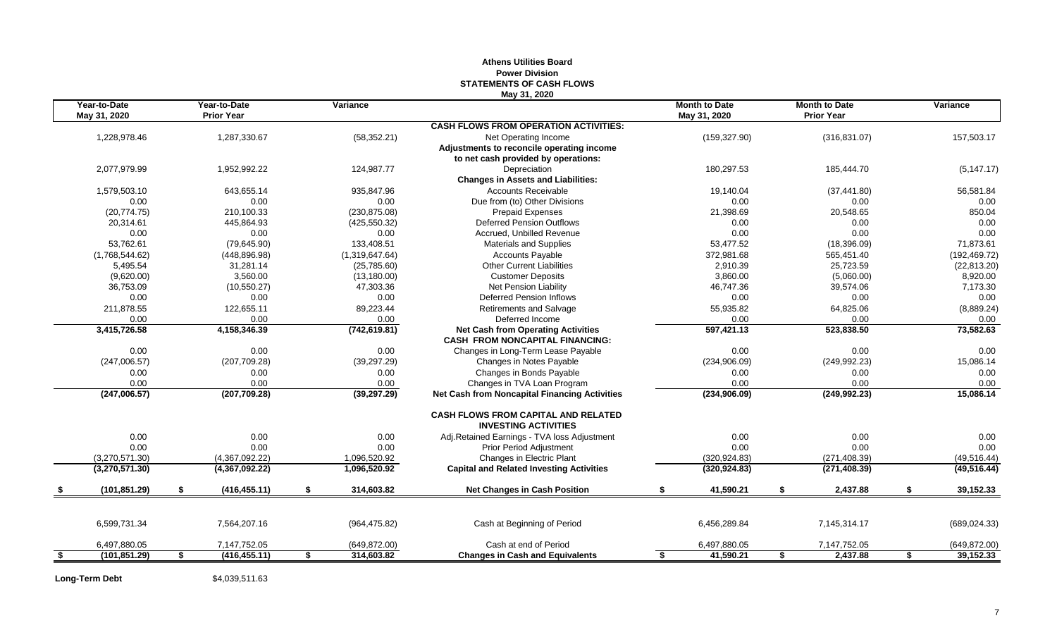|     |                              |                                   |                  | May 31, 2020                                                              |                                      |    |                                           |                 |
|-----|------------------------------|-----------------------------------|------------------|---------------------------------------------------------------------------|--------------------------------------|----|-------------------------------------------|-----------------|
|     | Year-to-Date<br>May 31, 2020 | Year-to-Date<br><b>Prior Year</b> | Variance         |                                                                           | <b>Month to Date</b><br>May 31, 2020 |    | <b>Month to Date</b><br><b>Prior Year</b> | Variance        |
|     |                              |                                   |                  | <b>CASH FLOWS FROM OPERATION ACTIVITIES:</b>                              |                                      |    |                                           |                 |
|     | 1,228,978.46                 | 1,287,330.67                      | (58, 352.21)     | Net Operating Income                                                      | (159, 327.90)                        |    | (316, 831.07)                             | 157,503.17      |
|     |                              |                                   |                  | Adjustments to reconcile operating income                                 |                                      |    |                                           |                 |
|     |                              |                                   |                  | to net cash provided by operations:                                       |                                      |    |                                           |                 |
|     | 2,077,979.99                 | 1,952,992.22                      | 124,987.77       | Depreciation                                                              | 180,297.53                           |    | 185,444.70                                | (5, 147.17)     |
|     |                              |                                   |                  | <b>Changes in Assets and Liabilities:</b>                                 |                                      |    |                                           |                 |
|     | 1,579,503.10                 | 643,655.14                        | 935,847.96       | <b>Accounts Receivable</b>                                                | 19,140.04                            |    | (37, 441.80)                              | 56,581.84       |
|     | 0.00                         | 0.00                              | 0.00             | Due from (to) Other Divisions                                             | 0.00                                 |    | 0.00                                      | 0.00            |
|     | (20, 774.75)                 | 210.100.33                        | (230, 875.08)    | <b>Prepaid Expenses</b>                                                   | 21,398.69                            |    | 20,548.65                                 | 850.04          |
|     | 20,314.61                    | 445,864.93                        | (425, 550.32)    | <b>Deferred Pension Outflows</b>                                          | 0.00                                 |    | 0.00                                      | 0.00            |
|     | 0.00                         | 0.00                              | 0.00             | Accrued. Unbilled Revenue                                                 | 0.00                                 |    | 0.00                                      | 0.00            |
|     | 53,762.61                    | (79,645.90)                       | 133,408.51       | <b>Materials and Supplies</b>                                             | 53,477.52                            |    | (18, 396.09)                              | 71,873.61       |
|     | (1,768,544.62)               | (448, 896.98)                     | (1,319,647.64)   | <b>Accounts Payable</b>                                                   | 372,981.68                           |    | 565,451.40                                | (192, 469.72)   |
|     | 5,495.54                     | 31,281.14                         | (25,785.60)      | <b>Other Current Liabilities</b>                                          | 2,910.39                             |    | 25,723.59                                 | (22, 813.20)    |
|     | (9,620.00)                   | 3,560.00                          | (13, 180.00)     | <b>Customer Deposits</b>                                                  | 3,860.00                             |    | (5,060.00)                                | 8,920.00        |
|     | 36,753.09                    | (10, 550.27)                      | 47,303.36        | <b>Net Pension Liability</b>                                              | 46,747.36                            |    | 39,574.06                                 | 7,173.30        |
|     | 0.00                         | 0.00                              | 0.00             | Deferred Pension Inflows                                                  | 0.00                                 |    | 0.00                                      | 0.00            |
|     | 211,878.55                   | 122,655.11                        | 89,223.44        | Retirements and Salvage                                                   | 55,935.82                            |    | 64,825.06                                 | (8,889.24)      |
|     | 0.00                         | 0.00                              | 0.00             | Deferred Income                                                           | 0.00                                 |    | 0.00                                      | 0.00            |
|     | 3,415,726.58                 | 4,158,346.39                      | (742, 619.81)    | <b>Net Cash from Operating Activities</b>                                 | 597,421.13                           |    | 523,838.50                                | 73,582.63       |
|     |                              |                                   |                  | <b>CASH FROM NONCAPITAL FINANCING:</b>                                    |                                      |    |                                           |                 |
|     | 0.00                         | 0.00                              | 0.00             | Changes in Long-Term Lease Payable                                        | 0.00                                 |    | 0.00                                      | 0.00            |
|     | (247,006.57)                 | (207, 709.28)                     | (39, 297.29)     | Changes in Notes Payable                                                  | (234,906.09)                         |    | (249, 992.23)                             | 15,086.14       |
|     | 0.00                         | 0.00                              | 0.00             | Changes in Bonds Payable                                                  | 0.00                                 |    | 0.00                                      | 0.00            |
|     | 0.00                         | 0.00                              | 0.00             | Changes in TVA Loan Program                                               | 0.00                                 |    | 0.00                                      | 0.00            |
|     | (247,006.57)                 | (207, 709.28)                     | (39, 297.29)     | <b>Net Cash from Noncapital Financing Activities</b>                      | (234, 906.09)                        |    | (249, 992.23)                             | 15,086.14       |
|     |                              |                                   |                  | <b>CASH FLOWS FROM CAPITAL AND RELATED</b><br><b>INVESTING ACTIVITIES</b> |                                      |    |                                           |                 |
|     | 0.00                         | 0.00                              | 0.00             | Adj.Retained Earnings - TVA loss Adjustment                               | 0.00                                 |    | 0.00                                      | 0.00            |
|     | 0.00                         | 0.00                              | 0.00             | Prior Period Adjustment                                                   | 0.00                                 |    | 0.00                                      | 0.00            |
|     | (3,270,571.30)               | (4,367,092.22)                    | 1,096,520.92     | Changes in Electric Plant                                                 | (320, 924.83)                        |    | (271, 408.39)                             | (49, 516.44)    |
|     | (3,270,571.30)               | (4,367,092.22)                    | 1,096,520.92     | <b>Capital and Related Investing Activities</b>                           | (320, 924.83)                        |    | (271, 408.39)                             | (49, 516.44)    |
|     | (101, 851.29)                | \$<br>(416, 455.11)               | \$<br>314,603.82 | <b>Net Changes in Cash Position</b>                                       | \$<br>41,590.21                      | \$ | 2,437.88                                  | \$<br>39,152.33 |
|     |                              |                                   |                  |                                                                           |                                      |    |                                           |                 |
|     | 6,599,731.34                 | 7,564,207.16                      | (964, 475.82)    | Cash at Beginning of Period                                               | 6,456,289.84                         |    | 7,145,314.17                              | (689, 024.33)   |
|     | 6,497,880.05                 | 7,147,752.05                      | (649, 872.00)    | Cash at end of Period                                                     | 6,497,880.05                         |    | 7,147,752.05                              | (649, 872.00)   |
| -\$ | (101.851.29)                 | \$<br>(416, 455.11)               | \$<br>314,603.82 | <b>Changes in Cash and Equivalents</b>                                    | \$<br>41,590.21                      | S. | 2,437.88                                  | \$<br>39,152.33 |
|     |                              |                                   |                  |                                                                           |                                      |    |                                           |                 |

# **Athens Utilities Board Power Division STATEMENTS OF CASH FLOWS**

Long-Term Debt \$4,039,511.63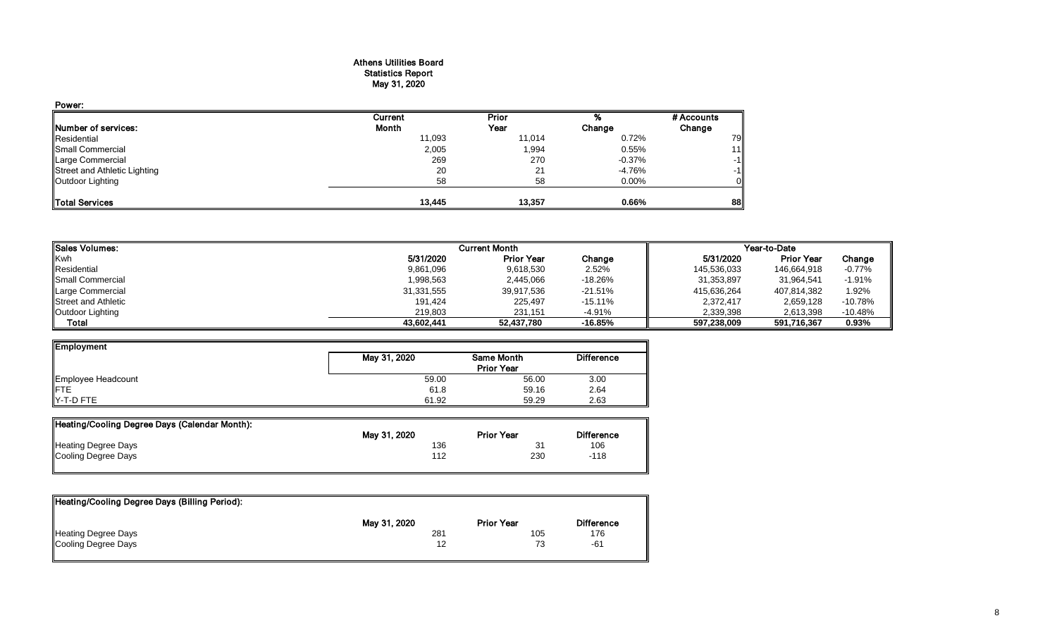## Athens Utilities Board Statistics Report May 31, 2020

| Power:                       |                |        |          |            |
|------------------------------|----------------|--------|----------|------------|
|                              | <b>Current</b> | Prior  |          | # Accounts |
| Number of services:          | Month          | Year   | Change   | Change     |
| Residential                  | 11,093         | 11,014 | 0.72%    | 79         |
| Small Commercial             | 2,005          | 1,994  | 0.55%    | 11         |
| Large Commercial             | 269            | 270    | $-0.37%$ | $-1$       |
| Street and Athletic Lighting | 20             | 21     | $-4.76%$ | -1         |
| Outdoor Lighting             | 58             | 58     | $0.00\%$ |            |
| Total Services               | 13,445         | 13,357 | 0.66%    | 88         |

| <b>I</b> Sales Volumes:    |            | <b>Current Month</b> |           | Year-to-Date |                   |           |  |
|----------------------------|------------|----------------------|-----------|--------------|-------------------|-----------|--|
| Kwh                        | 5/31/2020  | <b>Prior Year</b>    | Change    | 5/31/2020    | <b>Prior Year</b> | Change    |  |
| Residential                | 9,861,096  | 9,618,530            | 2.52%     | 145,536,033  | 146,664,918       | $-0.77\%$ |  |
| Small Commercial           | 1,998,563  | 2,445,066            | $-18.26%$ | 31,353,897   | 31,964,541        | $-1.91%$  |  |
| Large Commercial           | 31,331,555 | 39,917,536           | $-21.51%$ | 415,636,264  | 407,814,382       | 1.92%     |  |
| <b>Street and Athletic</b> | 191,424    | 225,497              | $-15.11%$ | 2,372,417    | 2,659,128         | $-10.78%$ |  |
| Outdoor Lighting           | 219.803    | 231.151              | $-4.91%$  | 2,339,398    | 2.613.398         | $-10.48%$ |  |
| Total                      | 43.602.441 | 52,437,780           | $-16.85%$ | 597,238,009  | 591,716,367       | 0.93%     |  |

| Employment                |              |                   |                   |
|---------------------------|--------------|-------------------|-------------------|
|                           | May 31, 2020 | Same Month        | <b>Difference</b> |
|                           |              | <b>Prior Year</b> |                   |
| Employee Headcount<br>FTE | 59.00        | 56.00             | 3.00              |
|                           | 61.8         | 59.16             | 2.64              |
| Y-T-D FTE                 | 61.92        | 59.29             | 2.63              |

| Heating/Cooling Degree Days (Calendar Month): |              |                   |                   |
|-----------------------------------------------|--------------|-------------------|-------------------|
|                                               | May 31, 2020 | <b>Prior Year</b> | <b>Difference</b> |
| <b>Heating Degree Days</b>                    | 136          | 31                | 106               |
| Cooling Degree Days                           | 112          | 230               | $-118$            |
|                                               |              |                   |                   |

| Heating/Cooling Degree Days (Billing Period): |              |                   |                   |
|-----------------------------------------------|--------------|-------------------|-------------------|
|                                               | May 31, 2020 | <b>Prior Year</b> | <b>Difference</b> |
| Heating Degree Days                           | 281          | 105               | 176               |
| Cooling Degree Days                           |              | 73                | -61               |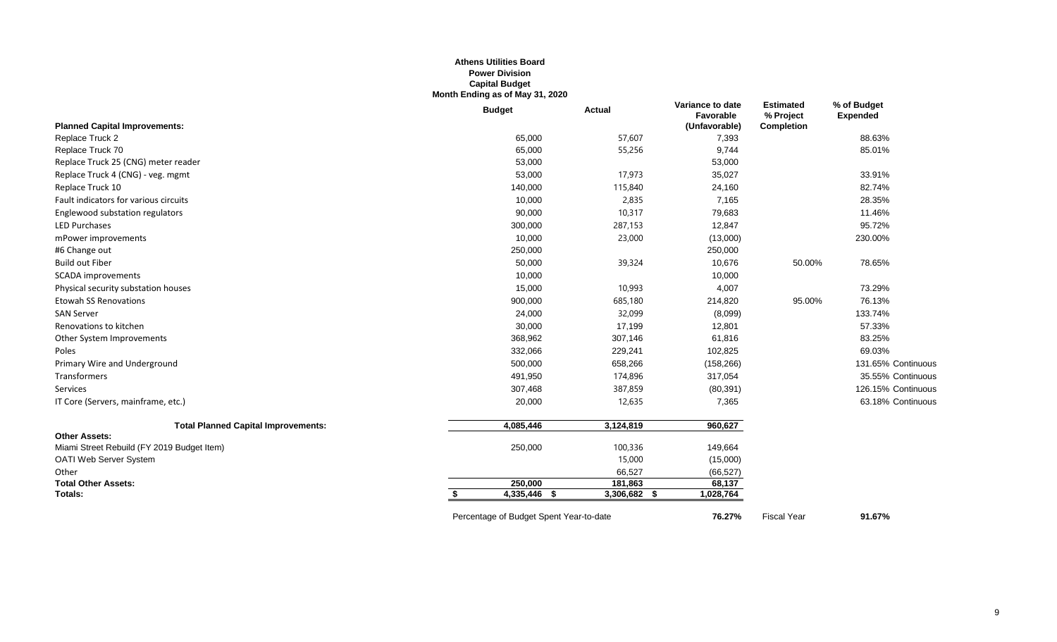### **Athens Utilities Board Power Division Capital Budget Month Ending as of May 31, 2020**

|                                            | <b>Budget</b>                           | Actual         | Variance to date<br>Favorable | <b>Estimated</b><br>% Project | % of Budget<br><b>Expended</b> |
|--------------------------------------------|-----------------------------------------|----------------|-------------------------------|-------------------------------|--------------------------------|
| <b>Planned Capital Improvements:</b>       |                                         |                | (Unfavorable)                 | <b>Completion</b>             |                                |
| Replace Truck 2                            | 65,000                                  | 57,607         | 7,393                         |                               | 88.63%                         |
| Replace Truck 70                           | 65,000                                  | 55,256         | 9,744                         |                               | 85.01%                         |
| Replace Truck 25 (CNG) meter reader        | 53,000                                  |                | 53,000                        |                               |                                |
| Replace Truck 4 (CNG) - veg. mgmt          | 53,000                                  | 17,973         | 35,027                        |                               | 33.91%                         |
| Replace Truck 10                           | 140,000                                 | 115,840        | 24,160                        |                               | 82.74%                         |
| Fault indicators for various circuits      | 10,000                                  | 2,835          | 7,165                         |                               | 28.35%                         |
| Englewood substation regulators            | 90,000                                  | 10,317         | 79,683                        |                               | 11.46%                         |
| <b>LED Purchases</b>                       | 300,000                                 | 287,153        | 12,847                        |                               | 95.72%                         |
| mPower improvements                        | 10,000                                  | 23,000         | (13,000)                      |                               | 230.00%                        |
| #6 Change out                              | 250,000                                 |                | 250,000                       |                               |                                |
| <b>Build out Fiber</b>                     | 50,000                                  | 39,324         | 10,676                        | 50.00%                        | 78.65%                         |
| <b>SCADA</b> improvements                  | 10,000                                  |                | 10,000                        |                               |                                |
| Physical security substation houses        | 15,000                                  | 10,993         | 4,007                         |                               | 73.29%                         |
| <b>Etowah SS Renovations</b>               | 900,000                                 | 685,180        | 214,820                       | 95.00%                        | 76.13%                         |
| <b>SAN Server</b>                          | 24,000                                  | 32,099         | (8,099)                       |                               | 133.74%                        |
| Renovations to kitchen                     | 30,000                                  | 17,199         | 12,801                        |                               | 57.33%                         |
| Other System Improvements                  | 368,962                                 | 307,146        | 61,816                        |                               | 83.25%                         |
| Poles                                      | 332,066                                 | 229,241        | 102,825                       |                               | 69.03%                         |
| Primary Wire and Underground               | 500,000                                 | 658,266        | (158, 266)                    |                               | 131.65% Continuous             |
| <b>Transformers</b>                        | 491,950                                 | 174,896        | 317,054                       |                               | 35.55% Continuous              |
| Services                                   | 307,468                                 | 387,859        | (80, 391)                     |                               | 126.15% Continuous             |
| IT Core (Servers, mainframe, etc.)         | 20,000                                  | 12,635         | 7,365                         |                               | 63.18% Continuous              |
| <b>Total Planned Capital Improvements:</b> | 4,085,446                               | 3,124,819      | 960,627                       |                               |                                |
| <b>Other Assets:</b>                       |                                         |                |                               |                               |                                |
| Miami Street Rebuild (FY 2019 Budget Item) | 250,000                                 | 100,336        | 149,664                       |                               |                                |
| OATI Web Server System                     |                                         | 15,000         | (15,000)                      |                               |                                |
| Other                                      |                                         | 66,527         | (66, 527)                     |                               |                                |
| <b>Total Other Assets:</b>                 | 250,000                                 | 181,863        | 68,137                        |                               |                                |
| Totals:                                    | $4,335,446$ \$                          | $3,306,682$ \$ | 1,028,764                     |                               |                                |
|                                            | Percentage of Budget Spent Year-to-date |                | 76.27%                        | <b>Fiscal Year</b>            | 91.67%                         |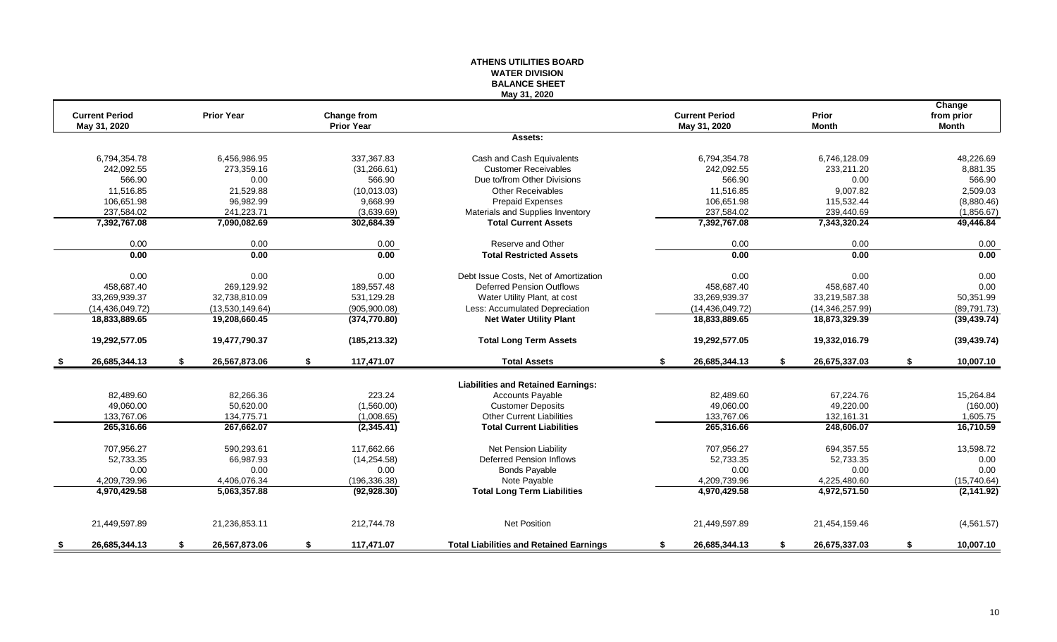#### **ATHENS UTILITIES BOARD WATER DIVISION BALANCE SHEET May 31, 2020**

|      |                       |                     |                    |                                                |    |                       |    |                 | Change          |
|------|-----------------------|---------------------|--------------------|------------------------------------------------|----|-----------------------|----|-----------------|-----------------|
|      | <b>Current Period</b> | <b>Prior Year</b>   | <b>Change from</b> |                                                |    | <b>Current Period</b> |    | Prior           | from prior      |
|      | May 31, 2020          |                     | <b>Prior Year</b>  |                                                |    | May 31, 2020          |    | <b>Month</b>    | Month           |
|      |                       |                     |                    | Assets:                                        |    |                       |    |                 |                 |
|      | 6.794.354.78          | 6.456.986.95        | 337.367.83         | Cash and Cash Equivalents                      |    | 6.794.354.78          |    | 6.746.128.09    | 48.226.69       |
|      | 242,092.55            | 273,359.16          | (31, 266.61)       | <b>Customer Receivables</b>                    |    | 242,092.55            |    | 233,211.20      | 8,881.35        |
|      | 566.90                | 0.00                | 566.90             | Due to/from Other Divisions                    |    | 566.90                |    | 0.00            | 566.90          |
|      | 11,516.85             | 21,529.88           | (10,013.03)        | <b>Other Receivables</b>                       |    | 11,516.85             |    | 9,007.82        | 2,509.03        |
|      | 106,651.98            | 96,982.99           | 9,668.99           | <b>Prepaid Expenses</b>                        |    | 106,651.98            |    | 115,532.44      | (8,880.46)      |
|      | 237,584.02            | 241,223.71          | (3,639.69)         | Materials and Supplies Inventory               |    | 237,584.02            |    | 239,440.69      | (1,856.67)      |
|      | 7,392,767.08          | 7,090,082.69        | 302,684.39         | <b>Total Current Assets</b>                    |    | 7,392,767.08          |    | 7,343,320.24    | 49,446.84       |
|      | 0.00                  | 0.00                | 0.00               | Reserve and Other                              |    | 0.00                  |    | 0.00            | 0.00            |
|      | 0.00                  | 0.00                | 0.00               | <b>Total Restricted Assets</b>                 |    | 0.00                  |    | 0.00            | 0.00            |
|      | 0.00                  | 0.00                | 0.00               | Debt Issue Costs. Net of Amortization          |    | 0.00                  |    | 0.00            | 0.00            |
|      | 458.687.40            | 269,129.92          | 189.557.48         | <b>Deferred Pension Outflows</b>               |    | 458,687.40            |    | 458.687.40      | 0.00            |
|      | 33.269.939.37         | 32.738.810.09       | 531.129.28         | Water Utility Plant, at cost                   |    | 33.269.939.37         |    | 33.219.587.38   | 50,351.99       |
|      | (14,436,049.72)       | (13,530,149.64)     | (905,900.08)       | Less: Accumulated Depreciation                 |    | (14, 436, 049.72)     |    | (14,346,257.99) | (89, 791.73)    |
|      | 18,833,889.65         | 19,208,660.45       | (374, 770.80)      | <b>Net Water Utility Plant</b>                 |    | 18,833,889.65         |    | 18,873,329.39   | (39, 439.74)    |
|      | 19,292,577.05         | 19,477,790.37       | (185, 213.32)      | <b>Total Long Term Assets</b>                  |    | 19,292,577.05         |    | 19,332,016.79   | (39, 439.74)    |
| -S   | 26,685,344.13         | \$<br>26,567,873.06 | \$<br>117,471.07   | <b>Total Assets</b>                            | s. | 26,685,344.13         | £. | 26,675,337.03   | \$<br>10,007.10 |
|      |                       |                     |                    | <b>Liabilities and Retained Earnings:</b>      |    |                       |    |                 |                 |
|      | 82,489.60             | 82,266.36           | 223.24             | <b>Accounts Payable</b>                        |    | 82,489.60             |    | 67,224.76       | 15,264.84       |
|      | 49.060.00             | 50,620.00           | (1,560.00)         | <b>Customer Deposits</b>                       |    | 49.060.00             |    | 49,220.00       | (160.00)        |
|      | 133,767.06            | 134,775.71          | (1,008.65)         | <b>Other Current Liabilities</b>               |    | 133,767.06            |    | 132,161.31      | 1,605.75        |
|      | 265,316.66            | 267,662.07          | (2,345.41)         | <b>Total Current Liabilities</b>               |    | 265,316.66            |    | 248,606.07      | 16,710.59       |
|      | 707,956.27            | 590.293.61          | 117.662.66         | Net Pension Liability                          |    | 707,956.27            |    | 694.357.55      | 13,598.72       |
|      | 52,733.35             | 66,987.93           | (14, 254.58)       | <b>Deferred Pension Inflows</b>                |    | 52,733.35             |    | 52,733.35       | 0.00            |
|      | 0.00                  | 0.00                | 0.00               | <b>Bonds Payable</b>                           |    | 0.00                  |    | 0.00            | 0.00            |
|      | 4,209,739.96          | 4,406,076.34        | (196, 336.38)      | Note Payable                                   |    | 4,209,739.96          |    | 4,225,480.60    | (15,740.64)     |
|      | 4,970,429.58          | 5.063.357.88        | (92, 928.30)       | <b>Total Long Term Liabilities</b>             |    | 4,970,429.58          |    | 4,972,571.50    | (2, 141.92)     |
|      | 21,449,597.89         | 21,236,853.11       | 212,744.78         | <b>Net Position</b>                            |    | 21,449,597.89         |    | 21,454,159.46   | (4,561.57)      |
|      | 26,685,344.13         | \$<br>26,567,873.06 | \$<br>117,471.07   | <b>Total Liabilities and Retained Earnings</b> | \$ | 26,685,344.13         | S. | 26,675,337.03   | \$<br>10,007.10 |
| - \$ |                       |                     |                    |                                                |    |                       |    |                 |                 |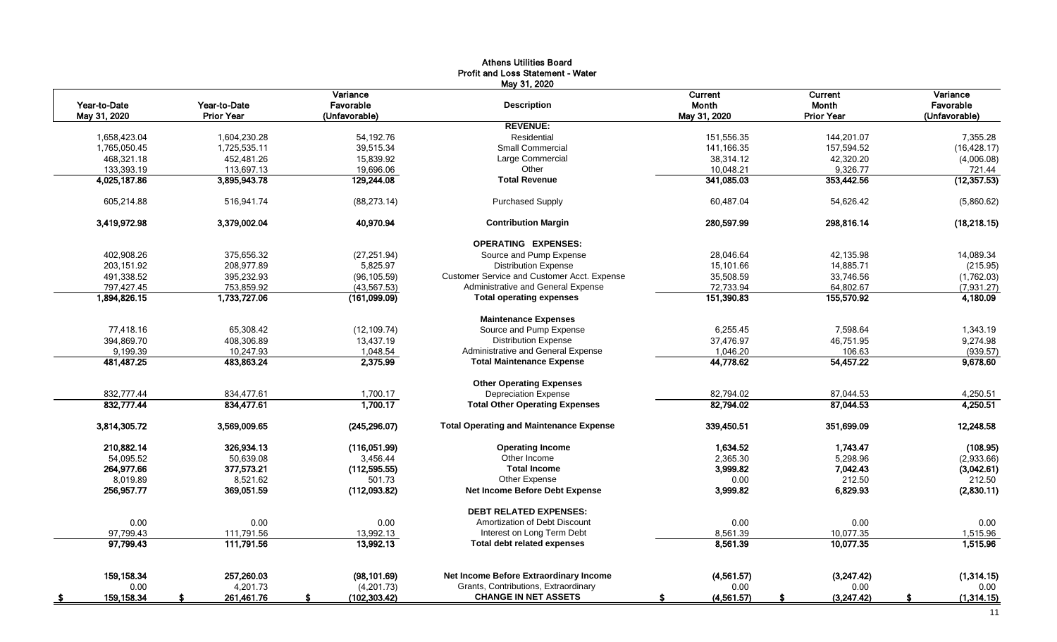|                          |                   |                     | <b>Athens Utilities Board</b>                  |                         |                        |                        |
|--------------------------|-------------------|---------------------|------------------------------------------------|-------------------------|------------------------|------------------------|
|                          |                   |                     | Profit and Loss Statement - Water              |                         |                        |                        |
|                          |                   |                     | May 31, 2020                                   |                         |                        |                        |
|                          |                   | Variance            |                                                | Current                 | <b>Current</b>         | Variance               |
| Year-to-Date             | Year-to-Date      | Favorable           | <b>Description</b>                             | Month                   | Month                  | Favorable              |
| May 31, 2020             | <b>Prior Year</b> | (Unfavorable)       |                                                | May 31, 2020            | <b>Prior Year</b>      | (Unfavorable)          |
|                          |                   |                     | <b>REVENUE:</b>                                |                         |                        |                        |
| 1,658,423.04             | 1,604,230.28      | 54,192.76           | Residential<br><b>Small Commercial</b>         | 151,556.35              | 144,201.07             | 7,355.28               |
| 1,765,050.45             | 1,725,535.11      | 39,515.34           |                                                | 141,166.35              | 157,594.52             | (16, 428.17)           |
| 468,321.18               | 452,481.26        | 15,839.92           | Large Commercial                               | 38,314.12               | 42,320.20              | (4,006.08)             |
| 133,393.19               | 113,697.13        | 19,696.06           | Other<br><b>Total Revenue</b>                  | 10,048.21<br>341,085.03 | 9,326.77<br>353,442.56 | 721.44<br>(12, 357.53) |
| 4,025,187.86             | 3,895,943.78      | 129,244.08          |                                                |                         |                        |                        |
| 605.214.88               | 516.941.74        | (88, 273, 14)       | <b>Purchased Supply</b>                        | 60.487.04               | 54,626.42              | (5,860.62)             |
| 3,419,972.98             | 3,379,002.04      | 40,970.94           | <b>Contribution Margin</b>                     | 280,597.99              | 298,816.14             | (18, 218.15)           |
|                          |                   |                     | <b>OPERATING EXPENSES:</b>                     |                         |                        |                        |
| 402.908.26               | 375,656.32        | (27, 251.94)        | Source and Pump Expense                        | 28,046.64               | 42,135.98              | 14,089.34              |
| 203,151.92               | 208,977.89        | 5,825.97            | <b>Distribution Expense</b>                    | 15,101.66               | 14,885.71              | (215.95)               |
| 491,338.52               | 395,232.93        | (96, 105.59)        | Customer Service and Customer Acct. Expense    | 35,508.59               | 33,746.56              | (1,762.03)             |
| 797,427.45               | 753,859.92        | (43, 567.53)        | Administrative and General Expense             | 72,733.94               | 64,802.67              | (7,931.27)             |
| 1,894,826.15             | 1,733,727.06      | (161,099.09)        | <b>Total operating expenses</b>                | 151,390.83              | 155,570.92             | 4,180.09               |
|                          |                   |                     | <b>Maintenance Expenses</b>                    |                         |                        |                        |
| 77.418.16                | 65.308.42         | (12, 109.74)        | Source and Pump Expense                        | 6.255.45                | 7.598.64               | 1,343.19               |
| 394.869.70               | 408.306.89        | 13.437.19           | <b>Distribution Expense</b>                    | 37,476.97               | 46.751.95              | 9,274.98               |
| 9,199.39                 | 10,247.93         | 1,048.54            | Administrative and General Expense             | 1,046.20                | 106.63                 | (939.57)               |
| 481,487.25               | 483,863.24        | 2,375.99            | <b>Total Maintenance Expense</b>               | 44,778.62               | 54,457.22              | 9,678.60               |
|                          |                   |                     | <b>Other Operating Expenses</b>                |                         |                        |                        |
| 832,777.44               | 834,477.61        | 1.700.17            | <b>Depreciation Expense</b>                    | 82,794.02               | 87,044.53              | 4,250.51               |
| 832,777.44               | 834,477.61        | 1,700.17            | <b>Total Other Operating Expenses</b>          | 82,794.02               | 87,044.53              | 4,250.51               |
| 3,814,305.72             | 3,569,009.65      | (245, 296.07)       | <b>Total Operating and Maintenance Expense</b> | 339,450.51              | 351,699.09             | 12,248.58              |
| 210,882.14               | 326,934.13        | (116,051.99)        | <b>Operating Income</b>                        | 1,634.52                | 1,743.47               | (108.95)               |
| 54,095.52                | 50,639.08         | 3,456.44            | Other Income                                   | 2,365.30                | 5,298.96               | (2,933.66)             |
| 264,977.66               | 377,573.21        | (112, 595.55)       | <b>Total Income</b>                            | 3,999.82                | 7,042.43               | (3,042.61)             |
| 8.019.89                 | 8,521.62          | 501.73              | Other Expense                                  | 0.00                    | 212.50                 | 212.50                 |
| 256,957.77               | 369,051.59        | (112,093.82)        | Net Income Before Debt Expense                 | 3,999.82                | 6,829.93               | (2,830.11)             |
|                          |                   |                     | <b>DEBT RELATED EXPENSES:</b>                  |                         |                        |                        |
| 0.00                     | 0.00              | 0.00                | Amortization of Debt Discount                  | 0.00                    | 0.00                   | 0.00                   |
| 97,799.43                | 111,791.56        | 13,992.13           | Interest on Long Term Debt                     | 8,561.39                | 10,077.35              | 1,515.96               |
| 97,799.43                | 111,791.56        | 13,992.13           | <b>Total debt related expenses</b>             | 8,561.39                | 10,077.35              | 1,515.96               |
| 159,158.34               | 257,260.03        | (98, 101.69)        | Net Income Before Extraordinary Income         | (4,561.57)              | (3,247.42)             | (1,314.15)             |
| 0.00                     | 4,201.73          | (4,201.73)          | Grants, Contributions, Extraordinary           | 0.00                    | 0.00                   | 0.00                   |
| 159,158.34<br>$\sqrt{5}$ | 261,461.76<br>\$. | (102, 303.42)<br>\$ | <b>CHANGE IN NET ASSETS</b>                    | (4,561.57)<br>S.        | \$<br>(3,247.42)       | \$<br>(1, 314.15)      |
|                          |                   |                     |                                                |                         |                        |                        |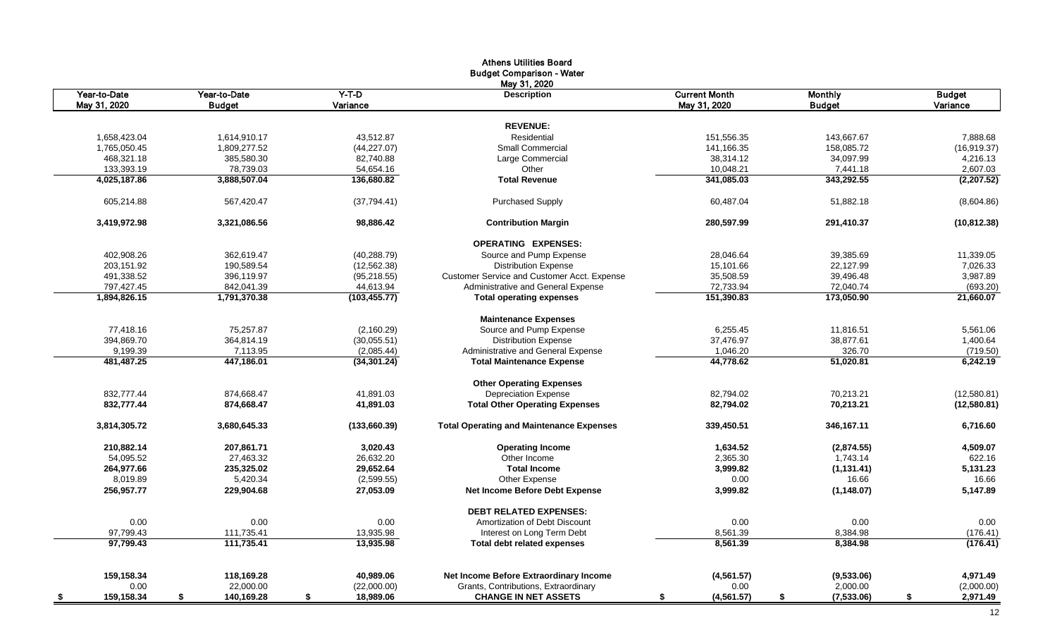| <b>Budget Comparison - Water</b><br>May 31, 2020<br>$Y-T-D$<br><b>Current Month</b><br>Year-to-Date<br>Year-to-Date<br><b>Description</b><br><b>Monthly</b><br><b>Budget</b><br>May 31, 2020<br>Variance<br>May 31, 2020<br><b>Budget</b><br><b>Budget</b><br>Variance<br><b>REVENUE:</b><br>Residential<br>1,658,423.04<br>1,614,910.17<br>43,512.87<br>151,556.35<br>143,667.67<br>7,888.68<br>Small Commercial<br>1,765,050.45<br>1,809,277.52<br>(44, 227.07)<br>141,166.35<br>158,085.72<br>(16, 919.37)<br>468,321.18<br>385,580.30<br>82,740.88<br>Large Commercial<br>38,314.12<br>34,097.99<br>4,216.13<br>133,393.19<br>78,739.03<br>10,048.21<br>54,654.16<br>Other<br>7,441.18<br>343,292.55<br>4,025,187.86<br>3,888,507.04<br>136,680.82<br><b>Total Revenue</b><br>341,085.03<br>(2,207.52)<br>605,214.88<br>567,420.47<br>(37, 794.41)<br><b>Purchased Supply</b><br>60,487.04<br>51,882.18<br>3.419.972.98<br>98.886.42<br>280.597.99<br>291.410.37<br>3.321.086.56<br><b>Contribution Margin</b><br><b>OPERATING EXPENSES:</b><br>Source and Pump Expense<br>402,908.26<br>362,619.47<br>(40, 288.79)<br>28,046.64<br>39,385.69<br>11,339.05<br>203,151.92<br>190,589.54<br>(12, 562.38)<br><b>Distribution Expense</b><br>15,101.66<br>22,127.99<br>7,026.33<br>491,338.52<br>35,508.59<br>396,119.97<br>(95, 218.55)<br>Customer Service and Customer Acct. Expense<br>39,496.48<br>3,987.89<br>797,427.45<br>842,041.39<br>44,613.94<br>Administrative and General Expense<br>72,733.94<br>72,040.74<br>(693.20)<br>1,894,826.15<br>1,791,370.38<br>(103, 455.77)<br><b>Total operating expenses</b><br>151,390.83<br>173,050.90<br><b>Maintenance Expenses</b><br>75,257.87<br>77,418.16<br>(2,160.29)<br>Source and Pump Expense<br>6,255.45<br>11,816.51<br>5,561.06<br>394,869.70<br>37,476.97<br>364,814.19<br>(30,055.51)<br><b>Distribution Expense</b><br>38,877.61<br>1,400.64<br>9,199.39<br>7,113.95<br>Administrative and General Expense<br>1,046.20<br>326.70<br>(2,085.44)<br>(719.50)<br>481.487.25<br>447,186.01<br><b>Total Maintenance Expense</b><br>44,778.62<br>51,020.81<br>(34, 301.24)<br><b>Other Operating Expenses</b><br>832,777.44<br><b>Depreciation Expense</b><br>874,668.47<br>41,891.03<br>82,794.02<br>70,213.21<br>832,777.44<br>874,668.47<br>41,891.03<br><b>Total Other Operating Expenses</b><br>82,794.02<br>70,213.21<br>3,814,305.72<br><b>Total Operating and Maintenance Expenses</b><br>339,450.51<br>3,680,645.33<br>(133,660.39)<br>346,167.11<br>1,634.52<br>210,882.14<br>207,861.71<br>3,020.43<br><b>Operating Income</b><br>(2,874.55)<br>54,095.52<br>27,463.32<br>26,632.20<br>Other Income<br>2,365.30<br>1,743.14<br>264,977.66<br>235,325.02<br>29,652.64<br><b>Total Income</b><br>3,999.82<br>(1, 131.41)<br>8,019.89<br>5,420.34<br>(2,599.55)<br>Other Expense<br>0.00<br>16.66<br>256,957.77<br>27,053.09<br>3,999.82<br>229,904.68<br>Net Income Before Debt Expense<br>(1, 148.07)<br><b>DEBT RELATED EXPENSES:</b><br>0.00<br>0.00<br>0.00<br>0.00<br>Amortization of Debt Discount<br>0.00<br>8,561.39<br>8,384.98<br>97,799.43<br>111,735.41<br>13,935.98<br>Interest on Long Term Debt<br>111,735.41<br>13.935.98<br>8.561.39<br>8,384.98<br>97.799.43<br><b>Total debt related expenses</b><br>159,158.34<br>118,169.28<br>Net Income Before Extraordinary Income<br>4,971.49<br>40,989.06<br>(4, 561.57)<br>(9,533.06)<br>0.00<br>22,000.00<br>(22,000.00)<br>Grants, Contributions, Extraordinary<br>0.00<br>2,000.00<br>(2,000.00)<br>159,158.34<br>\$<br>140,169.28<br>\$<br>18,989.06<br><b>CHANGE IN NET ASSETS</b><br>\$<br>\$<br>(4, 561.57)<br>\$<br>(7,533.06) |          |  | <b>Athens Utilities Board</b> |  |              |
|----------------------------------------------------------------------------------------------------------------------------------------------------------------------------------------------------------------------------------------------------------------------------------------------------------------------------------------------------------------------------------------------------------------------------------------------------------------------------------------------------------------------------------------------------------------------------------------------------------------------------------------------------------------------------------------------------------------------------------------------------------------------------------------------------------------------------------------------------------------------------------------------------------------------------------------------------------------------------------------------------------------------------------------------------------------------------------------------------------------------------------------------------------------------------------------------------------------------------------------------------------------------------------------------------------------------------------------------------------------------------------------------------------------------------------------------------------------------------------------------------------------------------------------------------------------------------------------------------------------------------------------------------------------------------------------------------------------------------------------------------------------------------------------------------------------------------------------------------------------------------------------------------------------------------------------------------------------------------------------------------------------------------------------------------------------------------------------------------------------------------------------------------------------------------------------------------------------------------------------------------------------------------------------------------------------------------------------------------------------------------------------------------------------------------------------------------------------------------------------------------------------------------------------------------------------------------------------------------------------------------------------------------------------------------------------------------------------------------------------------------------------------------------------------------------------------------------------------------------------------------------------------------------------------------------------------------------------------------------------------------------------------------------------------------------------------------------------------------------------------------------------------------------------------------------------------------------------------------------------------------------------------------------------------------------------------------------------------------------------------------------------------------------------------------------------------------------------------------------------------------------------------------------------------------------------------------------------------------------------------------------------------------------------------|----------|--|-------------------------------|--|--------------|
|                                                                                                                                                                                                                                                                                                                                                                                                                                                                                                                                                                                                                                                                                                                                                                                                                                                                                                                                                                                                                                                                                                                                                                                                                                                                                                                                                                                                                                                                                                                                                                                                                                                                                                                                                                                                                                                                                                                                                                                                                                                                                                                                                                                                                                                                                                                                                                                                                                                                                                                                                                                                                                                                                                                                                                                                                                                                                                                                                                                                                                                                                                                                                                                                                                                                                                                                                                                                                                                                                                                                                                                                                                                                      |          |  |                               |  |              |
|                                                                                                                                                                                                                                                                                                                                                                                                                                                                                                                                                                                                                                                                                                                                                                                                                                                                                                                                                                                                                                                                                                                                                                                                                                                                                                                                                                                                                                                                                                                                                                                                                                                                                                                                                                                                                                                                                                                                                                                                                                                                                                                                                                                                                                                                                                                                                                                                                                                                                                                                                                                                                                                                                                                                                                                                                                                                                                                                                                                                                                                                                                                                                                                                                                                                                                                                                                                                                                                                                                                                                                                                                                                                      |          |  |                               |  |              |
|                                                                                                                                                                                                                                                                                                                                                                                                                                                                                                                                                                                                                                                                                                                                                                                                                                                                                                                                                                                                                                                                                                                                                                                                                                                                                                                                                                                                                                                                                                                                                                                                                                                                                                                                                                                                                                                                                                                                                                                                                                                                                                                                                                                                                                                                                                                                                                                                                                                                                                                                                                                                                                                                                                                                                                                                                                                                                                                                                                                                                                                                                                                                                                                                                                                                                                                                                                                                                                                                                                                                                                                                                                                                      |          |  |                               |  |              |
|                                                                                                                                                                                                                                                                                                                                                                                                                                                                                                                                                                                                                                                                                                                                                                                                                                                                                                                                                                                                                                                                                                                                                                                                                                                                                                                                                                                                                                                                                                                                                                                                                                                                                                                                                                                                                                                                                                                                                                                                                                                                                                                                                                                                                                                                                                                                                                                                                                                                                                                                                                                                                                                                                                                                                                                                                                                                                                                                                                                                                                                                                                                                                                                                                                                                                                                                                                                                                                                                                                                                                                                                                                                                      |          |  |                               |  |              |
|                                                                                                                                                                                                                                                                                                                                                                                                                                                                                                                                                                                                                                                                                                                                                                                                                                                                                                                                                                                                                                                                                                                                                                                                                                                                                                                                                                                                                                                                                                                                                                                                                                                                                                                                                                                                                                                                                                                                                                                                                                                                                                                                                                                                                                                                                                                                                                                                                                                                                                                                                                                                                                                                                                                                                                                                                                                                                                                                                                                                                                                                                                                                                                                                                                                                                                                                                                                                                                                                                                                                                                                                                                                                      |          |  |                               |  |              |
|                                                                                                                                                                                                                                                                                                                                                                                                                                                                                                                                                                                                                                                                                                                                                                                                                                                                                                                                                                                                                                                                                                                                                                                                                                                                                                                                                                                                                                                                                                                                                                                                                                                                                                                                                                                                                                                                                                                                                                                                                                                                                                                                                                                                                                                                                                                                                                                                                                                                                                                                                                                                                                                                                                                                                                                                                                                                                                                                                                                                                                                                                                                                                                                                                                                                                                                                                                                                                                                                                                                                                                                                                                                                      |          |  |                               |  |              |
|                                                                                                                                                                                                                                                                                                                                                                                                                                                                                                                                                                                                                                                                                                                                                                                                                                                                                                                                                                                                                                                                                                                                                                                                                                                                                                                                                                                                                                                                                                                                                                                                                                                                                                                                                                                                                                                                                                                                                                                                                                                                                                                                                                                                                                                                                                                                                                                                                                                                                                                                                                                                                                                                                                                                                                                                                                                                                                                                                                                                                                                                                                                                                                                                                                                                                                                                                                                                                                                                                                                                                                                                                                                                      |          |  |                               |  |              |
|                                                                                                                                                                                                                                                                                                                                                                                                                                                                                                                                                                                                                                                                                                                                                                                                                                                                                                                                                                                                                                                                                                                                                                                                                                                                                                                                                                                                                                                                                                                                                                                                                                                                                                                                                                                                                                                                                                                                                                                                                                                                                                                                                                                                                                                                                                                                                                                                                                                                                                                                                                                                                                                                                                                                                                                                                                                                                                                                                                                                                                                                                                                                                                                                                                                                                                                                                                                                                                                                                                                                                                                                                                                                      |          |  |                               |  |              |
|                                                                                                                                                                                                                                                                                                                                                                                                                                                                                                                                                                                                                                                                                                                                                                                                                                                                                                                                                                                                                                                                                                                                                                                                                                                                                                                                                                                                                                                                                                                                                                                                                                                                                                                                                                                                                                                                                                                                                                                                                                                                                                                                                                                                                                                                                                                                                                                                                                                                                                                                                                                                                                                                                                                                                                                                                                                                                                                                                                                                                                                                                                                                                                                                                                                                                                                                                                                                                                                                                                                                                                                                                                                                      |          |  |                               |  |              |
|                                                                                                                                                                                                                                                                                                                                                                                                                                                                                                                                                                                                                                                                                                                                                                                                                                                                                                                                                                                                                                                                                                                                                                                                                                                                                                                                                                                                                                                                                                                                                                                                                                                                                                                                                                                                                                                                                                                                                                                                                                                                                                                                                                                                                                                                                                                                                                                                                                                                                                                                                                                                                                                                                                                                                                                                                                                                                                                                                                                                                                                                                                                                                                                                                                                                                                                                                                                                                                                                                                                                                                                                                                                                      |          |  |                               |  | 2,607.03     |
|                                                                                                                                                                                                                                                                                                                                                                                                                                                                                                                                                                                                                                                                                                                                                                                                                                                                                                                                                                                                                                                                                                                                                                                                                                                                                                                                                                                                                                                                                                                                                                                                                                                                                                                                                                                                                                                                                                                                                                                                                                                                                                                                                                                                                                                                                                                                                                                                                                                                                                                                                                                                                                                                                                                                                                                                                                                                                                                                                                                                                                                                                                                                                                                                                                                                                                                                                                                                                                                                                                                                                                                                                                                                      |          |  |                               |  |              |
|                                                                                                                                                                                                                                                                                                                                                                                                                                                                                                                                                                                                                                                                                                                                                                                                                                                                                                                                                                                                                                                                                                                                                                                                                                                                                                                                                                                                                                                                                                                                                                                                                                                                                                                                                                                                                                                                                                                                                                                                                                                                                                                                                                                                                                                                                                                                                                                                                                                                                                                                                                                                                                                                                                                                                                                                                                                                                                                                                                                                                                                                                                                                                                                                                                                                                                                                                                                                                                                                                                                                                                                                                                                                      |          |  |                               |  | (8,604.86)   |
|                                                                                                                                                                                                                                                                                                                                                                                                                                                                                                                                                                                                                                                                                                                                                                                                                                                                                                                                                                                                                                                                                                                                                                                                                                                                                                                                                                                                                                                                                                                                                                                                                                                                                                                                                                                                                                                                                                                                                                                                                                                                                                                                                                                                                                                                                                                                                                                                                                                                                                                                                                                                                                                                                                                                                                                                                                                                                                                                                                                                                                                                                                                                                                                                                                                                                                                                                                                                                                                                                                                                                                                                                                                                      |          |  |                               |  | (10, 812.38) |
|                                                                                                                                                                                                                                                                                                                                                                                                                                                                                                                                                                                                                                                                                                                                                                                                                                                                                                                                                                                                                                                                                                                                                                                                                                                                                                                                                                                                                                                                                                                                                                                                                                                                                                                                                                                                                                                                                                                                                                                                                                                                                                                                                                                                                                                                                                                                                                                                                                                                                                                                                                                                                                                                                                                                                                                                                                                                                                                                                                                                                                                                                                                                                                                                                                                                                                                                                                                                                                                                                                                                                                                                                                                                      |          |  |                               |  |              |
|                                                                                                                                                                                                                                                                                                                                                                                                                                                                                                                                                                                                                                                                                                                                                                                                                                                                                                                                                                                                                                                                                                                                                                                                                                                                                                                                                                                                                                                                                                                                                                                                                                                                                                                                                                                                                                                                                                                                                                                                                                                                                                                                                                                                                                                                                                                                                                                                                                                                                                                                                                                                                                                                                                                                                                                                                                                                                                                                                                                                                                                                                                                                                                                                                                                                                                                                                                                                                                                                                                                                                                                                                                                                      |          |  |                               |  |              |
|                                                                                                                                                                                                                                                                                                                                                                                                                                                                                                                                                                                                                                                                                                                                                                                                                                                                                                                                                                                                                                                                                                                                                                                                                                                                                                                                                                                                                                                                                                                                                                                                                                                                                                                                                                                                                                                                                                                                                                                                                                                                                                                                                                                                                                                                                                                                                                                                                                                                                                                                                                                                                                                                                                                                                                                                                                                                                                                                                                                                                                                                                                                                                                                                                                                                                                                                                                                                                                                                                                                                                                                                                                                                      |          |  |                               |  |              |
|                                                                                                                                                                                                                                                                                                                                                                                                                                                                                                                                                                                                                                                                                                                                                                                                                                                                                                                                                                                                                                                                                                                                                                                                                                                                                                                                                                                                                                                                                                                                                                                                                                                                                                                                                                                                                                                                                                                                                                                                                                                                                                                                                                                                                                                                                                                                                                                                                                                                                                                                                                                                                                                                                                                                                                                                                                                                                                                                                                                                                                                                                                                                                                                                                                                                                                                                                                                                                                                                                                                                                                                                                                                                      |          |  |                               |  |              |
|                                                                                                                                                                                                                                                                                                                                                                                                                                                                                                                                                                                                                                                                                                                                                                                                                                                                                                                                                                                                                                                                                                                                                                                                                                                                                                                                                                                                                                                                                                                                                                                                                                                                                                                                                                                                                                                                                                                                                                                                                                                                                                                                                                                                                                                                                                                                                                                                                                                                                                                                                                                                                                                                                                                                                                                                                                                                                                                                                                                                                                                                                                                                                                                                                                                                                                                                                                                                                                                                                                                                                                                                                                                                      |          |  |                               |  |              |
|                                                                                                                                                                                                                                                                                                                                                                                                                                                                                                                                                                                                                                                                                                                                                                                                                                                                                                                                                                                                                                                                                                                                                                                                                                                                                                                                                                                                                                                                                                                                                                                                                                                                                                                                                                                                                                                                                                                                                                                                                                                                                                                                                                                                                                                                                                                                                                                                                                                                                                                                                                                                                                                                                                                                                                                                                                                                                                                                                                                                                                                                                                                                                                                                                                                                                                                                                                                                                                                                                                                                                                                                                                                                      |          |  |                               |  | 21,660.07    |
|                                                                                                                                                                                                                                                                                                                                                                                                                                                                                                                                                                                                                                                                                                                                                                                                                                                                                                                                                                                                                                                                                                                                                                                                                                                                                                                                                                                                                                                                                                                                                                                                                                                                                                                                                                                                                                                                                                                                                                                                                                                                                                                                                                                                                                                                                                                                                                                                                                                                                                                                                                                                                                                                                                                                                                                                                                                                                                                                                                                                                                                                                                                                                                                                                                                                                                                                                                                                                                                                                                                                                                                                                                                                      |          |  |                               |  |              |
|                                                                                                                                                                                                                                                                                                                                                                                                                                                                                                                                                                                                                                                                                                                                                                                                                                                                                                                                                                                                                                                                                                                                                                                                                                                                                                                                                                                                                                                                                                                                                                                                                                                                                                                                                                                                                                                                                                                                                                                                                                                                                                                                                                                                                                                                                                                                                                                                                                                                                                                                                                                                                                                                                                                                                                                                                                                                                                                                                                                                                                                                                                                                                                                                                                                                                                                                                                                                                                                                                                                                                                                                                                                                      |          |  |                               |  |              |
|                                                                                                                                                                                                                                                                                                                                                                                                                                                                                                                                                                                                                                                                                                                                                                                                                                                                                                                                                                                                                                                                                                                                                                                                                                                                                                                                                                                                                                                                                                                                                                                                                                                                                                                                                                                                                                                                                                                                                                                                                                                                                                                                                                                                                                                                                                                                                                                                                                                                                                                                                                                                                                                                                                                                                                                                                                                                                                                                                                                                                                                                                                                                                                                                                                                                                                                                                                                                                                                                                                                                                                                                                                                                      |          |  |                               |  |              |
|                                                                                                                                                                                                                                                                                                                                                                                                                                                                                                                                                                                                                                                                                                                                                                                                                                                                                                                                                                                                                                                                                                                                                                                                                                                                                                                                                                                                                                                                                                                                                                                                                                                                                                                                                                                                                                                                                                                                                                                                                                                                                                                                                                                                                                                                                                                                                                                                                                                                                                                                                                                                                                                                                                                                                                                                                                                                                                                                                                                                                                                                                                                                                                                                                                                                                                                                                                                                                                                                                                                                                                                                                                                                      |          |  |                               |  |              |
|                                                                                                                                                                                                                                                                                                                                                                                                                                                                                                                                                                                                                                                                                                                                                                                                                                                                                                                                                                                                                                                                                                                                                                                                                                                                                                                                                                                                                                                                                                                                                                                                                                                                                                                                                                                                                                                                                                                                                                                                                                                                                                                                                                                                                                                                                                                                                                                                                                                                                                                                                                                                                                                                                                                                                                                                                                                                                                                                                                                                                                                                                                                                                                                                                                                                                                                                                                                                                                                                                                                                                                                                                                                                      |          |  |                               |  |              |
|                                                                                                                                                                                                                                                                                                                                                                                                                                                                                                                                                                                                                                                                                                                                                                                                                                                                                                                                                                                                                                                                                                                                                                                                                                                                                                                                                                                                                                                                                                                                                                                                                                                                                                                                                                                                                                                                                                                                                                                                                                                                                                                                                                                                                                                                                                                                                                                                                                                                                                                                                                                                                                                                                                                                                                                                                                                                                                                                                                                                                                                                                                                                                                                                                                                                                                                                                                                                                                                                                                                                                                                                                                                                      |          |  |                               |  | 6,242.19     |
|                                                                                                                                                                                                                                                                                                                                                                                                                                                                                                                                                                                                                                                                                                                                                                                                                                                                                                                                                                                                                                                                                                                                                                                                                                                                                                                                                                                                                                                                                                                                                                                                                                                                                                                                                                                                                                                                                                                                                                                                                                                                                                                                                                                                                                                                                                                                                                                                                                                                                                                                                                                                                                                                                                                                                                                                                                                                                                                                                                                                                                                                                                                                                                                                                                                                                                                                                                                                                                                                                                                                                                                                                                                                      |          |  |                               |  |              |
|                                                                                                                                                                                                                                                                                                                                                                                                                                                                                                                                                                                                                                                                                                                                                                                                                                                                                                                                                                                                                                                                                                                                                                                                                                                                                                                                                                                                                                                                                                                                                                                                                                                                                                                                                                                                                                                                                                                                                                                                                                                                                                                                                                                                                                                                                                                                                                                                                                                                                                                                                                                                                                                                                                                                                                                                                                                                                                                                                                                                                                                                                                                                                                                                                                                                                                                                                                                                                                                                                                                                                                                                                                                                      |          |  |                               |  | (12,580.81)  |
|                                                                                                                                                                                                                                                                                                                                                                                                                                                                                                                                                                                                                                                                                                                                                                                                                                                                                                                                                                                                                                                                                                                                                                                                                                                                                                                                                                                                                                                                                                                                                                                                                                                                                                                                                                                                                                                                                                                                                                                                                                                                                                                                                                                                                                                                                                                                                                                                                                                                                                                                                                                                                                                                                                                                                                                                                                                                                                                                                                                                                                                                                                                                                                                                                                                                                                                                                                                                                                                                                                                                                                                                                                                                      |          |  |                               |  | (12,580.81)  |
|                                                                                                                                                                                                                                                                                                                                                                                                                                                                                                                                                                                                                                                                                                                                                                                                                                                                                                                                                                                                                                                                                                                                                                                                                                                                                                                                                                                                                                                                                                                                                                                                                                                                                                                                                                                                                                                                                                                                                                                                                                                                                                                                                                                                                                                                                                                                                                                                                                                                                                                                                                                                                                                                                                                                                                                                                                                                                                                                                                                                                                                                                                                                                                                                                                                                                                                                                                                                                                                                                                                                                                                                                                                                      |          |  |                               |  | 6,716.60     |
|                                                                                                                                                                                                                                                                                                                                                                                                                                                                                                                                                                                                                                                                                                                                                                                                                                                                                                                                                                                                                                                                                                                                                                                                                                                                                                                                                                                                                                                                                                                                                                                                                                                                                                                                                                                                                                                                                                                                                                                                                                                                                                                                                                                                                                                                                                                                                                                                                                                                                                                                                                                                                                                                                                                                                                                                                                                                                                                                                                                                                                                                                                                                                                                                                                                                                                                                                                                                                                                                                                                                                                                                                                                                      |          |  |                               |  | 4,509.07     |
|                                                                                                                                                                                                                                                                                                                                                                                                                                                                                                                                                                                                                                                                                                                                                                                                                                                                                                                                                                                                                                                                                                                                                                                                                                                                                                                                                                                                                                                                                                                                                                                                                                                                                                                                                                                                                                                                                                                                                                                                                                                                                                                                                                                                                                                                                                                                                                                                                                                                                                                                                                                                                                                                                                                                                                                                                                                                                                                                                                                                                                                                                                                                                                                                                                                                                                                                                                                                                                                                                                                                                                                                                                                                      |          |  |                               |  | 622.16       |
|                                                                                                                                                                                                                                                                                                                                                                                                                                                                                                                                                                                                                                                                                                                                                                                                                                                                                                                                                                                                                                                                                                                                                                                                                                                                                                                                                                                                                                                                                                                                                                                                                                                                                                                                                                                                                                                                                                                                                                                                                                                                                                                                                                                                                                                                                                                                                                                                                                                                                                                                                                                                                                                                                                                                                                                                                                                                                                                                                                                                                                                                                                                                                                                                                                                                                                                                                                                                                                                                                                                                                                                                                                                                      |          |  |                               |  | 5,131.23     |
|                                                                                                                                                                                                                                                                                                                                                                                                                                                                                                                                                                                                                                                                                                                                                                                                                                                                                                                                                                                                                                                                                                                                                                                                                                                                                                                                                                                                                                                                                                                                                                                                                                                                                                                                                                                                                                                                                                                                                                                                                                                                                                                                                                                                                                                                                                                                                                                                                                                                                                                                                                                                                                                                                                                                                                                                                                                                                                                                                                                                                                                                                                                                                                                                                                                                                                                                                                                                                                                                                                                                                                                                                                                                      |          |  |                               |  | 16.66        |
|                                                                                                                                                                                                                                                                                                                                                                                                                                                                                                                                                                                                                                                                                                                                                                                                                                                                                                                                                                                                                                                                                                                                                                                                                                                                                                                                                                                                                                                                                                                                                                                                                                                                                                                                                                                                                                                                                                                                                                                                                                                                                                                                                                                                                                                                                                                                                                                                                                                                                                                                                                                                                                                                                                                                                                                                                                                                                                                                                                                                                                                                                                                                                                                                                                                                                                                                                                                                                                                                                                                                                                                                                                                                      |          |  |                               |  | 5,147.89     |
|                                                                                                                                                                                                                                                                                                                                                                                                                                                                                                                                                                                                                                                                                                                                                                                                                                                                                                                                                                                                                                                                                                                                                                                                                                                                                                                                                                                                                                                                                                                                                                                                                                                                                                                                                                                                                                                                                                                                                                                                                                                                                                                                                                                                                                                                                                                                                                                                                                                                                                                                                                                                                                                                                                                                                                                                                                                                                                                                                                                                                                                                                                                                                                                                                                                                                                                                                                                                                                                                                                                                                                                                                                                                      |          |  |                               |  |              |
|                                                                                                                                                                                                                                                                                                                                                                                                                                                                                                                                                                                                                                                                                                                                                                                                                                                                                                                                                                                                                                                                                                                                                                                                                                                                                                                                                                                                                                                                                                                                                                                                                                                                                                                                                                                                                                                                                                                                                                                                                                                                                                                                                                                                                                                                                                                                                                                                                                                                                                                                                                                                                                                                                                                                                                                                                                                                                                                                                                                                                                                                                                                                                                                                                                                                                                                                                                                                                                                                                                                                                                                                                                                                      |          |  |                               |  | 0.00         |
|                                                                                                                                                                                                                                                                                                                                                                                                                                                                                                                                                                                                                                                                                                                                                                                                                                                                                                                                                                                                                                                                                                                                                                                                                                                                                                                                                                                                                                                                                                                                                                                                                                                                                                                                                                                                                                                                                                                                                                                                                                                                                                                                                                                                                                                                                                                                                                                                                                                                                                                                                                                                                                                                                                                                                                                                                                                                                                                                                                                                                                                                                                                                                                                                                                                                                                                                                                                                                                                                                                                                                                                                                                                                      |          |  |                               |  | (176.41)     |
|                                                                                                                                                                                                                                                                                                                                                                                                                                                                                                                                                                                                                                                                                                                                                                                                                                                                                                                                                                                                                                                                                                                                                                                                                                                                                                                                                                                                                                                                                                                                                                                                                                                                                                                                                                                                                                                                                                                                                                                                                                                                                                                                                                                                                                                                                                                                                                                                                                                                                                                                                                                                                                                                                                                                                                                                                                                                                                                                                                                                                                                                                                                                                                                                                                                                                                                                                                                                                                                                                                                                                                                                                                                                      |          |  |                               |  | (176.41)     |
|                                                                                                                                                                                                                                                                                                                                                                                                                                                                                                                                                                                                                                                                                                                                                                                                                                                                                                                                                                                                                                                                                                                                                                                                                                                                                                                                                                                                                                                                                                                                                                                                                                                                                                                                                                                                                                                                                                                                                                                                                                                                                                                                                                                                                                                                                                                                                                                                                                                                                                                                                                                                                                                                                                                                                                                                                                                                                                                                                                                                                                                                                                                                                                                                                                                                                                                                                                                                                                                                                                                                                                                                                                                                      |          |  |                               |  |              |
|                                                                                                                                                                                                                                                                                                                                                                                                                                                                                                                                                                                                                                                                                                                                                                                                                                                                                                                                                                                                                                                                                                                                                                                                                                                                                                                                                                                                                                                                                                                                                                                                                                                                                                                                                                                                                                                                                                                                                                                                                                                                                                                                                                                                                                                                                                                                                                                                                                                                                                                                                                                                                                                                                                                                                                                                                                                                                                                                                                                                                                                                                                                                                                                                                                                                                                                                                                                                                                                                                                                                                                                                                                                                      |          |  |                               |  |              |
|                                                                                                                                                                                                                                                                                                                                                                                                                                                                                                                                                                                                                                                                                                                                                                                                                                                                                                                                                                                                                                                                                                                                                                                                                                                                                                                                                                                                                                                                                                                                                                                                                                                                                                                                                                                                                                                                                                                                                                                                                                                                                                                                                                                                                                                                                                                                                                                                                                                                                                                                                                                                                                                                                                                                                                                                                                                                                                                                                                                                                                                                                                                                                                                                                                                                                                                                                                                                                                                                                                                                                                                                                                                                      | <u>s</u> |  |                               |  | 2,971.49     |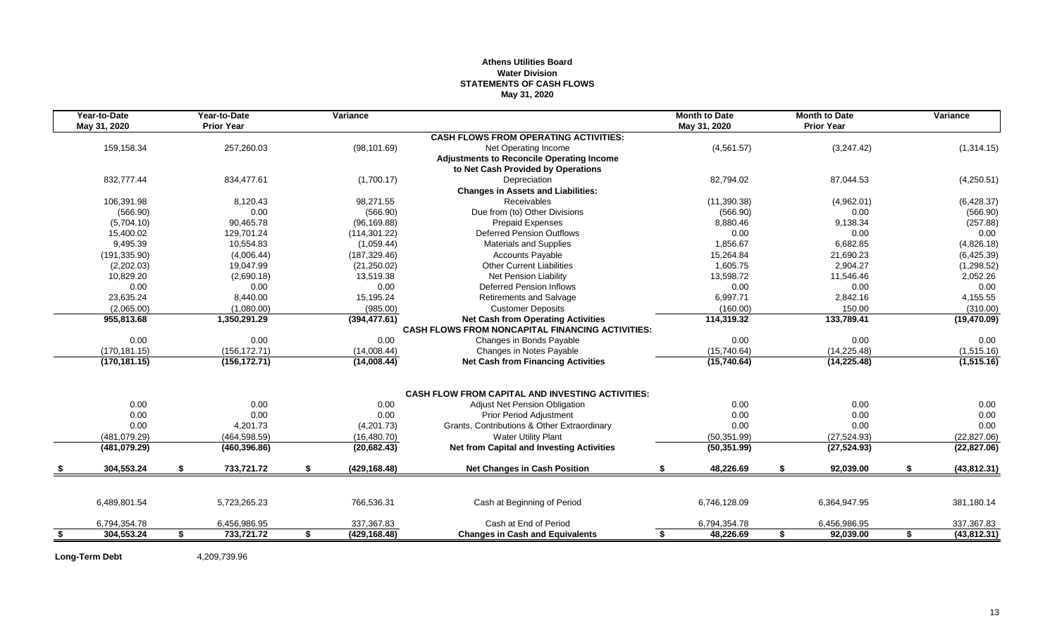# **Athens Utilities Board Water Division STATEMENTS OF CASH FLOWS May 31, 2020**

| May 31, 2020<br><b>Prior Year</b><br>May 31, 2020<br><b>Prior Year</b><br><b>CASH FLOWS FROM OPERATING ACTIVITIES:</b><br>159,158.34<br>257,260.03<br>(4, 561.57)<br>(3,247.42)<br>(98, 101.69)<br>Net Operating Income<br><b>Adjustments to Reconcile Operating Income</b><br>to Net Cash Provided by Operations<br>832,777.44<br>834,477.61<br>(1,700.17)<br>Depreciation<br>82,794.02<br>87,044.53<br><b>Changes in Assets and Liabilities:</b><br>106,391.98<br><b>Receivables</b><br>(11, 390.38)<br>8,120.43<br>98,271.55<br>(4,962.01)<br>Due from (to) Other Divisions<br>(566.90)<br>0.00<br>(566.90)<br>(566.90)<br>0.00<br>(5,704.10)<br>90,465.78<br>(96, 169.88)<br><b>Prepaid Expenses</b><br>9,138.34<br>8,880.46<br>15,400.02<br>129,701.24<br><b>Deferred Pension Outflows</b><br>0.00<br>0.00<br>(114, 301.22)<br>9,495.39<br>1,856.67<br>6,682.85<br>10,554.83<br>(1,059.44)<br><b>Materials and Supplies</b><br>(191, 335.90)<br>(4,006.44)<br>(187, 329.46)<br><b>Accounts Payable</b><br>15,264.84<br>21,690.23<br><b>Other Current Liabilities</b><br>1.605.75<br>2.904.27<br>(2,202.03)<br>19,047.99<br>(21, 250.02)<br>10,829.20<br>13,519.38<br><b>Net Pension Liability</b><br>13,598.72<br>11,546.46<br>(2,690.18)<br>0.00<br>0.00<br>0.00<br><b>Deferred Pension Inflows</b><br>0.00<br>0.00<br>23,635.24<br>8,440.00<br>6,997.71<br>2,842.16<br>15,195.24<br>Retirements and Salvage<br>(2,065.00)<br>(1,080.00)<br>(985.00)<br><b>Customer Deposits</b><br>(160.00)<br>150.00 |                    | <b>Month to Date</b> | <b>Month to Date</b> |                                           | Variance | Year-to-Date | Year-to-Date |  |
|--------------------------------------------------------------------------------------------------------------------------------------------------------------------------------------------------------------------------------------------------------------------------------------------------------------------------------------------------------------------------------------------------------------------------------------------------------------------------------------------------------------------------------------------------------------------------------------------------------------------------------------------------------------------------------------------------------------------------------------------------------------------------------------------------------------------------------------------------------------------------------------------------------------------------------------------------------------------------------------------------------------------------------------------------------------------------------------------------------------------------------------------------------------------------------------------------------------------------------------------------------------------------------------------------------------------------------------------------------------------------------------------------------------------------------------------------------------------------------------------------------------|--------------------|----------------------|----------------------|-------------------------------------------|----------|--------------|--------------|--|
|                                                                                                                                                                                                                                                                                                                                                                                                                                                                                                                                                                                                                                                                                                                                                                                                                                                                                                                                                                                                                                                                                                                                                                                                                                                                                                                                                                                                                                                                                                              |                    |                      |                      |                                           |          |              |              |  |
|                                                                                                                                                                                                                                                                                                                                                                                                                                                                                                                                                                                                                                                                                                                                                                                                                                                                                                                                                                                                                                                                                                                                                                                                                                                                                                                                                                                                                                                                                                              |                    |                      |                      |                                           |          |              |              |  |
|                                                                                                                                                                                                                                                                                                                                                                                                                                                                                                                                                                                                                                                                                                                                                                                                                                                                                                                                                                                                                                                                                                                                                                                                                                                                                                                                                                                                                                                                                                              | (1,314.15)         |                      |                      |                                           |          |              |              |  |
|                                                                                                                                                                                                                                                                                                                                                                                                                                                                                                                                                                                                                                                                                                                                                                                                                                                                                                                                                                                                                                                                                                                                                                                                                                                                                                                                                                                                                                                                                                              |                    |                      |                      |                                           |          |              |              |  |
|                                                                                                                                                                                                                                                                                                                                                                                                                                                                                                                                                                                                                                                                                                                                                                                                                                                                                                                                                                                                                                                                                                                                                                                                                                                                                                                                                                                                                                                                                                              |                    |                      |                      |                                           |          |              |              |  |
|                                                                                                                                                                                                                                                                                                                                                                                                                                                                                                                                                                                                                                                                                                                                                                                                                                                                                                                                                                                                                                                                                                                                                                                                                                                                                                                                                                                                                                                                                                              | (4,250.51)         |                      |                      |                                           |          |              |              |  |
|                                                                                                                                                                                                                                                                                                                                                                                                                                                                                                                                                                                                                                                                                                                                                                                                                                                                                                                                                                                                                                                                                                                                                                                                                                                                                                                                                                                                                                                                                                              |                    |                      |                      |                                           |          |              |              |  |
|                                                                                                                                                                                                                                                                                                                                                                                                                                                                                                                                                                                                                                                                                                                                                                                                                                                                                                                                                                                                                                                                                                                                                                                                                                                                                                                                                                                                                                                                                                              | (6,428.37)         |                      |                      |                                           |          |              |              |  |
|                                                                                                                                                                                                                                                                                                                                                                                                                                                                                                                                                                                                                                                                                                                                                                                                                                                                                                                                                                                                                                                                                                                                                                                                                                                                                                                                                                                                                                                                                                              | (566.90)           |                      |                      |                                           |          |              |              |  |
|                                                                                                                                                                                                                                                                                                                                                                                                                                                                                                                                                                                                                                                                                                                                                                                                                                                                                                                                                                                                                                                                                                                                                                                                                                                                                                                                                                                                                                                                                                              | (257.88)           |                      |                      |                                           |          |              |              |  |
|                                                                                                                                                                                                                                                                                                                                                                                                                                                                                                                                                                                                                                                                                                                                                                                                                                                                                                                                                                                                                                                                                                                                                                                                                                                                                                                                                                                                                                                                                                              | 0.00               |                      |                      |                                           |          |              |              |  |
|                                                                                                                                                                                                                                                                                                                                                                                                                                                                                                                                                                                                                                                                                                                                                                                                                                                                                                                                                                                                                                                                                                                                                                                                                                                                                                                                                                                                                                                                                                              | (4,826.18)         |                      |                      |                                           |          |              |              |  |
|                                                                                                                                                                                                                                                                                                                                                                                                                                                                                                                                                                                                                                                                                                                                                                                                                                                                                                                                                                                                                                                                                                                                                                                                                                                                                                                                                                                                                                                                                                              | (6,425.39)         |                      |                      |                                           |          |              |              |  |
|                                                                                                                                                                                                                                                                                                                                                                                                                                                                                                                                                                                                                                                                                                                                                                                                                                                                                                                                                                                                                                                                                                                                                                                                                                                                                                                                                                                                                                                                                                              | (1,298.52)         |                      |                      |                                           |          |              |              |  |
|                                                                                                                                                                                                                                                                                                                                                                                                                                                                                                                                                                                                                                                                                                                                                                                                                                                                                                                                                                                                                                                                                                                                                                                                                                                                                                                                                                                                                                                                                                              | 2,052.26           |                      |                      |                                           |          |              |              |  |
|                                                                                                                                                                                                                                                                                                                                                                                                                                                                                                                                                                                                                                                                                                                                                                                                                                                                                                                                                                                                                                                                                                                                                                                                                                                                                                                                                                                                                                                                                                              | 0.00               |                      |                      |                                           |          |              |              |  |
|                                                                                                                                                                                                                                                                                                                                                                                                                                                                                                                                                                                                                                                                                                                                                                                                                                                                                                                                                                                                                                                                                                                                                                                                                                                                                                                                                                                                                                                                                                              | 4,155.55           |                      |                      |                                           |          |              |              |  |
|                                                                                                                                                                                                                                                                                                                                                                                                                                                                                                                                                                                                                                                                                                                                                                                                                                                                                                                                                                                                                                                                                                                                                                                                                                                                                                                                                                                                                                                                                                              | (310.00)           |                      |                      |                                           |          |              |              |  |
| 955,813.68<br>1,350,291.29<br>(394, 477.61)<br>114,319.32<br>133,789.41                                                                                                                                                                                                                                                                                                                                                                                                                                                                                                                                                                                                                                                                                                                                                                                                                                                                                                                                                                                                                                                                                                                                                                                                                                                                                                                                                                                                                                      | (19, 470.09)       |                      |                      | <b>Net Cash from Operating Activities</b> |          |              |              |  |
| <b>CASH FLOWS FROM NONCAPITAL FINANCING ACTIVITIES:</b>                                                                                                                                                                                                                                                                                                                                                                                                                                                                                                                                                                                                                                                                                                                                                                                                                                                                                                                                                                                                                                                                                                                                                                                                                                                                                                                                                                                                                                                      |                    |                      |                      |                                           |          |              |              |  |
| 0.00<br>0.00<br>0.00<br>0.00<br>0.00<br>Changes in Bonds Payable                                                                                                                                                                                                                                                                                                                                                                                                                                                                                                                                                                                                                                                                                                                                                                                                                                                                                                                                                                                                                                                                                                                                                                                                                                                                                                                                                                                                                                             | 0.00               |                      |                      |                                           |          |              |              |  |
| (156, 172.71)<br>(170, 181.15)<br>(15,740.64)<br>(14, 225.48)<br>(14,008.44)<br>Changes in Notes Payable                                                                                                                                                                                                                                                                                                                                                                                                                                                                                                                                                                                                                                                                                                                                                                                                                                                                                                                                                                                                                                                                                                                                                                                                                                                                                                                                                                                                     | (1,515.16)         |                      |                      |                                           |          |              |              |  |
| (156, 172.71)<br><b>Net Cash from Financing Activities</b><br>(15,740.64)<br>(14, 225.48)<br>(170, 181.15)<br>(14,008.44)                                                                                                                                                                                                                                                                                                                                                                                                                                                                                                                                                                                                                                                                                                                                                                                                                                                                                                                                                                                                                                                                                                                                                                                                                                                                                                                                                                                    | (1,515.16)         |                      |                      |                                           |          |              |              |  |
| <b>CASH FLOW FROM CAPITAL AND INVESTING ACTIVITIES:</b>                                                                                                                                                                                                                                                                                                                                                                                                                                                                                                                                                                                                                                                                                                                                                                                                                                                                                                                                                                                                                                                                                                                                                                                                                                                                                                                                                                                                                                                      |                    |                      |                      |                                           |          |              |              |  |
| 0.00<br>0.00<br>0.00<br>0.00<br>0.00<br>Adjust Net Pension Obligation                                                                                                                                                                                                                                                                                                                                                                                                                                                                                                                                                                                                                                                                                                                                                                                                                                                                                                                                                                                                                                                                                                                                                                                                                                                                                                                                                                                                                                        | 0.00               |                      |                      |                                           |          |              |              |  |
| 0.00<br>0.00<br>0.00<br><b>Prior Period Adiustment</b><br>0.00<br>0.00                                                                                                                                                                                                                                                                                                                                                                                                                                                                                                                                                                                                                                                                                                                                                                                                                                                                                                                                                                                                                                                                                                                                                                                                                                                                                                                                                                                                                                       | 0.00               |                      |                      |                                           |          |              |              |  |
| 0.00<br>4.201.73<br>(4,201.73)<br>Grants, Contributions & Other Extraordinary<br>0.00<br>0.00                                                                                                                                                                                                                                                                                                                                                                                                                                                                                                                                                                                                                                                                                                                                                                                                                                                                                                                                                                                                                                                                                                                                                                                                                                                                                                                                                                                                                | 0.00               |                      |                      |                                           |          |              |              |  |
| (464, 598.59)<br><b>Water Utility Plant</b><br>(481,079.29)<br>(16, 480.70)<br>(50, 351.99)<br>(27, 524.93)                                                                                                                                                                                                                                                                                                                                                                                                                                                                                                                                                                                                                                                                                                                                                                                                                                                                                                                                                                                                                                                                                                                                                                                                                                                                                                                                                                                                  | (22, 827.06)       |                      |                      |                                           |          |              |              |  |
| <b>Net from Capital and Investing Activities</b><br>(460, 396.86)<br>(20, 682.43)<br>(50, 351.99)<br>(27, 524.93)<br>(481,079.29)                                                                                                                                                                                                                                                                                                                                                                                                                                                                                                                                                                                                                                                                                                                                                                                                                                                                                                                                                                                                                                                                                                                                                                                                                                                                                                                                                                            | (22, 827.06)       |                      |                      |                                           |          |              |              |  |
| 304,553.24<br>\$<br>733,721.72<br>\$<br>48,226.69<br>92,039.00<br>(429, 168.48)<br><b>Net Changes in Cash Position</b><br>S.<br>\$                                                                                                                                                                                                                                                                                                                                                                                                                                                                                                                                                                                                                                                                                                                                                                                                                                                                                                                                                                                                                                                                                                                                                                                                                                                                                                                                                                           | \$<br>(43, 812.31) |                      |                      |                                           |          |              |              |  |
|                                                                                                                                                                                                                                                                                                                                                                                                                                                                                                                                                                                                                                                                                                                                                                                                                                                                                                                                                                                                                                                                                                                                                                                                                                                                                                                                                                                                                                                                                                              |                    |                      |                      |                                           |          |              |              |  |
| 6,489,801.54<br>5,723,265.23<br>766,536.31<br>Cash at Beginning of Period<br>6,746,128.09<br>6,364,947.95                                                                                                                                                                                                                                                                                                                                                                                                                                                                                                                                                                                                                                                                                                                                                                                                                                                                                                                                                                                                                                                                                                                                                                                                                                                                                                                                                                                                    | 381,180.14         |                      |                      |                                           |          |              |              |  |
| Cash at End of Period<br>337,367.83<br>6,794,354.78<br>6,794,354.78<br>6,456,986.95<br>6,456,986.95                                                                                                                                                                                                                                                                                                                                                                                                                                                                                                                                                                                                                                                                                                                                                                                                                                                                                                                                                                                                                                                                                                                                                                                                                                                                                                                                                                                                          | 337,367.83         |                      |                      |                                           |          |              |              |  |
| 304,553.24<br>733,721.72<br>(429, 168.48)<br>48,226.69<br><b>Changes in Cash and Equivalents</b><br>92,039.00<br>\$<br>\$<br>\$<br>\$<br>S.                                                                                                                                                                                                                                                                                                                                                                                                                                                                                                                                                                                                                                                                                                                                                                                                                                                                                                                                                                                                                                                                                                                                                                                                                                                                                                                                                                  | \$<br>(43, 812.31) |                      |                      |                                           |          |              |              |  |

**Long-Term Debt** 4,209,739.96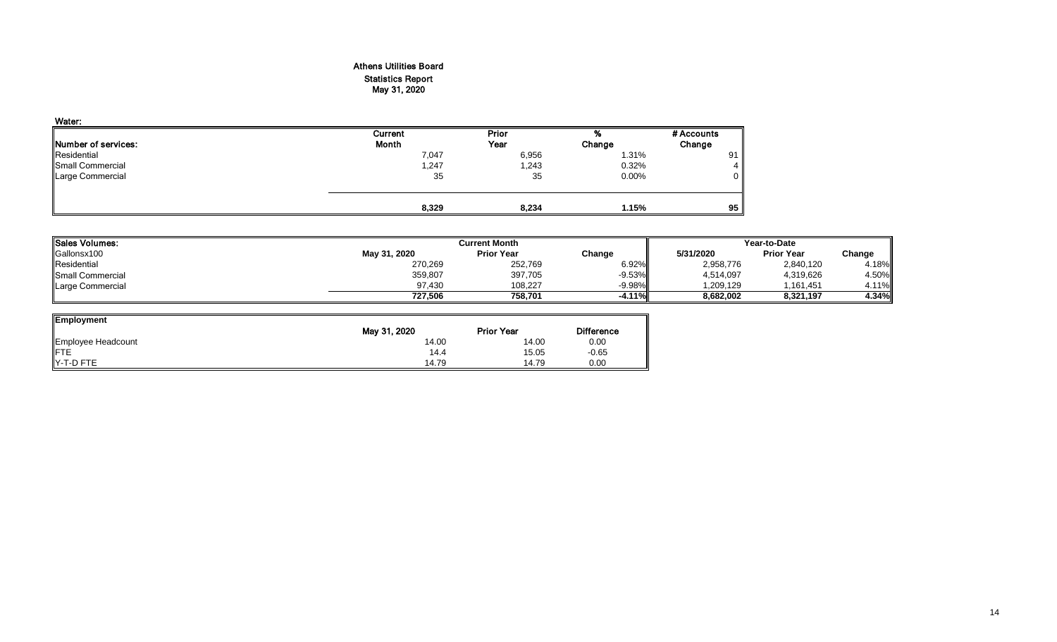# Athens Utilities Board Statistics Report May 31, 2020

| Water:                      |         |       |          |            |
|-----------------------------|---------|-------|----------|------------|
|                             | Current | Prior | %        | # Accounts |
| <b>INumber of services:</b> | Month   | Year  | Change   | Change     |
| Residential                 | 7,047   | 6,956 | 1.31%    | 91         |
| Small Commercial            | 1,247   | 1,243 | 0.32%    | 4          |
| Large Commercial            | 35      | 35    | $0.00\%$ | 0          |
|                             |         |       |          |            |
|                             | 8,329   | 8,234 | 1.15%    | 95         |

| Sales Volumes:   |              | <b>Current Month</b> |           |           |                   | Year-to-Date |  |  |  |
|------------------|--------------|----------------------|-----------|-----------|-------------------|--------------|--|--|--|
| Gallonsx100      | May 31, 2020 | <b>Prior Year</b>    | Change    | 5/31/2020 | <b>Prior Year</b> | Change       |  |  |  |
| Residential      | 270,269      | 252,769              | 6.92%     | 2,958,776 | 2,840,120         | 4.18%        |  |  |  |
| Small Commercial | 359,807      | 397,705              | $-9.53%$  | 4,514,097 | 4,319,626         | 4.50%        |  |  |  |
| Large Commercial | 97.430       | 108.227              | $-9.98\%$ | .209.129  | 1.161.451         | 4.11%        |  |  |  |
|                  | 727.506      | 758.701              | $-4.11%$  | 8.682.002 | 8.321.197         | 4.34%        |  |  |  |

| <b>Employment</b>  |              |                   |                   |
|--------------------|--------------|-------------------|-------------------|
|                    | May 31, 2020 | <b>Prior Year</b> | <b>Difference</b> |
| Employee Headcount | 14.00        | 14.00             | 0.00              |
| <b>IFTE</b>        | 14.4         | 15.05             | $-0.65$           |
| IY-T-D FTE         | 14.79        | 14.79             | 0.00              |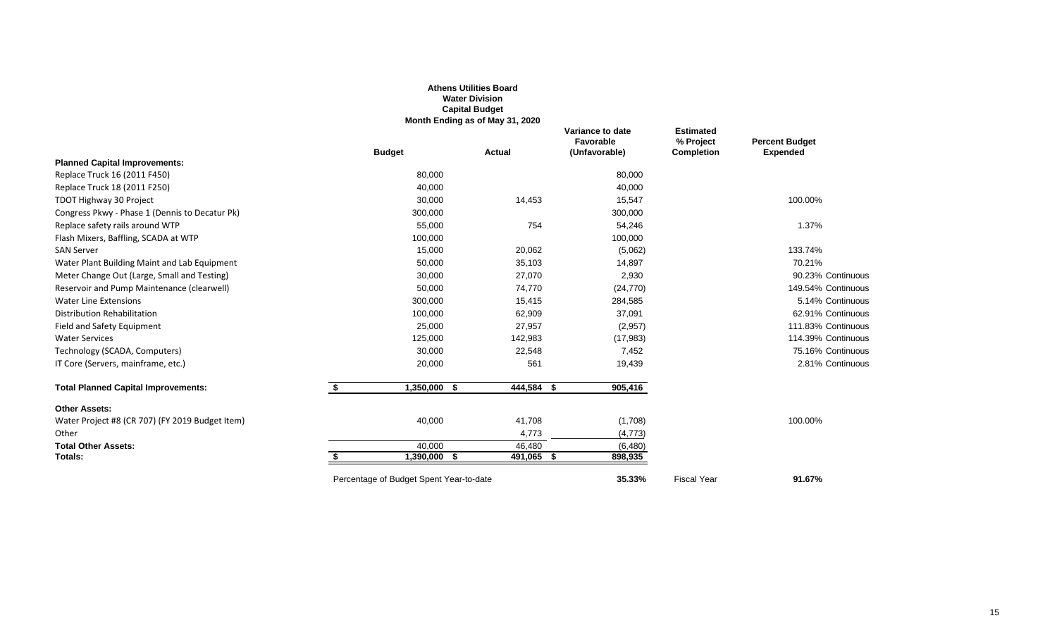|                                                 |                                         | <b>Water Division</b><br><b>Capital Budget</b> |                                                |                                                    |                                          |
|-------------------------------------------------|-----------------------------------------|------------------------------------------------|------------------------------------------------|----------------------------------------------------|------------------------------------------|
|                                                 |                                         | Month Ending as of May 31, 2020                |                                                |                                                    |                                          |
|                                                 | <b>Budget</b>                           | <b>Actual</b>                                  | Variance to date<br>Favorable<br>(Unfavorable) | <b>Estimated</b><br>% Project<br><b>Completion</b> | <b>Percent Budget</b><br><b>Expended</b> |
| <b>Planned Capital Improvements:</b>            |                                         |                                                |                                                |                                                    |                                          |
| Replace Truck 16 (2011 F450)                    | 80,000                                  |                                                | 80,000                                         |                                                    |                                          |
| Replace Truck 18 (2011 F250)                    | 40,000                                  |                                                | 40,000                                         |                                                    |                                          |
| TDOT Highway 30 Project                         | 30,000                                  | 14,453                                         | 15,547                                         |                                                    | 100.00%                                  |
| Congress Pkwy - Phase 1 (Dennis to Decatur Pk)  | 300,000                                 |                                                | 300,000                                        |                                                    |                                          |
| Replace safety rails around WTP                 | 55,000                                  | 754                                            | 54,246                                         |                                                    | 1.37%                                    |
| Flash Mixers, Baffling, SCADA at WTP            | 100,000                                 |                                                | 100,000                                        |                                                    |                                          |
| <b>SAN Server</b>                               | 15,000                                  | 20,062                                         | (5,062)                                        |                                                    | 133.74%                                  |
| Water Plant Building Maint and Lab Equipment    | 50,000                                  | 35,103                                         | 14,897                                         |                                                    | 70.21%                                   |
| Meter Change Out (Large, Small and Testing)     | 30,000                                  | 27,070                                         | 2,930                                          |                                                    | 90.23% Continuous                        |
| Reservoir and Pump Maintenance (clearwell)      | 50,000                                  | 74,770                                         | (24, 770)                                      |                                                    | 149.54% Continuous                       |
| <b>Water Line Extensions</b>                    | 300,000                                 | 15,415                                         | 284,585                                        |                                                    | 5.14% Continuous                         |
| Distribution Rehabilitation                     | 100,000                                 | 62,909                                         | 37,091                                         |                                                    | 62.91% Continuous                        |
| Field and Safety Equipment                      | 25,000                                  | 27,957                                         | (2,957)                                        |                                                    | 111.83% Continuous                       |
| <b>Water Services</b>                           | 125,000                                 | 142,983                                        | (17,983)                                       |                                                    | 114.39% Continuous                       |
| Technology (SCADA, Computers)                   | 30,000                                  | 22,548                                         | 7,452                                          |                                                    | 75.16% Continuous                        |
| IT Core (Servers, mainframe, etc.)              | 20,000                                  | 561                                            | 19,439                                         |                                                    | 2.81% Continuous                         |
| <b>Total Planned Capital Improvements:</b>      | \$<br>$1,350,000$ \$                    | 444,584 \$                                     | 905,416                                        |                                                    |                                          |
| <b>Other Assets:</b>                            |                                         |                                                |                                                |                                                    |                                          |
| Water Project #8 (CR 707) (FY 2019 Budget Item) | 40,000                                  | 41,708                                         | (1,708)                                        |                                                    | 100.00%                                  |
| Other                                           |                                         | 4,773                                          | (4, 773)                                       |                                                    |                                          |
| <b>Total Other Assets:</b>                      | 40,000                                  | 46,480                                         | (6,480)                                        |                                                    |                                          |
| Totals:                                         | 1,390,000 \$                            | 491,065 \$                                     | 898,935                                        |                                                    |                                          |
|                                                 | Percentage of Budget Spent Year-to-date |                                                | 35.33%                                         | <b>Fiscal Year</b>                                 | 91.67%                                   |

**Athens Utilities Board**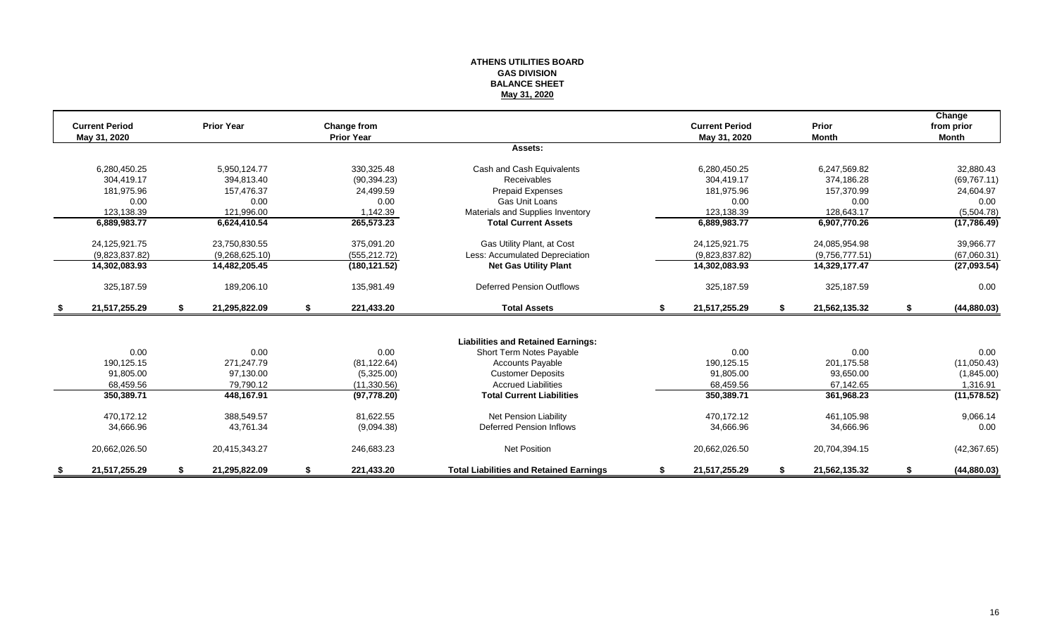#### **ATHENS UTILITIES BOARD GAS DIVISION BALANCE SHEET May 31, 2020**

|      | <b>Current Period</b> | <b>Prior Year</b>   |    | Change from       |                                                |    | <b>Current Period</b> | Prior               | Change<br>from prior |
|------|-----------------------|---------------------|----|-------------------|------------------------------------------------|----|-----------------------|---------------------|----------------------|
|      | May 31, 2020          |                     |    | <b>Prior Year</b> |                                                |    | May 31, 2020          | <b>Month</b>        | <b>Month</b>         |
|      |                       |                     |    |                   | Assets:                                        |    |                       |                     |                      |
|      | 6,280,450.25          | 5,950,124.77        |    | 330,325.48        | Cash and Cash Equivalents                      |    | 6,280,450.25          | 6,247,569.82        | 32,880.43            |
|      | 304.419.17            | 394.813.40          |    | (90, 394.23)      | <b>Receivables</b>                             |    | 304.419.17            | 374.186.28          | (69, 767.11)         |
|      | 181,975.96            | 157,476.37          |    | 24,499.59         | Prepaid Expenses                               |    | 181,975.96            | 157,370.99          | 24,604.97            |
|      | 0.00                  | 0.00                |    | 0.00              | Gas Unit Loans                                 |    | 0.00                  | 0.00                | 0.00                 |
|      | 123,138.39            | 121,996.00          |    | 1,142.39          | Materials and Supplies Inventory               |    | 123,138.39            | 128,643.17          | (5,504.78)           |
|      | 6,889,983.77          | 6,624,410.54        |    | 265,573.23        | <b>Total Current Assets</b>                    |    | 6,889,983.77          | 6,907,770.26        | (17, 786.49)         |
|      | 24,125,921.75         | 23,750,830.55       |    | 375,091.20        | Gas Utility Plant, at Cost                     |    | 24,125,921.75         | 24,085,954.98       | 39,966.77            |
|      | (9,823,837.82)        | (9,268,625.10)      |    | (555, 212.72)     | Less: Accumulated Depreciation                 |    | (9,823,837.82)        | (9,756,777.51)      | (67,060.31)          |
|      | 14,302,083.93         | 14,482,205.45       |    | (180, 121.52)     | <b>Net Gas Utility Plant</b>                   |    | 14,302,083.93         | 14,329,177.47       | (27,093.54)          |
|      | 325,187.59            | 189,206.10          |    | 135,981.49        | <b>Deferred Pension Outflows</b>               |    | 325,187.59            | 325,187.59          | 0.00                 |
| - \$ | 21,517,255.29         | \$<br>21,295,822.09 | \$ | 221,433.20        | <b>Total Assets</b>                            | \$ | 21,517,255.29         | \$<br>21,562,135.32 | \$<br>(44, 880.03)   |
|      |                       |                     |    |                   |                                                |    |                       |                     |                      |
|      |                       |                     |    |                   | <b>Liabilities and Retained Earnings:</b>      |    |                       |                     |                      |
|      | 0.00                  | 0.00                |    | 0.00              | Short Term Notes Payable                       |    | 0.00                  | 0.00                | 0.00                 |
|      | 190,125.15            | 271.247.79          |    | (81, 122.64)      | <b>Accounts Payable</b>                        |    | 190,125.15            | 201,175.58          | (11,050.43)          |
|      | 91,805.00             | 97,130.00           |    | (5,325.00)        | <b>Customer Deposits</b>                       |    | 91,805.00             | 93,650.00           | (1,845.00)           |
|      | 68,459.56             | 79,790.12           |    | (11,330.56)       | <b>Accrued Liabilities</b>                     |    | 68,459.56             | 67,142.65           | 1,316.91             |
|      | 350,389.71            | 448,167.91          |    | (97, 778.20)      | <b>Total Current Liabilities</b>               |    | 350,389.71            | 361,968.23          | (11, 578.52)         |
|      | 470.172.12            | 388,549.57          |    | 81,622.55         | <b>Net Pension Liability</b>                   |    | 470,172.12            | 461,105.98          | 9,066.14             |
|      | 34,666.96             | 43,761.34           |    | (9,094.38)        | <b>Deferred Pension Inflows</b>                |    | 34,666.96             | 34,666.96           | 0.00                 |
|      | 20,662,026.50         | 20,415,343.27       |    | 246,683.23        | <b>Net Position</b>                            |    | 20,662,026.50         | 20,704,394.15       | (42, 367.65)         |
|      | 21,517,255.29         | 21,295,822.09       | S  | 221,433.20        | <b>Total Liabilities and Retained Earnings</b> | £. | 21,517,255.29         | 21,562,135.32       | (44, 880.03)         |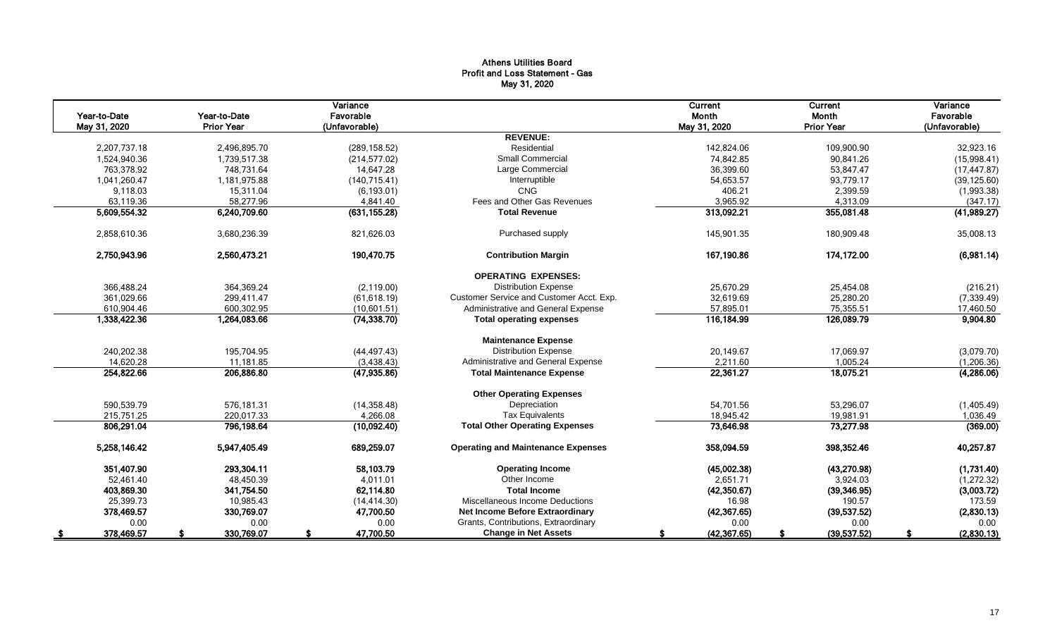# Athens Utilities Board Profit and Loss Statement - Gas May 31, 2020

|              |                   | Variance      |                                           | Current      | Current           | Variance      |
|--------------|-------------------|---------------|-------------------------------------------|--------------|-------------------|---------------|
| Year-to-Date | Year-to-Date      | Favorable     |                                           | Month        | Month             | Favorable     |
| May 31, 2020 | <b>Prior Year</b> | (Unfavorable) |                                           | May 31, 2020 | <b>Prior Year</b> | (Unfavorable) |
|              |                   |               | <b>REVENUE:</b>                           |              |                   |               |
| 2,207,737.18 | 2,496,895.70      | (289, 158.52) | Residential                               | 142,824.06   | 109,900.90        | 32,923.16     |
| 1,524,940.36 | 1,739,517.38      | (214, 577.02) | <b>Small Commercial</b>                   | 74,842.85    | 90,841.26         | (15,998.41)   |
| 763,378.92   | 748,731.64        | 14,647.28     | Large Commercial                          | 36,399.60    | 53,847.47         | (17, 447.87)  |
| 1,041,260.47 | 1,181,975.88      | (140, 715.41) | Interruptible                             | 54,653.57    | 93,779.17         | (39, 125.60)  |
| 9,118.03     | 15,311.04         | (6, 193.01)   | <b>CNG</b>                                | 406.21       | 2,399.59          | (1,993.38)    |
| 63,119.36    | 58,277.96         | 4,841.40      | Fees and Other Gas Revenues               | 3,965.92     | 4,313.09          | (347.17)      |
| 5,609,554.32 | 6,240,709.60      | (631, 155.28) | <b>Total Revenue</b>                      | 313,092.21   | 355,081.48        | (41,989.27)   |
| 2,858,610.36 | 3,680,236.39      | 821,626.03    | Purchased supply                          | 145,901.35   | 180,909.48        | 35,008.13     |
| 2,750,943.96 | 2,560,473.21      | 190.470.75    | <b>Contribution Margin</b>                | 167,190.86   | 174,172.00        | (6,981.14)    |
|              |                   |               | <b>OPERATING EXPENSES:</b>                |              |                   |               |
| 366,488.24   | 364,369.24        | (2, 119.00)   | <b>Distribution Expense</b>               | 25,670.29    | 25,454.08         | (216.21)      |
| 361,029.66   | 299.411.47        | (61, 618.19)  | Customer Service and Customer Acct. Exp.  | 32,619.69    | 25,280.20         | (7, 339.49)   |
| 610,904.46   | 600,302.95        | (10,601.51)   | Administrative and General Expense        | 57,895.01    | 75,355.51         | 17,460.50     |
| 1,338,422.36 | 1,264,083.66      | (74, 338.70)  | <b>Total operating expenses</b>           | 116,184.99   | 126,089.79        | 9,904.80      |
|              |                   |               | <b>Maintenance Expense</b>                |              |                   |               |
| 240,202.38   | 195,704.95        | (44, 497.43)  | <b>Distribution Expense</b>               | 20,149.67    | 17,069.97         | (3,079.70)    |
| 14,620.28    | 11,181.85         | (3,438.43)    | Administrative and General Expense        | 2,211.60     | 1,005.24          | (1, 206.36)   |
| 254,822.66   | 206,886.80        | (47, 935.86)  | <b>Total Maintenance Expense</b>          | 22,361.27    | 18,075.21         | (4,286.06)    |
|              |                   |               | <b>Other Operating Expenses</b>           |              |                   |               |
| 590,539.79   | 576,181.31        | (14, 358.48)  | Depreciation                              | 54,701.56    | 53,296.07         | (1,405.49)    |
| 215.751.25   | 220.017.33        | 4.266.08      | <b>Tax Equivalents</b>                    | 18,945.42    | 19.981.91         | 1.036.49      |
| 806,291.04   | 796,198.64        | (10,092.40)   | <b>Total Other Operating Expenses</b>     | 73,646.98    | 73,277.98         | (369.00)      |
| 5,258,146.42 | 5,947,405.49      | 689,259.07    | <b>Operating and Maintenance Expenses</b> | 358,094.59   | 398,352.46        | 40,257.87     |
| 351,407.90   | 293,304.11        | 58,103.79     | <b>Operating Income</b>                   | (45,002.38)  | (43, 270.98)      | (1,731.40)    |
| 52,461.40    | 48,450.39         | 4,011.01      | Other Income                              | 2,651.71     | 3,924.03          | (1, 272.32)   |
| 403,869.30   | 341,754.50        | 62,114.80     | <b>Total Income</b>                       | (42,350.67)  | (39, 346.95)      | (3,003.72)    |
| 25,399.73    | 10,985.43         | (14, 414, 30) | Miscellaneous Income Deductions           | 16.98        | 190.57            | 173.59        |
| 378,469.57   | 330,769.07        | 47,700.50     | <b>Net Income Before Extraordinary</b>    | (42, 367.65) | (39, 537.52)      | (2,830.13)    |
| 0.00         | 0.00              | 0.00          | Grants, Contributions, Extraordinary      | 0.00         | 0.00              | 0.00          |
| 378,469.57   | 330,769.07        | 47,700.50     | <b>Change in Net Assets</b>               | (42, 367.65) | (39, 537.52)      | (2,830.13)    |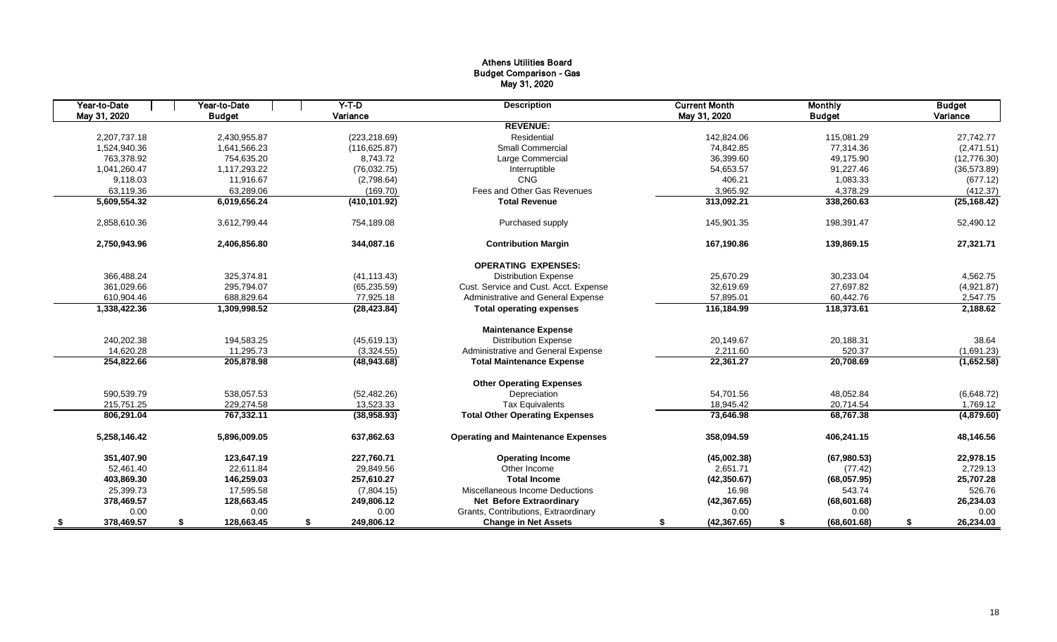# Athens Utilities Board Budget Comparison - Gas May 31, 2020

| Year-to-Date | Year-to-Date     | $Y-T-D$          | <b>Description</b>                        | <b>Current Month</b> | <b>Monthly</b>     | <b>Budget</b>   |
|--------------|------------------|------------------|-------------------------------------------|----------------------|--------------------|-----------------|
| May 31, 2020 | <b>Budget</b>    | Variance         |                                           | May 31, 2020         | <b>Budget</b>      | Variance        |
|              |                  |                  | <b>REVENUE:</b>                           |                      |                    |                 |
| 2.207.737.18 | 2,430,955.87     | (223, 218.69)    | Residential                               | 142,824.06           | 115,081.29         | 27,742.77       |
| 1,524,940.36 | 1,641,566.23     | (116, 625.87)    | <b>Small Commercial</b>                   | 74,842.85            | 77,314.36          | (2,471.51)      |
| 763.378.92   | 754.635.20       | 8.743.72         | Large Commercial                          | 36.399.60            | 49,175.90          | (12,776.30)     |
| 1,041,260.47 | 1,117,293.22     | (76,032.75)      | Interruptible                             | 54,653.57            | 91,227.46          | (36, 573.89)    |
| 9.118.03     | 11,916.67        | (2,798.64)       | <b>CNG</b>                                | 406.21               | 1,083.33           | (677.12)        |
| 63,119.36    | 63,289.06        | (169.70)         | Fees and Other Gas Revenues               | 3,965.92             | 4,378.29           | (412.37)        |
| 5,609,554.32 | 6,019,656.24     | (410, 101.92)    | <b>Total Revenue</b>                      | 313,092.21           | 338,260.63         | (25, 168.42)    |
| 2,858,610.36 | 3,612,799.44     | 754,189.08       | Purchased supply                          | 145,901.35           | 198,391.47         | 52,490.12       |
| 2,750,943.96 | 2,406,856.80     | 344,087.16       | <b>Contribution Margin</b>                | 167,190.86           | 139,869.15         | 27,321.71       |
|              |                  |                  | <b>OPERATING EXPENSES:</b>                |                      |                    |                 |
| 366,488.24   | 325,374.81       | (41, 113.43)     | <b>Distribution Expense</b>               | 25,670.29            | 30,233.04          | 4,562.75        |
| 361,029.66   | 295,794.07       | (65, 235.59)     | Cust. Service and Cust. Acct. Expense     | 32,619.69            | 27,697.82          | (4,921.87)      |
| 610,904.46   | 688,829.64       | 77,925.18        | Administrative and General Expense        | 57,895.01            | 60,442.76          | 2,547.75        |
| 1,338,422.36 | 1,309,998.52     | (28, 423.84)     | <b>Total operating expenses</b>           | 116,184.99           | 118,373.61         | 2,188.62        |
|              |                  |                  | <b>Maintenance Expense</b>                |                      |                    |                 |
| 240,202.38   | 194,583.25       | (45, 619.13)     | <b>Distribution Expense</b>               | 20,149.67            | 20,188.31          | 38.64           |
| 14,620.28    | 11,295.73        | (3,324.55)       | Administrative and General Expense        | 2,211.60             | 520.37             | (1,691.23)      |
| 254,822.66   | 205,878.98       | (48, 943.68)     | <b>Total Maintenance Expense</b>          | 22,361.27            | 20,708.69          | (1,652.58)      |
|              |                  |                  | <b>Other Operating Expenses</b>           |                      |                    |                 |
| 590,539.79   | 538,057.53       | (52, 482.26)     | Depreciation                              | 54,701.56            | 48,052.84          | (6,648.72)      |
| 215.751.25   | 229,274.58       | 13,523.33        | <b>Tax Equivalents</b>                    | 18.945.42            | 20,714.54          | 1,769.12        |
| 806,291.04   | 767,332.11       | (38,958.93)      | <b>Total Other Operating Expenses</b>     | 73,646.98            | 68,767.38          | (4,879.60)      |
| 5,258,146.42 | 5,896,009.05     | 637,862.63       | <b>Operating and Maintenance Expenses</b> | 358,094.59           | 406,241.15         | 48,146.56       |
| 351,407.90   | 123,647.19       | 227,760.71       | <b>Operating Income</b>                   | (45,002.38)          | (67,980.53)        | 22,978.15       |
| 52.461.40    | 22,611.84        | 29.849.56        | Other Income                              | 2,651.71             | (77.42)            | 2,729.13        |
| 403,869.30   | 146,259.03       | 257,610.27       | <b>Total Income</b>                       | (42,350.67)          | (68,057.95)        | 25,707.28       |
| 25,399.73    | 17,595.58        | (7,804.15)       | Miscellaneous Income Deductions           | 16.98                | 543.74             | 526.76          |
| 378,469.57   | 128,663.45       | 249,806.12       | <b>Net Before Extraordinary</b>           | (42, 367.65)         | (68, 601.68)       | 26,234.03       |
| 0.00         | 0.00             | 0.00             | Grants, Contributions, Extraordinary      | 0.00                 | 0.00               | 0.00            |
| 378,469.57   | \$<br>128,663.45 | \$<br>249,806.12 | <b>Change in Net Assets</b>               | (42, 367.65)<br>\$   | (68, 601.68)<br>\$ | 26,234.03<br>\$ |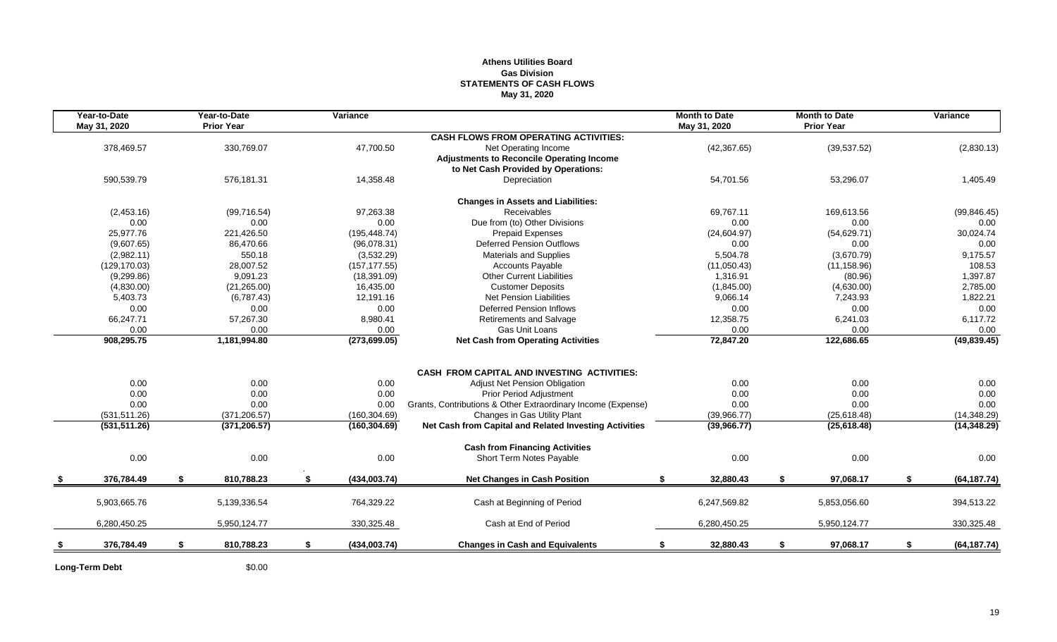## **Athens Utilities Board Gas Division STATEMENTS OF CASH FLOWS May 31, 2020**

| Year-to-Date<br>May 31, 2020 |     | Year-to-Date<br><b>Prior Year</b> |    | Variance      |                                                              | <b>Month to Date</b><br>May 31, 2020 |     | <b>Month to Date</b><br><b>Prior Year</b> | Variance           |
|------------------------------|-----|-----------------------------------|----|---------------|--------------------------------------------------------------|--------------------------------------|-----|-------------------------------------------|--------------------|
|                              |     |                                   |    |               | <b>CASH FLOWS FROM OPERATING ACTIVITIES:</b>                 |                                      |     |                                           |                    |
| 378,469.57                   |     | 330,769.07                        |    | 47,700.50     | Net Operating Income                                         | (42, 367.65)                         |     | (39, 537.52)                              | (2,830.13)         |
|                              |     |                                   |    |               | <b>Adjustments to Reconcile Operating Income</b>             |                                      |     |                                           |                    |
|                              |     |                                   |    |               | to Net Cash Provided by Operations:                          |                                      |     |                                           |                    |
| 590,539.79                   |     | 576.181.31                        |    | 14,358.48     | Depreciation                                                 | 54,701.56                            |     | 53,296.07                                 | 1,405.49           |
|                              |     |                                   |    |               | <b>Changes in Assets and Liabilities:</b>                    |                                      |     |                                           |                    |
| (2,453.16)                   |     | (99, 716.54)                      |    | 97,263.38     | Receivables                                                  | 69.767.11                            |     | 169,613.56                                | (99, 846.45)       |
| 0.00                         |     | 0.00                              |    | 0.00          | Due from (to) Other Divisions                                | 0.00                                 |     | 0.00                                      | 0.00               |
| 25,977.76                    |     | 221,426.50                        |    | (195, 448.74) | <b>Prepaid Expenses</b>                                      | (24,604.97)                          |     | (54, 629.71)                              | 30,024.74          |
| (9,607.65)                   |     | 86,470.66                         |    | (96,078.31)   | <b>Deferred Pension Outflows</b>                             | 0.00                                 |     | 0.00                                      | 0.00               |
| (2,982.11)                   |     | 550.18                            |    | (3,532.29)    | <b>Materials and Supplies</b>                                | 5,504.78                             |     | (3,670.79)                                | 9,175.57           |
| (129, 170.03)                |     | 28,007.52                         |    | (157, 177.55) | <b>Accounts Payable</b>                                      | (11,050.43)                          |     | (11, 158.96)                              | 108.53             |
| (9,299.86)                   |     | 9,091.23                          |    | (18, 391.09)  | <b>Other Current Liabilities</b>                             | 1,316.91                             |     | (80.96)                                   | 1,397.87           |
| (4,830.00)                   |     | (21, 265.00)                      |    | 16,435.00     | <b>Customer Deposits</b>                                     | (1,845.00)                           |     | (4,630.00)                                | 2,785.00           |
| 5,403.73                     |     | (6,787.43)                        |    | 12,191.16     | <b>Net Pension Liabilities</b>                               | 9,066.14                             |     | 7,243.93                                  | 1,822.21           |
| 0.00                         |     | 0.00                              |    | 0.00          | <b>Deferred Pension Inflows</b>                              | 0.00                                 |     | 0.00                                      | 0.00               |
| 66,247.71                    |     | 57,267.30                         |    | 8,980.41      | Retirements and Salvage                                      | 12,358.75                            |     | 6,241.03                                  | 6,117.72           |
| 0.00                         |     | 0.00                              |    | 0.00          | Gas Unit Loans                                               | 0.00                                 |     | 0.00                                      | 0.00               |
| 908,295.75                   |     | 1,181,994.80                      |    | (273, 699.05) | <b>Net Cash from Operating Activities</b>                    | 72,847.20                            |     | 122,686.65                                | (49, 839.45)       |
|                              |     |                                   |    |               |                                                              |                                      |     |                                           |                    |
|                              |     |                                   |    |               | <b>CASH FROM CAPITAL AND INVESTING ACTIVITIES:</b>           |                                      |     |                                           |                    |
| 0.00                         |     | 0.00                              |    | 0.00          | Adjust Net Pension Obligation                                | 0.00                                 |     | 0.00                                      | 0.00               |
| 0.00                         |     | 0.00                              |    | 0.00          | <b>Prior Period Adjustment</b>                               | 0.00                                 |     | 0.00                                      | 0.00               |
| 0.00                         |     | 0.00                              |    | 0.00          | Grants, Contributions & Other Extraordinary Income (Expense) | 0.00                                 |     | 0.00                                      | 0.00               |
| (531, 511.26)                |     | (371, 206.57)                     |    | (160, 304.69) | Changes in Gas Utility Plant                                 | (39,966.77)                          |     | (25,618.48)                               | (14, 348.29)       |
| (531, 511.26)                |     | (371, 206.57)                     |    | (160, 304.69) | Net Cash from Capital and Related Investing Activities       | (39,966.77)                          |     | (25, 618.48)                              | (14, 348.29)       |
|                              |     |                                   |    |               | <b>Cash from Financing Activities</b>                        |                                      |     |                                           |                    |
| 0.00                         |     | 0.00                              |    | 0.00          | Short Term Notes Payable                                     | 0.00                                 |     | 0.00                                      | 0.00               |
| 376,784.49                   | -S. | 810,788.23                        | S. | (434,003.74)  | <b>Net Changes in Cash Position</b>                          | 32,880.43<br>\$                      | -\$ | 97,068.17                                 | \$<br>(64, 187.74) |
| 5,903,665.76                 |     | 5,139,336.54                      |    | 764,329.22    | Cash at Beginning of Period                                  | 6,247,569.82                         |     | 5,853,056.60                              | 394,513.22         |
|                              |     |                                   |    |               |                                                              |                                      |     |                                           |                    |
| 6,280,450.25                 |     | 5,950,124.77                      |    | 330,325.48    | Cash at End of Period                                        | 6,280,450.25                         |     | 5,950,124.77                              | 330,325.48         |
| 376,784.49                   | \$  | 810,788.23                        | \$ | (434,003.74)  | <b>Changes in Cash and Equivalents</b>                       | 32,880.43<br>\$                      | \$  | 97,068.17                                 | \$<br>(64, 187.74) |
|                              |     |                                   |    |               |                                                              |                                      |     |                                           |                    |

Long-Term Debt \$0.00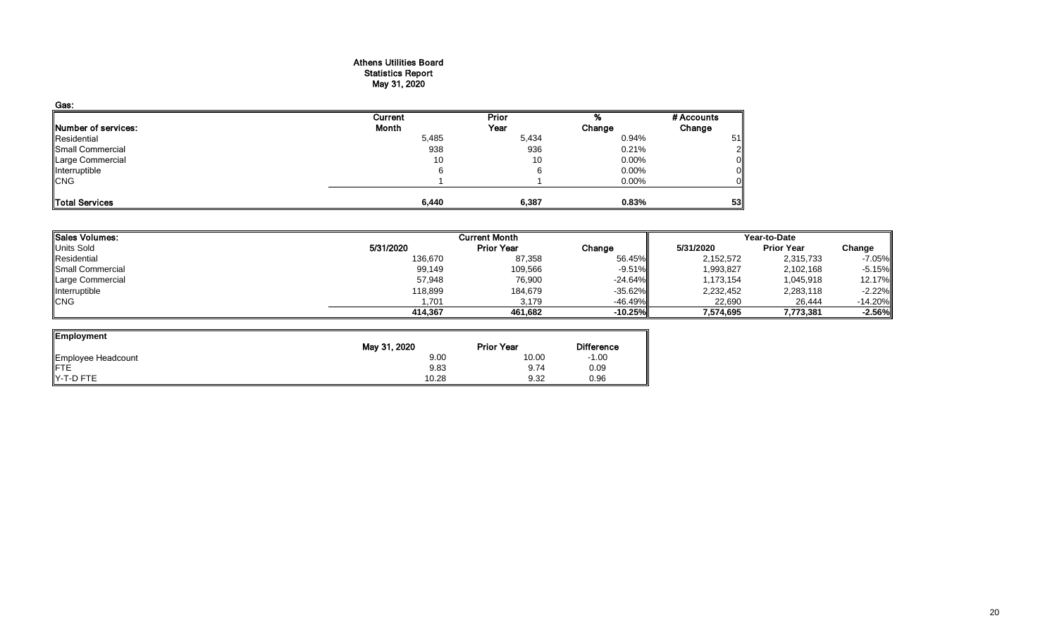#### Athens Utilities Board Statistics Report May 31, 2020

| Gas:                       |         |              |        |            |
|----------------------------|---------|--------------|--------|------------|
|                            | Current | <b>Prior</b> |        | # Accounts |
| <b>Number of services:</b> | Month   | Year         | Change | Change     |
| Residential                | 5,485   | 5,434        | 0.94%  | 51         |
| Small Commercial           | 938     | 936          | 0.21%  |            |
| Large Commercial           | 10      | 10           | 0.00%  |            |
| Interruptible              | 6       |              | 0.00%  |            |
| <b>CNG</b>                 |         |              | 0.00%  |            |
| Total Services             | 6,440   | 6,387        | 0.83%  | 53         |

| Sales Volumes:   |           | <b>Current Month</b> |            | Year-to-Date |                   |           |  |
|------------------|-----------|----------------------|------------|--------------|-------------------|-----------|--|
| Units Sold       | 5/31/2020 | <b>Prior Year</b>    | Change     | 5/31/2020    | <b>Prior Year</b> | Change    |  |
| Residential      | 136,670   | 87,358               | 56.45%     | 2,152,572    | 2,315,733         | $-7.05%$  |  |
| Small Commercial | 99,149    | 109,566              | $-9.51\%$  | 1,993,827    | 2,102,168         | $-5.15%$  |  |
| Large Commercial | 57,948    | 76,900               | $-24.64%$  | 1,173,154    | 1,045,918         | 12.17%    |  |
| Interruptible    | 118,899   | 184,679              | $-35.62\%$ | 2,232,452    | 2,283,118         | $-2.22%$  |  |
| <b>CNG</b>       | 1,701     | 3.179                | $-46.49\%$ | 22,690       | 26,444            | $-14.20%$ |  |
|                  | 414,367   | 461.682              | $-10.25%$  | 7,574,695    | 7,773,381         | $-2.56%$  |  |

| Employment                     |              |                   |                   |
|--------------------------------|--------------|-------------------|-------------------|
|                                | May 31, 2020 | <b>Prior Year</b> | <b>Difference</b> |
| Employee Headcount<br>FTE      | 9.00         | 10.00             | $-1.00$           |
|                                | 9.83         | 9.74              | 0.09              |
| $\blacktriangleright$ -T-D FTE | 10.28        | 9.32              | 0.96              |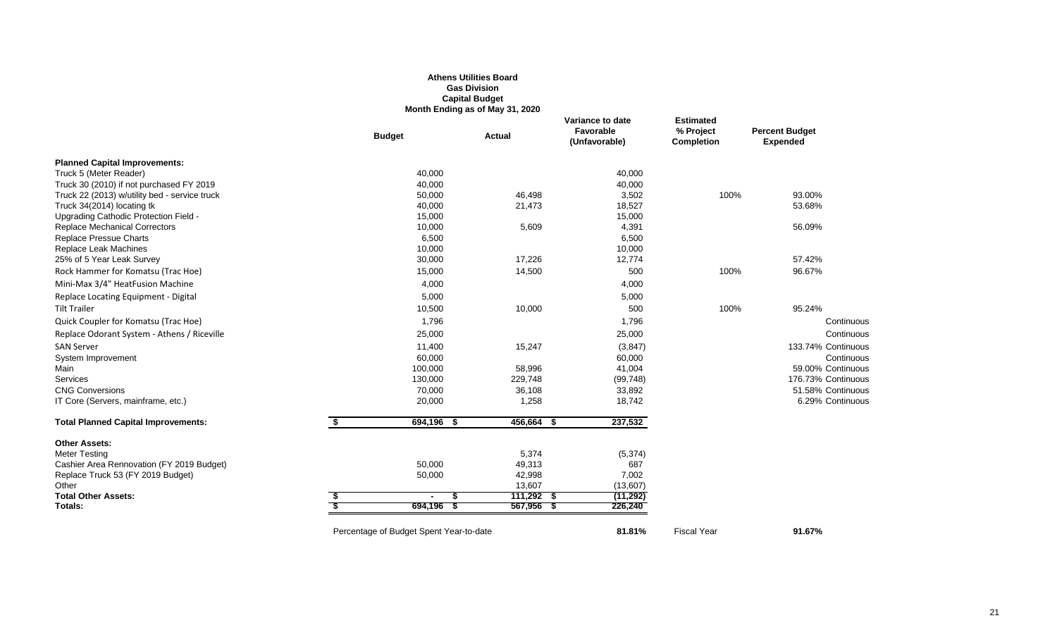|                                                                               |                                         | <b>Gas Division</b><br><b>Capital Budget</b><br>Month Ending as of May 31, 2020 |                                                |                                                    |                                          |
|-------------------------------------------------------------------------------|-----------------------------------------|---------------------------------------------------------------------------------|------------------------------------------------|----------------------------------------------------|------------------------------------------|
|                                                                               | <b>Budget</b>                           | Actual                                                                          | Variance to date<br>Favorable<br>(Unfavorable) | <b>Estimated</b><br>% Project<br><b>Completion</b> | <b>Percent Budget</b><br><b>Expended</b> |
| <b>Planned Capital Improvements:</b>                                          |                                         |                                                                                 |                                                |                                                    |                                          |
| Truck 5 (Meter Reader)                                                        | 40,000                                  |                                                                                 | 40,000                                         |                                                    |                                          |
| Truck 30 (2010) if not purchased FY 2019                                      | 40,000                                  |                                                                                 | 40,000                                         |                                                    |                                          |
| Truck 22 (2013) w/utility bed - service truck                                 | 50,000                                  | 46,498                                                                          | 3,502                                          | 100%                                               | 93.00%                                   |
| Truck 34(2014) locating tk                                                    | 40,000                                  | 21,473                                                                          | 18,527                                         |                                                    | 53.68%                                   |
| Upgrading Cathodic Protection Field -<br><b>Replace Mechanical Correctors</b> | 15,000<br>10,000                        | 5,609                                                                           | 15,000<br>4,391                                |                                                    | 56.09%                                   |
| <b>Replace Pressue Charts</b>                                                 | 6,500                                   |                                                                                 | 6,500                                          |                                                    |                                          |
| Replace Leak Machines                                                         | 10,000                                  |                                                                                 | 10,000                                         |                                                    |                                          |
| 25% of 5 Year Leak Survey                                                     | 30,000                                  | 17,226                                                                          | 12,774                                         |                                                    | 57.42%                                   |
| Rock Hammer for Komatsu (Trac Hoe)                                            | 15,000                                  | 14,500                                                                          | 500                                            | 100%                                               | 96.67%                                   |
| Mini-Max 3/4" HeatFusion Machine                                              | 4,000                                   |                                                                                 | 4,000                                          |                                                    |                                          |
| Replace Locating Equipment - Digital                                          | 5,000                                   |                                                                                 | 5,000                                          |                                                    |                                          |
| <b>Tilt Trailer</b>                                                           | 10,500                                  | 10,000                                                                          | 500                                            | 100%                                               | 95.24%                                   |
| Quick Coupler for Komatsu (Trac Hoe)                                          | 1,796                                   |                                                                                 | 1,796                                          |                                                    | Continuous                               |
| Replace Odorant System - Athens / Riceville                                   | 25,000                                  |                                                                                 | 25,000                                         |                                                    | Continuous                               |
| <b>SAN Server</b>                                                             | 11,400                                  | 15,247                                                                          | (3, 847)                                       |                                                    | 133.74% Continuous                       |
| System Improvement                                                            | 60,000                                  |                                                                                 | 60,000                                         |                                                    | Continuous                               |
| Main                                                                          | 100,000                                 | 58,996                                                                          | 41,004                                         |                                                    | 59.00% Continuous                        |
| <b>Services</b>                                                               | 130,000                                 | 229,748                                                                         | (99, 748)                                      |                                                    | 176.73% Continuous                       |
| <b>CNG Conversions</b>                                                        | 70,000                                  | 36,108                                                                          | 33,892                                         |                                                    | 51.58% Continuous                        |
| IT Core (Servers, mainframe, etc.)                                            | 20,000                                  | 1,258                                                                           | 18,742                                         |                                                    | 6.29% Continuous                         |
| <b>Total Planned Capital Improvements:</b>                                    | \$<br>694,196<br>-\$                    | 456,664<br>- S                                                                  | 237,532                                        |                                                    |                                          |
| <b>Other Assets:</b>                                                          |                                         |                                                                                 |                                                |                                                    |                                          |
| <b>Meter Testing</b>                                                          |                                         | 5,374                                                                           | (5, 374)                                       |                                                    |                                          |
| Cashier Area Rennovation (FY 2019 Budget)                                     | 50,000                                  | 49,313                                                                          | 687                                            |                                                    |                                          |
| Replace Truck 53 (FY 2019 Budget)                                             | 50,000                                  | 42,998                                                                          | 7,002                                          |                                                    |                                          |
| Other                                                                         |                                         | 13,607                                                                          | (13,607)                                       |                                                    |                                          |
| <b>Total Other Assets:</b>                                                    | S.<br>$\blacksquare$                    | $111,292$ \$                                                                    | (11, 292)                                      |                                                    |                                          |
| Totals:                                                                       | 694,196<br>- 35                         | $567,956$ \$                                                                    | 226,240                                        |                                                    |                                          |
|                                                                               | Percentage of Budget Spent Year-to-date |                                                                                 | 81.81%                                         | <b>Fiscal Year</b>                                 | 91.67%                                   |

**Athens Utilities Board**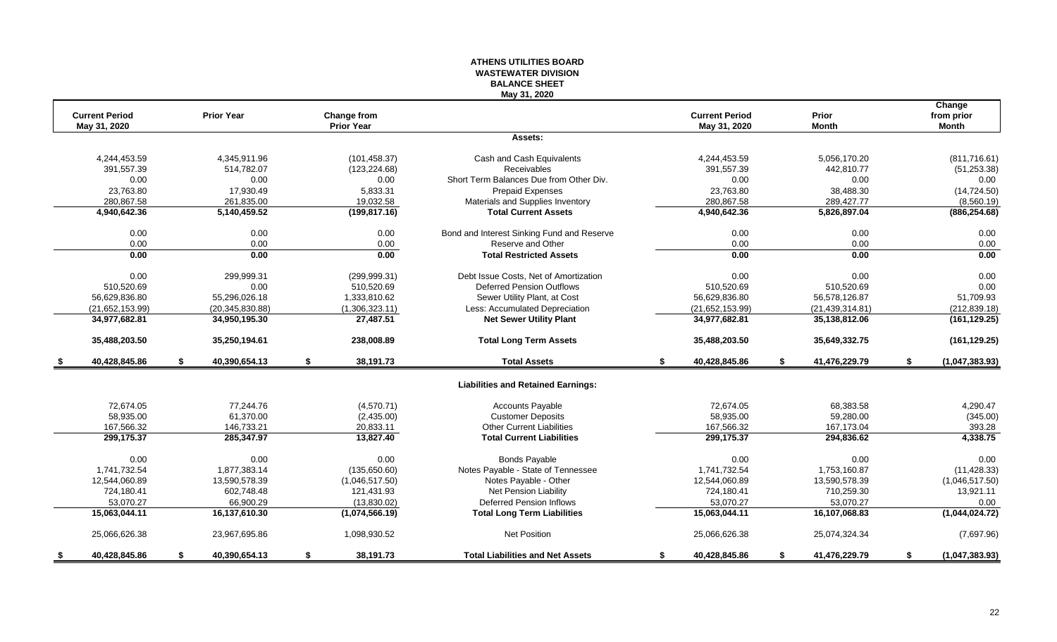#### **ATHENS UTILITIES BOARD WASTEWATER DIVISION BALANCE SHEET May 31, 2020**

|      | <b>Current Period</b> | <b>Prior Year</b>   |                                         |                                            | <b>Current Period</b> | Prior               |    | Change                     |
|------|-----------------------|---------------------|-----------------------------------------|--------------------------------------------|-----------------------|---------------------|----|----------------------------|
|      | May 31, 2020          |                     | <b>Change from</b><br><b>Prior Year</b> |                                            | May 31, 2020          | <b>Month</b>        |    | from prior<br><b>Month</b> |
|      |                       |                     |                                         | Assets:                                    |                       |                     |    |                            |
|      | 4,244,453.59          | 4,345,911.96        | (101, 458.37)                           | Cash and Cash Equivalents                  | 4,244,453.59          | 5,056,170.20        |    | (811,716.61)               |
|      | 391,557.39            | 514,782.07          | (123, 224.68)                           | Receivables                                | 391,557.39            | 442,810.77          |    | (51, 253.38)               |
|      | 0.00                  | 0.00                | 0.00                                    | Short Term Balances Due from Other Div.    | 0.00                  | 0.00                |    | 0.00                       |
|      | 23.763.80             | 17.930.49           | 5.833.31                                | <b>Prepaid Expenses</b>                    | 23,763.80             | 38,488.30           |    | (14, 724.50)               |
|      | 280,867.58            | 261,835.00          | 19,032.58                               | Materials and Supplies Inventory           | 280,867.58            | 289,427.77          |    | (8,560.19)                 |
|      | 4,940,642.36          | 5,140,459.52        | (199, 817.16)                           | <b>Total Current Assets</b>                | 4,940,642.36          | 5,826,897.04        |    | (886, 254.68)              |
|      | 0.00                  | 0.00                | 0.00                                    | Bond and Interest Sinking Fund and Reserve | 0.00                  | 0.00                |    | 0.00                       |
|      | 0.00                  | 0.00                | 0.00                                    | Reserve and Other                          | 0.00                  | 0.00                |    | 0.00                       |
|      | 0.00                  | 0.00                | 0.00                                    | <b>Total Restricted Assets</b>             | 0.00                  | 0.00                |    | 0.00                       |
|      | 0.00                  | 299,999.31          | (299, 999.31)                           | Debt Issue Costs, Net of Amortization      | 0.00                  | 0.00                |    | 0.00                       |
|      | 510,520.69            | 0.00                | 510,520.69                              | <b>Deferred Pension Outflows</b>           | 510,520.69            | 510,520.69          |    | 0.00                       |
|      | 56,629,836.80         | 55,296,026.18       | 1,333,810.62                            | Sewer Utility Plant, at Cost               | 56,629,836.80         | 56,578,126.87       |    | 51,709.93                  |
|      | (21,652,153.99)       | (20, 345, 830.88)   | (1,306,323.11)                          | Less: Accumulated Depreciation             | (21,652,153.99)       | (21, 439, 314.81)   |    | (212, 839.18)              |
|      | 34,977,682.81         | 34,950,195.30       | 27,487.51                               | <b>Net Sewer Utility Plant</b>             | 34,977,682.81         | 35,138,812.06       |    | (161, 129.25)              |
|      | 35,488,203.50         | 35,250,194.61       | 238,008.89                              | <b>Total Long Term Assets</b>              | 35,488,203.50         | 35,649,332.75       |    | (161, 129.25)              |
| - \$ | 40,428,845.86         | \$<br>40,390,654.13 | \$<br>38,191.73                         | <b>Total Assets</b>                        | \$<br>40,428,845.86   | \$<br>41,476,229.79 | S. | (1,047,383.93)             |
|      |                       |                     |                                         | <b>Liabilities and Retained Earnings:</b>  |                       |                     |    |                            |
|      | 72,674.05             | 77,244.76           | (4,570.71)                              | <b>Accounts Payable</b>                    | 72,674.05             | 68,383.58           |    | 4,290.47                   |
|      | 58,935.00             | 61,370.00           | (2,435.00)                              | <b>Customer Deposits</b>                   | 58,935.00             | 59,280.00           |    | (345.00)                   |
|      | 167,566.32            | 146,733.21          | 20,833.11                               | <b>Other Current Liabilities</b>           | 167,566.32            | 167,173.04          |    | 393.28                     |
|      | 299.175.37            | 285,347.97          | 13,827.40                               | <b>Total Current Liabilities</b>           | 299,175.37            | 294,836.62          |    | 4,338.75                   |
|      | 0.00                  | 0.00                | 0.00                                    | <b>Bonds Payable</b>                       | 0.00                  | 0.00                |    | 0.00                       |
|      | 1,741,732.54          | 1,877,383.14        | (135,650.60)                            | Notes Payable - State of Tennessee         | 1,741,732.54          | 1,753,160.87        |    | (11, 428.33)               |
|      | 12,544,060.89         | 13.590.578.39       | (1,046,517.50)                          | Notes Payable - Other                      | 12,544,060.89         | 13.590.578.39       |    | (1,046,517.50)             |
|      | 724,180.41            | 602,748.48          | 121,431.93                              | Net Pension Liability                      | 724,180.41            | 710,259.30          |    | 13,921.11                  |
|      | 53.070.27             | 66.900.29           | (13,830.02)                             | <b>Deferred Pension Inflows</b>            | 53.070.27             | 53.070.27           |    | 0.00                       |
|      | 15,063,044.11         | 16,137,610.30       | (1,074,566.19)                          | <b>Total Long Term Liabilities</b>         | 15,063,044.11         | 16,107,068.83       |    | (1,044,024.72)             |
|      | 25,066,626.38         | 23,967,695.86       | 1,098,930.52                            | Net Position                               | 25,066,626.38         | 25,074,324.34       |    | (7,697.96)                 |
|      | 40,428,845.86         | \$<br>40,390,654.13 | \$<br>38,191.73                         | <b>Total Liabilities and Net Assets</b>    | \$<br>40,428,845.86   | \$<br>41,476,229.79 | \$ | (1,047,383.93)             |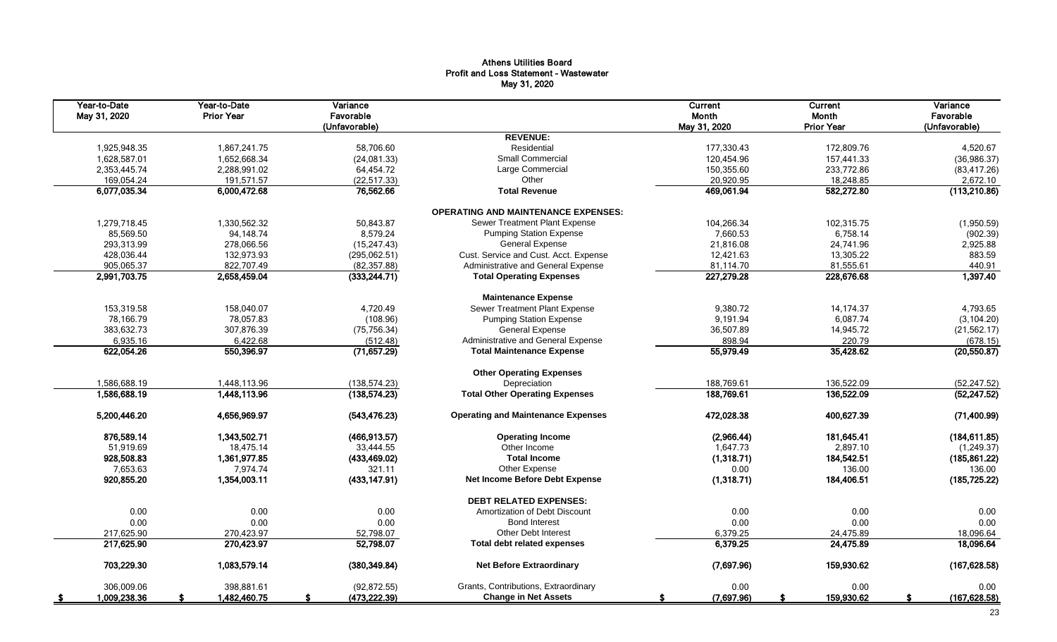## Athens Utilities Board Profit and Loss Statement - Wastewater May 31, 2020

| Year-to-Date<br>May 31, 2020 | Year-to-Date<br><b>Prior Year</b> | Variance<br>Favorable<br>(Unfavorable) |                                            | Current<br>Month<br>May 31, 2020 | Current<br>Month<br><b>Prior Year</b> | Variance<br>Favorable<br>(Unfavorable) |
|------------------------------|-----------------------------------|----------------------------------------|--------------------------------------------|----------------------------------|---------------------------------------|----------------------------------------|
|                              |                                   |                                        | <b>REVENUE:</b>                            |                                  |                                       |                                        |
| 1,925,948.35                 | 1,867,241.75                      | 58,706.60                              | Residential                                | 177,330.43                       | 172,809.76                            | 4,520.67                               |
| 1,628,587.01                 | 1,652,668.34                      | (24,081.33)                            | <b>Small Commercial</b>                    | 120,454.96                       | 157,441.33                            | (36, 986.37)                           |
| 2,353,445.74                 | 2,288,991.02                      | 64,454.72                              | Large Commercial                           | 150,355.60                       | 233,772.86                            | (83, 417.26)                           |
| 169,054.24                   | 191.571.57                        | (22, 517.33)                           | Other                                      | 20,920.95                        | 18,248.85                             | 2,672.10                               |
| 6,077,035.34                 | 6,000,472.68                      | 76,562.66                              | <b>Total Revenue</b>                       | 469,061.94                       | 582,272.80                            | (113,210.86)                           |
|                              |                                   |                                        | <b>OPERATING AND MAINTENANCE EXPENSES:</b> |                                  |                                       |                                        |
| 1,279,718.45                 | 1,330,562.32                      | 50,843.87                              | Sewer Treatment Plant Expense              | 104,266.34                       | 102,315.75                            | (1,950.59)                             |
| 85,569.50                    | 94,148.74                         | 8,579.24                               | <b>Pumping Station Expense</b>             | 7,660.53                         | 6,758.14                              | (902.39)                               |
| 293,313.99                   | 278,066.56                        | (15, 247.43)                           | <b>General Expense</b>                     | 21,816.08                        | 24,741.96                             | 2,925.88                               |
| 428,036.44                   | 132,973.93                        | (295,062.51)                           | Cust. Service and Cust. Acct. Expense      | 12,421.63                        | 13,305.22                             | 883.59                                 |
| 905,065.37                   | 822,707.49                        | (82, 357.88)                           | Administrative and General Expense         | 81,114.70                        | 81,555.61                             | 440.91                                 |
| 2,991,703.75                 | 2,658,459.04                      | (333, 244.71)                          | <b>Total Operating Expenses</b>            | 227,279.28                       | 228,676.68                            | 1,397.40                               |
|                              |                                   |                                        | <b>Maintenance Expense</b>                 |                                  |                                       |                                        |
| 153,319.58                   | 158,040.07                        | 4,720.49                               | Sewer Treatment Plant Expense              | 9,380.72                         | 14, 174. 37                           | 4,793.65                               |
| 78,166.79                    | 78,057.83                         | (108.96)                               | <b>Pumping Station Expense</b>             | 9,191.94                         | 6,087.74                              | (3, 104.20)                            |
| 383,632.73                   | 307,876.39                        | (75, 756.34)                           | <b>General Expense</b>                     | 36,507.89                        | 14,945.72                             | (21, 562.17)                           |
| 6,935.16                     | 6,422.68                          | (512.48)                               | Administrative and General Expense         | 898.94                           | 220.79                                | (678.15)                               |
| 622,054.26                   | 550,396.97                        | (71, 657.29)                           | <b>Total Maintenance Expense</b>           | 55,979.49                        | 35,428.62                             | (20, 550.87)                           |
|                              |                                   |                                        | <b>Other Operating Expenses</b>            |                                  |                                       |                                        |
| 1,586,688.19                 | 1,448,113.96                      | (138, 574.23)                          | Depreciation                               | 188,769.61                       | 136,522.09                            | (52, 247.52)                           |
| 1,586,688.19                 | 1,448,113.96                      | (138, 574.23)                          | <b>Total Other Operating Expenses</b>      | 188,769.61                       | 136,522.09                            | (52, 247.52)                           |
| 5,200,446.20                 | 4,656,969.97                      | (543, 476.23)                          | <b>Operating and Maintenance Expenses</b>  | 472,028.38                       | 400,627.39                            | (71,400.99)                            |
| 876,589.14                   | 1,343,502.71                      | (466, 913.57)                          | <b>Operating Income</b>                    | (2,966.44)                       | 181,645.41                            | (184, 611.85)                          |
| 51,919.69                    | 18,475.14                         | 33.444.55                              | Other Income                               | 1,647.73                         | 2,897.10                              | (1, 249.37)                            |
| 928,508.83                   | 1,361,977.85                      | (433, 469.02)                          | <b>Total Income</b>                        | (1,318.71)                       | 184,542.51                            | (185, 861.22)                          |
| 7,653.63                     | 7.974.74                          | 321.11                                 | Other Expense                              | 0.00                             | 136.00                                | 136.00                                 |
| 920,855.20                   | 1,354,003.11                      | (433, 147.91)                          | Net Income Before Debt Expense             | (1,318.71)                       | 184,406.51                            | (185, 725.22)                          |
|                              |                                   |                                        | <b>DEBT RELATED EXPENSES:</b>              |                                  |                                       |                                        |
| 0.00                         | 0.00                              | 0.00                                   | Amortization of Debt Discount              | 0.00                             | 0.00                                  | 0.00                                   |
| 0.00                         | 0.00                              | 0.00                                   | <b>Bond Interest</b>                       | 0.00                             | 0.00                                  | 0.00                                   |
| 217.625.90                   | 270.423.97                        | 52,798.07                              | <b>Other Debt Interest</b>                 | 6,379.25                         | 24,475.89                             | 18,096.64                              |
| 217,625.90                   | 270,423.97                        | 52,798.07                              | <b>Total debt related expenses</b>         | 6,379.25                         | 24,475.89                             | 18,096.64                              |
| 703,229.30                   | 1,083,579.14                      | (380, 349.84)                          | <b>Net Before Extraordinary</b>            | (7,697.96)                       | 159,930.62                            | (167, 628.58)                          |
| 306,009.06                   | 398,881.61                        | (92, 872.55)                           | Grants, Contributions, Extraordinary       | 0.00                             | 0.00                                  | 0.00                                   |
| 1,009,238.36<br>- \$         | 1,482,460.75                      | (473, 222.39)<br>£.                    | <b>Change in Net Assets</b>                | (7,697.96)<br>-S                 | 159,930.62<br>-S                      | (167, 628.58)<br>s                     |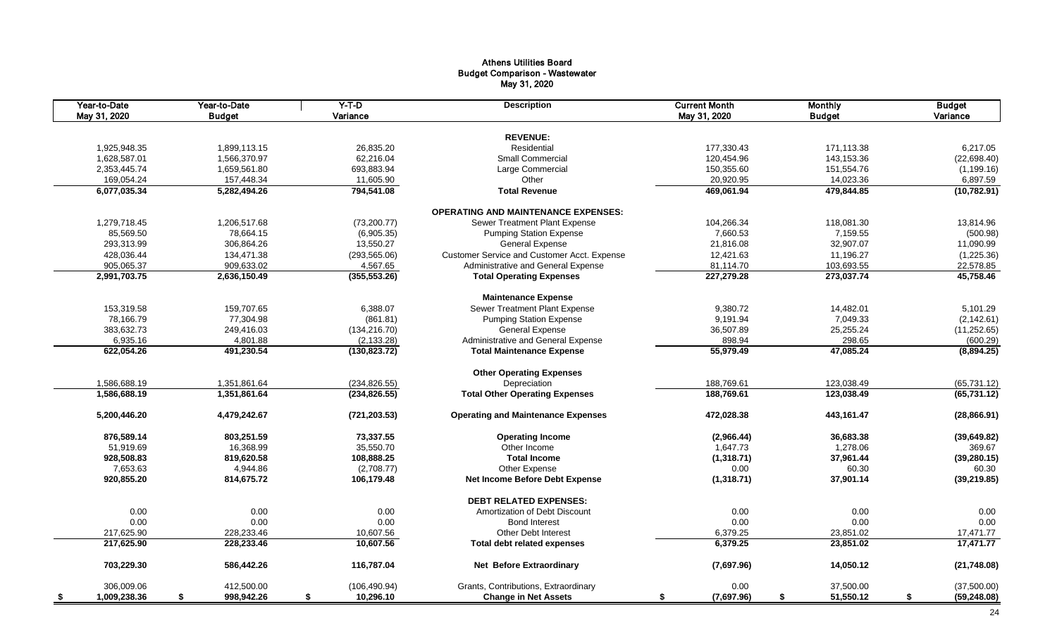# Athens Utilities Board Budget Comparison - Wastewater May 31, 2020

| Year-to-Date<br>May 31, 2020 | Year-to-Date<br><b>Budget</b> | $Y-T-D$<br>Variance | <b>Description</b>                          | <b>Current Month</b><br>May 31, 2020 | <b>Monthly</b><br><b>Budget</b> | <b>Budget</b><br>Variance |
|------------------------------|-------------------------------|---------------------|---------------------------------------------|--------------------------------------|---------------------------------|---------------------------|
|                              |                               |                     |                                             |                                      |                                 |                           |
|                              |                               |                     | <b>REVENUE:</b>                             |                                      |                                 |                           |
| 1,925,948.35                 | 1,899,113.15                  | 26,835.20           | Residential                                 | 177,330.43                           | 171,113.38                      | 6,217.05                  |
| 1,628,587.01                 | 1,566,370.97                  | 62,216.04           | <b>Small Commercial</b>                     | 120,454.96                           | 143,153.36                      | (22, 698.40)              |
| 2,353,445.74                 | 1,659,561.80                  | 693,883.94          | Large Commercial                            | 150,355.60                           | 151,554.76                      | (1, 199.16)               |
| 169,054.24                   | 157,448.34                    | 11,605.90           | Other                                       | 20,920.95                            | 14,023.36                       | 6,897.59                  |
| 6,077,035.34                 | 5,282,494.26                  | 794,541.08          | <b>Total Revenue</b>                        | 469,061.94                           | 479,844.85                      | (10, 782.91)              |
|                              |                               |                     | <b>OPERATING AND MAINTENANCE EXPENSES:</b>  |                                      |                                 |                           |
| 1,279,718.45                 | 1,206,517.68                  | (73, 200.77)        | Sewer Treatment Plant Expense               | 104,266.34                           | 118,081.30                      | 13,814.96                 |
| 85,569.50                    | 78.664.15                     | (6,905.35)          | <b>Pumping Station Expense</b>              | 7,660.53                             | 7,159.55                        | (500.98)                  |
| 293,313.99                   | 306,864.26                    | 13,550.27           | <b>General Expense</b>                      | 21,816.08                            | 32,907.07                       | 11,090.99                 |
| 428,036.44                   | 134,471.38                    | (293, 565.06)       | Customer Service and Customer Acct. Expense | 12,421.63                            | 11,196.27                       | (1,225.36)                |
| 905,065.37                   | 909,633.02                    | 4,567.65            | Administrative and General Expense          | 81,114.70                            | 103,693.55                      | 22,578.85                 |
| 2,991,703.75                 | 2,636,150.49                  | (355, 553.26)       | <b>Total Operating Expenses</b>             | 227,279.28                           | 273,037.74                      | 45,758.46                 |
|                              |                               |                     | <b>Maintenance Expense</b>                  |                                      |                                 |                           |
| 153,319.58                   | 159,707.65                    | 6,388.07            | Sewer Treatment Plant Expense               | 9,380.72                             | 14,482.01                       | 5,101.29                  |
| 78,166.79                    | 77,304.98                     | (861.81)            | <b>Pumping Station Expense</b>              | 9,191.94                             | 7,049.33                        | (2, 142.61)               |
| 383,632.73                   | 249,416.03                    | (134, 216.70)       | <b>General Expense</b>                      | 36,507.89                            | 25,255.24                       | (11, 252.65)              |
| 6,935.16                     | 4,801.88                      | (2, 133.28)         | Administrative and General Expense          | 898.94                               | 298.65                          | (600.29)                  |
| 622,054.26                   | 491,230.54                    | (130, 823.72)       | <b>Total Maintenance Expense</b>            | 55,979.49                            | 47,085.24                       | (8,894.25)                |
|                              |                               |                     |                                             |                                      |                                 |                           |
|                              |                               |                     | <b>Other Operating Expenses</b>             |                                      |                                 |                           |
| 1,586,688.19                 | 1,351,861.64                  | (234, 826.55)       | Depreciation                                | 188,769.61                           | 123,038.49                      | (65, 731.12)              |
| 1,586,688.19                 | 1,351,861.64                  | (234, 826.55)       | <b>Total Other Operating Expenses</b>       | 188,769.61                           | 123,038.49                      | (65, 731.12)              |
| 5,200,446.20                 | 4,479,242.67                  | (721, 203.53)       | <b>Operating and Maintenance Expenses</b>   | 472,028.38                           | 443,161.47                      | (28, 866.91)              |
| 876,589.14                   | 803,251.59                    | 73,337.55           | <b>Operating Income</b>                     | (2,966.44)                           | 36,683.38                       | (39, 649.82)              |
| 51,919.69                    | 16,368.99                     | 35,550.70           | Other Income                                | 1,647.73                             | 1,278.06                        | 369.67                    |
| 928,508.83                   | 819,620.58                    | 108,888.25          | <b>Total Income</b>                         | (1,318.71)                           | 37,961.44                       | (39, 280.15)              |
| 7,653.63                     | 4,944.86                      | (2,708.77)          | Other Expense                               | 0.00                                 | 60.30                           | 60.30                     |
| 920,855.20                   | 814,675.72                    | 106,179.48          | <b>Net Income Before Debt Expense</b>       | (1,318.71)                           | 37,901.14                       | (39, 219.85)              |
|                              |                               |                     | <b>DEBT RELATED EXPENSES:</b>               |                                      |                                 |                           |
| 0.00                         | 0.00                          | 0.00                | Amortization of Debt Discount               | 0.00                                 | 0.00                            | 0.00                      |
| 0.00                         | 0.00                          | 0.00                | <b>Bond Interest</b>                        | 0.00                                 | 0.00                            | 0.00                      |
| 217,625.90                   | 228,233.46                    | 10,607.56           | <b>Other Debt Interest</b>                  | 6,379.25                             | 23,851.02                       | 17,471.77                 |
| 217,625.90                   | 228,233.46                    | 10,607.56           | <b>Total debt related expenses</b>          | 6,379.25                             | 23,851.02                       | 17,471.77                 |
| 703,229.30                   | 586,442.26                    | 116,787.04          | <b>Net Before Extraordinary</b>             | (7,697.96)                           | 14,050.12                       | (21,748.08)               |
| 306,009.06                   | 412,500.00                    | (106, 490.94)       | Grants, Contributions, Extraordinary        | 0.00                                 | 37,500.00                       | (37,500.00)               |
| 1,009,238.36<br>-\$          | 998,942.26<br>\$              | 10,296.10<br>\$     | <b>Change in Net Assets</b>                 | (7,697.96)<br>\$                     | \$<br>51,550.12                 | \$<br>(59, 248.08)        |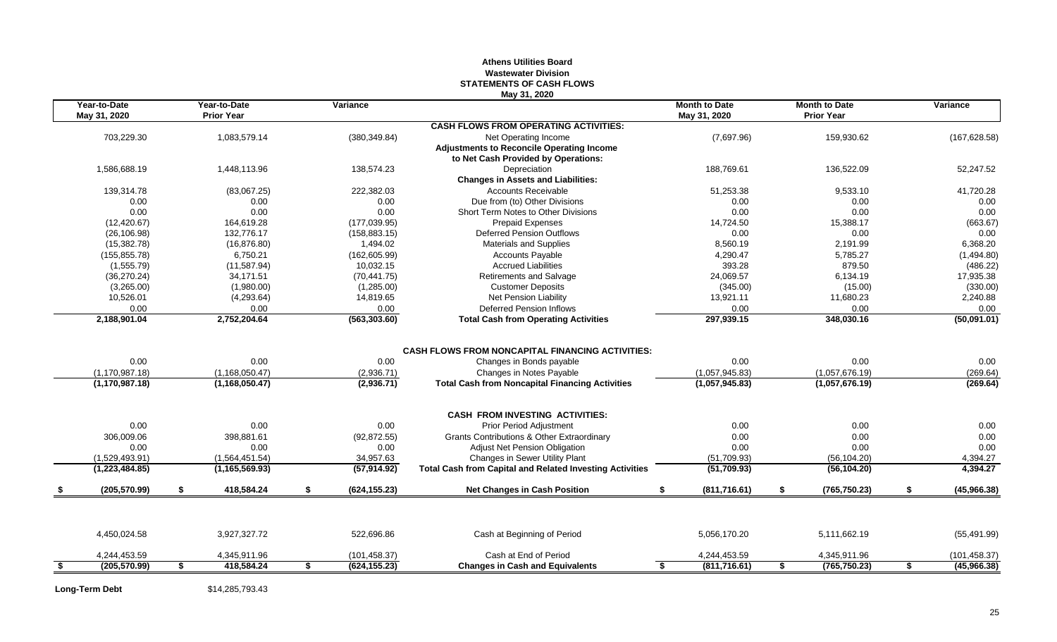## **Athens Utilities Board Wastewater Division STATEMENTS OF CASH FLOWS May 31, 2020**

|      | Year-to-Date<br>May 31, 2020 |    | Year-to-Date<br><b>Prior Year</b> | Variance            |                                                                 | <b>Month to Date</b><br>May 31, 2020 | <b>Month to Date</b><br><b>Prior Year</b> | Variance          |
|------|------------------------------|----|-----------------------------------|---------------------|-----------------------------------------------------------------|--------------------------------------|-------------------------------------------|-------------------|
|      |                              |    |                                   |                     | <b>CASH FLOWS FROM OPERATING ACTIVITIES:</b>                    |                                      |                                           |                   |
|      | 703,229.30                   |    | 1,083,579.14                      | (380, 349.84)       | Net Operating Income                                            | (7,697.96)                           | 159,930.62                                | (167, 628.58)     |
|      |                              |    |                                   |                     | <b>Adjustments to Reconcile Operating Income</b>                |                                      |                                           |                   |
|      |                              |    |                                   |                     | to Net Cash Provided by Operations:                             |                                      |                                           |                   |
|      | 1,586,688.19                 |    | 1,448,113.96                      | 138,574.23          | Depreciation                                                    | 188,769.61                           | 136,522.09                                | 52,247.52         |
|      |                              |    |                                   |                     | <b>Changes in Assets and Liabilities:</b>                       |                                      |                                           |                   |
|      | 139.314.78                   |    | (83,067.25)                       | 222,382.03          | <b>Accounts Receivable</b>                                      | 51,253.38                            | 9,533.10                                  | 41,720.28         |
|      | 0.00                         |    | 0.00                              | 0.00                | Due from (to) Other Divisions                                   | 0.00                                 | 0.00                                      | 0.00              |
|      | 0.00                         |    | 0.00                              | 0.00                | Short Term Notes to Other Divisions                             | 0.00                                 | 0.00                                      | 0.00              |
|      | (12, 420.67)                 |    | 164,619.28                        | (177, 039.95)       | <b>Prepaid Expenses</b>                                         | 14,724.50                            | 15,388.17                                 | (663.67)          |
|      | (26, 106.98)                 |    | 132,776.17                        | (158, 883.15)       | <b>Deferred Pension Outflows</b>                                | 0.00                                 | 0.00                                      | 0.00              |
|      | (15,382.78)                  |    | (16, 876.80)                      | 1,494.02            | <b>Materials and Supplies</b>                                   | 8.560.19                             | 2,191.99                                  | 6,368.20          |
|      | (155, 855.78)                |    | 6,750.21                          | (162, 605.99)       | <b>Accounts Payable</b>                                         | 4,290.47                             | 5,785.27                                  | (1,494.80)        |
|      | (1,555.79)                   |    | (11, 587.94)                      | 10,032.15           | <b>Accrued Liabilities</b>                                      | 393.28                               | 879.50                                    | (486.22)          |
|      | (36, 270.24)                 |    | 34,171.51                         | (70, 441.75)        | Retirements and Salvage                                         | 24,069.57                            | 6,134.19                                  | 17,935.38         |
|      | (3,265.00)                   |    | (1,980.00)                        | (1,285.00)          | <b>Customer Deposits</b>                                        | (345.00)                             | (15.00)                                   | (330.00)          |
|      | 10,526.01                    |    | (4,293.64)                        | 14,819.65           | Net Pension Liability                                           | 13,921.11                            | 11,680.23                                 | 2,240.88          |
|      | 0.00                         |    | 0.00                              | 0.00                | <b>Deferred Pension Inflows</b>                                 | 0.00                                 | 0.00                                      | 0.00              |
|      | 2,188,901.04                 |    | 2,752,204.64                      | (563, 303.60)       | <b>Total Cash from Operating Activities</b>                     | 297,939.15                           | 348,030.16                                | (50,091.01)       |
|      |                              |    |                                   |                     |                                                                 |                                      |                                           |                   |
|      |                              |    |                                   |                     | <b>CASH FLOWS FROM NONCAPITAL FINANCING ACTIVITIES:</b>         |                                      |                                           |                   |
|      | 0.00                         |    | 0.00                              | 0.00                | Changes in Bonds payable                                        | 0.00                                 | 0.00                                      | 0.00              |
|      | (1, 170, 987.18)             |    | (1, 168, 050.47)                  | (2,936.71)          | Changes in Notes Payable                                        | (1,057,945.83)                       | (1,057,676.19)                            | (269.64)          |
|      | (1, 170, 987, 18)            |    | (1, 168, 050.47)                  | (2,936.71)          | <b>Total Cash from Noncapital Financing Activities</b>          | (1,057,945.83)                       | (1,057,676.19)                            | (269.64)          |
|      |                              |    |                                   |                     | <b>CASH FROM INVESTING ACTIVITIES:</b>                          |                                      |                                           |                   |
|      | 0.00                         |    | 0.00                              | 0.00                | <b>Prior Period Adjustment</b>                                  | 0.00                                 | 0.00                                      | 0.00              |
|      | 306,009.06                   |    | 398.881.61                        | (92, 872.55)        | <b>Grants Contributions &amp; Other Extraordinary</b>           | 0.00                                 | 0.00                                      | 0.00              |
|      | 0.00                         |    | 0.00                              | 0.00                | <b>Adjust Net Pension Obligation</b>                            | 0.00                                 | 0.00                                      | 0.00              |
|      | (1,529,493.91)               |    | (1,564,451.54)                    | 34,957.63           | Changes in Sewer Utility Plant                                  | (51,709.93)                          | (56, 104.20)                              | 4,394.27          |
|      | (1,223,484.85)               |    | (1, 165, 569.93)                  | (57, 914.92)        | <b>Total Cash from Capital and Related Investing Activities</b> | (51, 709.93)                         | (56, 104.20)                              | 4,394.27          |
|      | (205, 570.99)                | \$ | 418,584.24                        | \$<br>(624, 155.23) | <b>Net Changes in Cash Position</b>                             | S.<br>(811, 716.61)                  | \$<br>(765, 750.23)                       | \$<br>(45,966.38) |
|      |                              |    |                                   |                     |                                                                 |                                      |                                           |                   |
|      | 4,450,024.58                 |    | 3,927,327.72                      | 522,696.86          | Cash at Beginning of Period                                     | 5,056,170.20                         | 5,111,662.19                              | (55, 491.99)      |
|      | 4,244,453.59                 |    | 4,345,911.96                      | (101, 458.37)       | Cash at End of Period                                           | 4,244,453.59                         | 4,345,911.96                              | (101, 458.37)     |
| - \$ | (205, 570.99)                | s. | 418,584.24                        | \$<br>(624, 155.23) | <b>Changes in Cash and Equivalents</b>                          | (811, 716.61)<br>£.                  | \$<br>(765, 750.23)                       | \$<br>(45,966.38) |
|      |                              |    |                                   |                     |                                                                 |                                      |                                           |                   |

**Long-Term Debt** \$14,285,793.43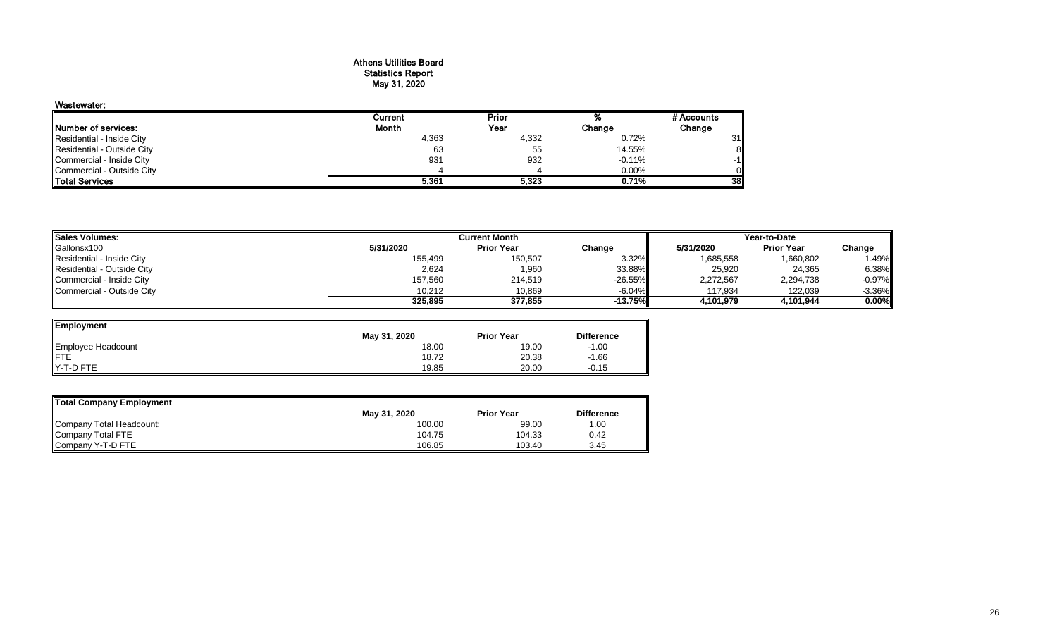### Athens Utilities Board Statistics Report May 31, 2020

# Wastewater:

|                            | Current | Prior |          | # Accounts |
|----------------------------|---------|-------|----------|------------|
| Number of services:        | Month   | Year  | Change   | Change     |
| Residential - Inside City  | 4,363   | 4,332 | 0.72%    | 31         |
| Residential - Outside City | 63      | 55    | 14.55%   | 81         |
| Commercial - Inside City   | 931     | 932   | $-0.11%$ | -11        |
| Commercial - Outside City  |         |       | 0.00%    | Οl         |
| <b>Total Services</b>      | 5,361   | 5,323 | 0.71%    | 38II       |

| <b>Sales Volumes:</b>      |           | Year-to-Date      |            |           |                   |           |
|----------------------------|-----------|-------------------|------------|-----------|-------------------|-----------|
| Gallonsx100                | 5/31/2020 | <b>Prior Year</b> | Change     | 5/31/2020 | <b>Prior Year</b> | Change    |
| Residential - Inside City  | 155,499   | 150,507           | 3.32%      | 1,685,558 | 1,660,802         | .49%      |
| Residential - Outside City | 2,624     | 1,960             | 33.88%     | 25,920    | 24,365            | 6.38%     |
| Commercial - Inside City   | 157,560   | 214,519           | $-26.55\%$ | 2,272,567 | 2,294,738         | $-0.97%$  |
| Commercial - Outside City  | 10.212    | 10,869            | $-6.04\%$  | 117,934   | 122,039           | $-3.36\%$ |
|                            | 325,895   | 377.855           | -13.75%    | 4,101,979 | 4.101.944         | $0.00\%$  |

| <b>Employment</b>         |              |                   |                   |
|---------------------------|--------------|-------------------|-------------------|
|                           | May 31, 2020 | <b>Prior Year</b> | <b>Difference</b> |
|                           | 18.00        | 19.00             | $-1.00$           |
| Employee Headcount<br>FTE | 18.72        | 20.38             | $-1.66$           |
| Y-T-D FTE                 | 19.85        | 20.00             | $-0.15$           |

| Total Company Employment |              |                   |                   |
|--------------------------|--------------|-------------------|-------------------|
|                          | May 31, 2020 | <b>Prior Year</b> | <b>Difference</b> |
| Company Total Headcount: | 100.00       | 99.00             | 1.00              |
| Company Total FTE        | 104.75       | 104.33            | 0.42              |
| Company Y-T-D FTE        | 106.85       | 103.40            | 3.45              |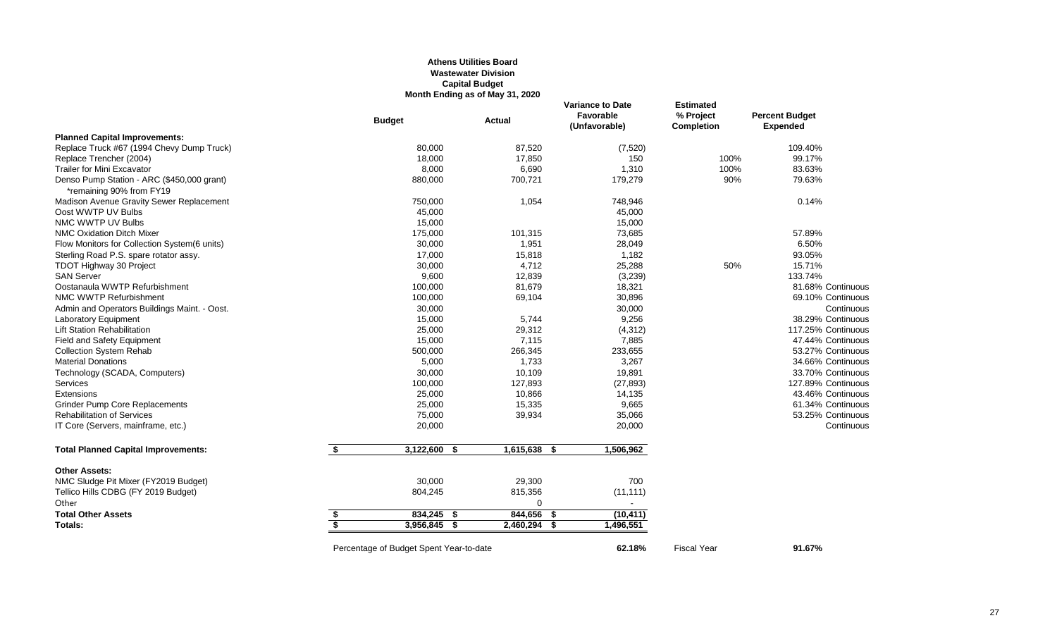### **Athens Utilities Board Wastewater Division Capital Budget Month Ending as of May 31, 2020**

|                                                                        |    | <b>Budget</b>                           | Actual            | <b>Variance to Date</b><br>Favorable<br>(Unfavorable) | <b>Estimated</b><br>% Project<br><b>Completion</b> | <b>Percent Budget</b><br><b>Expended</b> |
|------------------------------------------------------------------------|----|-----------------------------------------|-------------------|-------------------------------------------------------|----------------------------------------------------|------------------------------------------|
| <b>Planned Capital Improvements:</b>                                   |    |                                         |                   |                                                       |                                                    |                                          |
| Replace Truck #67 (1994 Chevy Dump Truck)                              |    | 80,000                                  | 87,520            | (7, 520)                                              |                                                    | 109.40%                                  |
| Replace Trencher (2004)                                                |    | 18,000                                  | 17,850            | 150                                                   | 100%                                               | 99.17%                                   |
| <b>Trailer for Mini Excavator</b>                                      |    | 8,000                                   | 6,690             | 1,310                                                 | 100%                                               | 83.63%                                   |
| Denso Pump Station - ARC (\$450,000 grant)<br>*remaining 90% from FY19 |    | 880,000                                 | 700,721           | 179,279                                               | 90%                                                | 79.63%                                   |
| Madison Avenue Gravity Sewer Replacement                               |    | 750,000                                 | 1,054             | 748,946                                               |                                                    | 0.14%                                    |
| Oost WWTP UV Bulbs                                                     |    | 45,000                                  |                   | 45,000                                                |                                                    |                                          |
| NMC WWTP UV Bulbs                                                      |    | 15,000                                  |                   | 15,000                                                |                                                    |                                          |
| <b>NMC Oxidation Ditch Mixer</b>                                       |    | 175,000                                 | 101,315           | 73,685                                                |                                                    | 57.89%                                   |
| Flow Monitors for Collection System(6 units)                           |    | 30,000                                  | 1,951             | 28,049                                                |                                                    | 6.50%                                    |
| Sterling Road P.S. spare rotator assy.                                 |    | 17,000                                  | 15,818            | 1,182                                                 |                                                    | 93.05%                                   |
| TDOT Highway 30 Project                                                |    | 30,000                                  | 4,712             | 25,288                                                | 50%                                                | 15.71%                                   |
| <b>SAN Server</b>                                                      |    | 9,600                                   | 12,839            | (3,239)                                               |                                                    | 133.74%                                  |
| Oostanaula WWTP Refurbishment                                          |    | 100,000                                 | 81,679            | 18,321                                                |                                                    | 81.68% Continuous                        |
| NMC WWTP Refurbishment                                                 |    | 100,000                                 | 69,104            | 30,896                                                |                                                    | 69.10% Continuous                        |
| Admin and Operators Buildings Maint. - Oost.                           |    | 30,000                                  |                   | 30,000                                                |                                                    | Continuous                               |
| Laboratory Equipment                                                   |    | 15,000                                  | 5,744             | 9,256                                                 |                                                    | 38.29% Continuous                        |
| <b>Lift Station Rehabilitation</b>                                     |    | 25,000                                  | 29,312            | (4, 312)                                              |                                                    | 117.25% Continuous                       |
| Field and Safety Equipment                                             |    | 15,000                                  | 7,115             | 7,885                                                 |                                                    | 47.44% Continuous                        |
| <b>Collection System Rehab</b>                                         |    | 500,000                                 | 266,345           | 233,655                                               |                                                    | 53.27% Continuous                        |
| <b>Material Donations</b>                                              |    | 5,000                                   | 1,733             | 3,267                                                 |                                                    | 34.66% Continuous                        |
| Technology (SCADA, Computers)                                          |    | 30,000                                  | 10,109            | 19,891                                                |                                                    | 33.70% Continuous                        |
| Services                                                               |    | 100,000                                 | 127,893           | (27, 893)                                             |                                                    | 127.89% Continuous                       |
| Extensions                                                             |    | 25,000                                  | 10,866            | 14,135                                                |                                                    | 43.46% Continuous                        |
| <b>Grinder Pump Core Replacements</b>                                  |    | 25,000                                  | 15,335            | 9,665                                                 |                                                    | 61.34% Continuous                        |
| <b>Rehabilitation of Services</b>                                      |    | 75,000                                  | 39,934            | 35,066                                                |                                                    | 53.25% Continuous                        |
| IT Core (Servers, mainframe, etc.)                                     |    | 20,000                                  |                   | 20,000                                                |                                                    | Continuous                               |
|                                                                        |    |                                         |                   |                                                       |                                                    |                                          |
| <b>Total Planned Capital Improvements:</b>                             | \$ | 3,122,600<br>\$                         | 1,615,638<br>- \$ | 1,506,962                                             |                                                    |                                          |
| <b>Other Assets:</b>                                                   |    |                                         |                   |                                                       |                                                    |                                          |
| NMC Sludge Pit Mixer (FY2019 Budget)                                   |    | 30,000                                  | 29,300            | 700                                                   |                                                    |                                          |
| Tellico Hills CDBG (FY 2019 Budget)                                    |    | 804,245                                 | 815,356           | (11, 111)                                             |                                                    |                                          |
| Other                                                                  |    |                                         | $\Omega$          | $\sim$                                                |                                                    |                                          |
| <b>Total Other Assets</b>                                              | \$ | 834,245 \$                              | 844,656<br>-5     | (10, 411)                                             |                                                    |                                          |
| Totals:                                                                | S, | 3,956,845 \$                            | $2,460,294$ \$    | 1,496,551                                             |                                                    |                                          |
|                                                                        |    | Percentage of Budget Spent Year-to-date |                   | 62.18%                                                | <b>Fiscal Year</b>                                 | 91.67%                                   |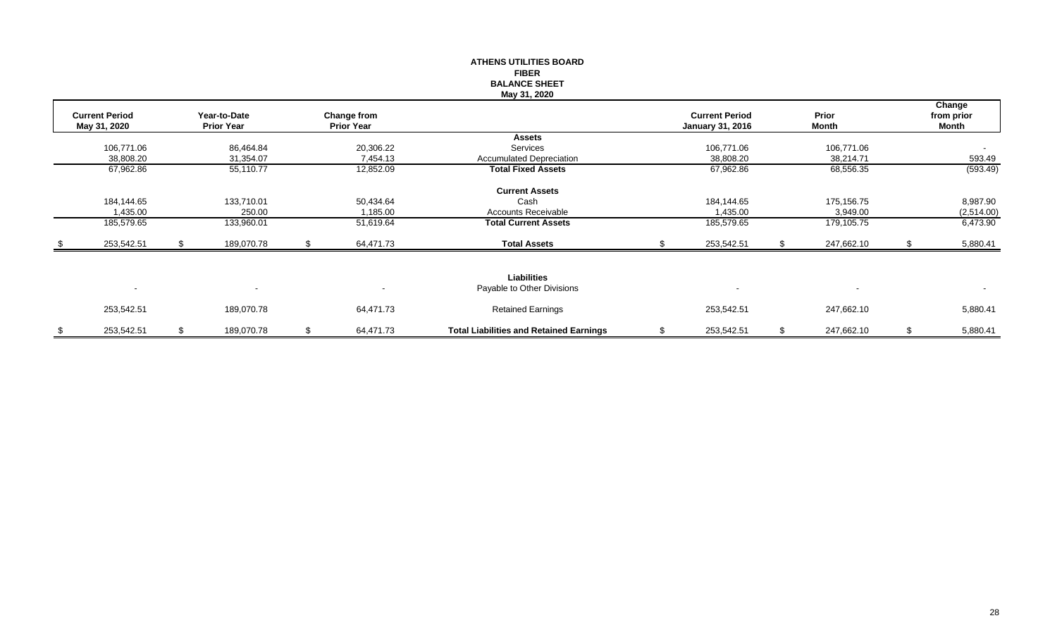|                          |    |                   |    |                   | <b>ATHENS UTILITIES BOARD</b>                  |                         |                  |    |            |
|--------------------------|----|-------------------|----|-------------------|------------------------------------------------|-------------------------|------------------|----|------------|
|                          |    |                   |    |                   | <b>FIBER</b>                                   |                         |                  |    |            |
|                          |    |                   |    |                   | <b>BALANCE SHEET</b>                           |                         |                  |    |            |
|                          |    |                   |    |                   | May 31, 2020                                   |                         |                  |    |            |
|                          |    |                   |    |                   |                                                |                         |                  |    | Change     |
| <b>Current Period</b>    |    | Year-to-Date      |    | Change from       |                                                | <b>Current Period</b>   | Prior            |    | from prior |
| May 31, 2020             |    | <b>Prior Year</b> |    | <b>Prior Year</b> |                                                | <b>January 31, 2016</b> | Month            |    | Month      |
|                          |    |                   |    |                   | <b>Assets</b>                                  |                         |                  |    |            |
| 106,771.06               |    | 86,464.84         |    | 20,306.22         | Services                                       | 106,771.06              | 106,771.06       |    | $\sim$     |
| 38,808.20                |    | 31,354.07         |    | 7,454.13          | <b>Accumulated Depreciation</b>                | 38,808.20               | 38,214.71        |    | 593.49     |
| 67,962.86                |    | 55,110.77         |    | 12,852.09         | <b>Total Fixed Assets</b>                      | 67,962.86               | 68,556.35        |    | (593.49)   |
|                          |    |                   |    |                   | <b>Current Assets</b>                          |                         |                  |    |            |
| 184,144.65               |    | 133,710.01        |    | 50,434.64         | Cash                                           | 184,144.65              | 175,156.75       |    | 8,987.90   |
| 1,435.00                 |    | 250.00            |    | 1,185.00          | Accounts Receivable                            | 1,435.00                | 3,949.00         |    | (2,514.00) |
| 185,579.65               |    | 133,960.01        |    | 51,619.64         | <b>Total Current Assets</b>                    | 185,579.65              | 179,105.75       |    | 6,473.90   |
| 253,542.51               | S. | 189,070.78        | S. | 64,471.73         | <b>Total Assets</b>                            | 253,542.51              | 247,662.10       | .S | 5,880.41   |
|                          |    |                   |    |                   |                                                |                         |                  |    |            |
|                          |    |                   |    |                   | <b>Liabilities</b>                             |                         |                  |    |            |
| $\overline{\phantom{a}}$ |    |                   |    |                   | Payable to Other Divisions                     |                         |                  |    | $\sim$     |
| 253,542.51               |    | 189,070.78        |    | 64,471.73         | <b>Retained Earnings</b>                       | 253,542.51              | 247,662.10       |    | 5,880.41   |
| \$<br>253,542.51         | \$ | 189,070.78        | \$ | 64,471.73         | <b>Total Liabilities and Retained Earnings</b> | \$<br>253,542.51        | \$<br>247,662.10 | \$ | 5,880.41   |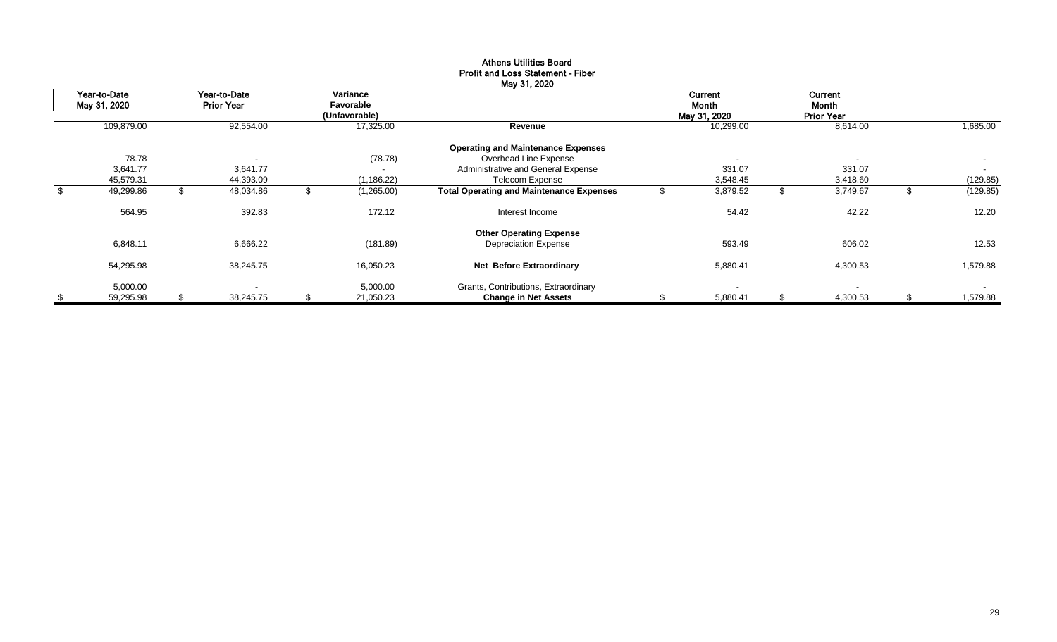| Year-to-Date    | Year-to-Date             | Variance        |                                                 | Current                  | Current                  |                |
|-----------------|--------------------------|-----------------|-------------------------------------------------|--------------------------|--------------------------|----------------|
| May 31, 2020    | <b>Prior Year</b>        | Favorable       |                                                 | Month                    | Month                    |                |
|                 |                          | (Unfavorable)   |                                                 | May 31, 2020             | <b>Prior Year</b>        |                |
| 109,879.00      | 92,554.00                | 17,325.00       | Revenue                                         | 10,299.00                | 8,614.00                 | 1,685.00       |
|                 |                          |                 | <b>Operating and Maintenance Expenses</b>       |                          |                          |                |
| 78.78           | $\overline{\phantom{a}}$ | (78.78)         | Overhead Line Expense                           | $\overline{\phantom{a}}$ | $\overline{\phantom{a}}$ | $\sim$         |
| 3,641.77        | 3,641.77                 | $\blacksquare$  | Administrative and General Expense              | 331.07                   | 331.07                   | $\sim$         |
| 45,579.31       | 44,393.09                | (1, 186.22)     | <b>Telecom Expense</b>                          | 3,548.45                 | 3,418.60                 | (129.85)       |
| \$<br>49,299.86 | 48,034.86                | (1,265.00)      | <b>Total Operating and Maintenance Expenses</b> | 3,879.52                 | \$<br>3,749.67           | (129.85)       |
| 564.95          | 392.83                   | 172.12          | Interest Income                                 | 54.42                    | 42.22                    | 12.20          |
|                 |                          |                 | <b>Other Operating Expense</b>                  |                          |                          |                |
| 6,848.11        | 6,666.22                 | (181.89)        | <b>Depreciation Expense</b>                     | 593.49                   | 606.02                   | 12.53          |
| 54,295.98       | 38,245.75                | 16,050.23       | Net Before Extraordinary                        | 5,880.41                 | 4,300.53                 | 1,579.88       |
| 5,000.00        |                          | 5,000.00        | Grants, Contributions, Extraordinary            |                          | $\overline{\phantom{a}}$ | $\sim$         |
| \$<br>59,295.98 | \$<br>38,245.75          | \$<br>21,050.23 | <b>Change in Net Assets</b>                     | 5,880.41                 | \$<br>4,300.53           | \$<br>1,579.88 |

# Athens Utilities Board Profit and Loss Statement - Fiber